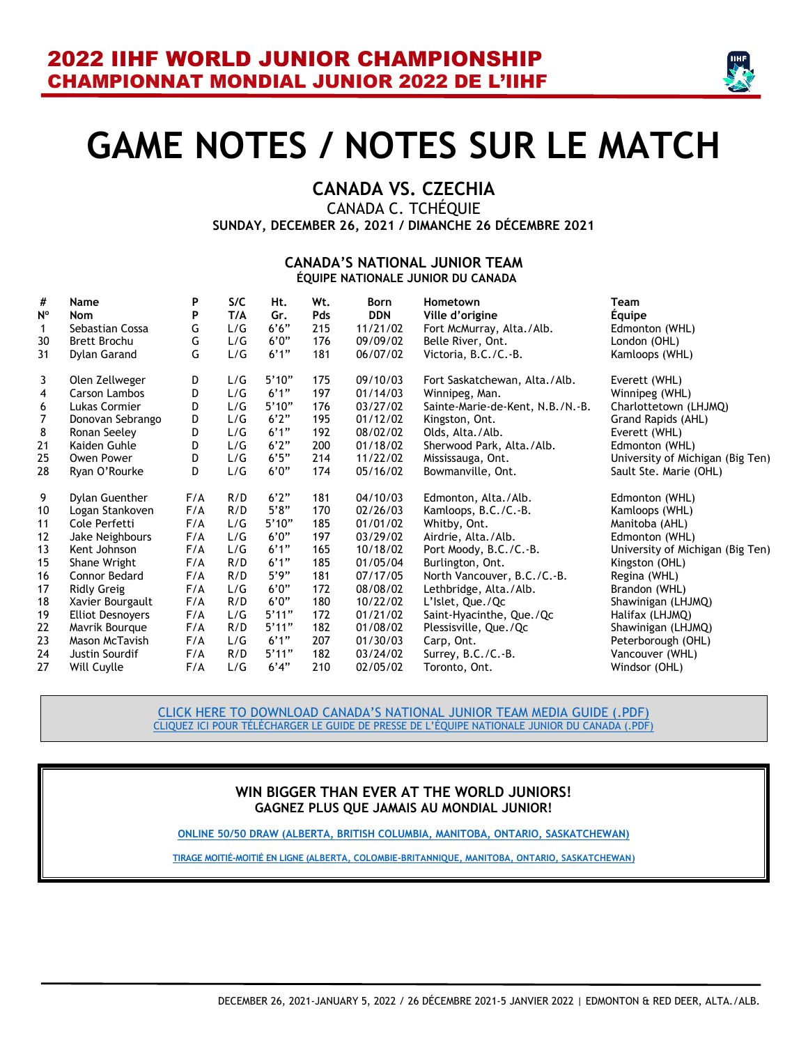

# **GAME NOTES / NOTES SUR LE MATCH**

# **CANADA VS. CZECHIA**

CANADA C. TCHÉQUIE **SUNDAY, DECEMBER 26, 2021 / DIMANCHE 26 DÉCEMBRE 2021**

#### **CANADA'S NATIONAL JUNIOR TEAM ÉQUIPE NATIONALE JUNIOR DU CANADA**

| #              | Name                    | Ρ   | S/C | Ht.   | Wt. | <b>Born</b> | Hometown                         | Team                             |
|----------------|-------------------------|-----|-----|-------|-----|-------------|----------------------------------|----------------------------------|
| N°             | Nom                     | P   | T/A | Gr.   | Pds | <b>DDN</b>  | Ville d'origine                  | Equipe                           |
| 1              | Sebastian Cossa         | G   | L/G | 6'6'' | 215 | 11/21/02    | Fort McMurray, Alta./Alb.        | Edmonton (WHL)                   |
| 30             | <b>Brett Brochu</b>     | G   | L/G | 6'0'' | 176 | 09/09/02    | Belle River, Ont.                | London (OHL)                     |
| 31             | Dylan Garand            | G   | L/G | 6'1'' | 181 | 06/07/02    | Victoria, B.C./C.-B.             | Kamloops (WHL)                   |
| 3              | Olen Zellweger          | D   | L/G | 5'10" | 175 | 09/10/03    | Fort Saskatchewan, Alta./Alb.    | Everett (WHL)                    |
| $\overline{4}$ | Carson Lambos           | D   | L/G | 6'1'' | 197 | 01/14/03    | Winnipeg, Man.                   | Winnipeg (WHL)                   |
| 6              | Lukas Cormier           | D   | L/G | 5'10" | 176 | 03/27/02    | Sainte-Marie-de-Kent, N.B./N.-B. | Charlottetown (LHJMQ)            |
| $\overline{7}$ | Donovan Sebrango        | D   | L/G | 6'2"  | 195 | 01/12/02    | Kingston, Ont.                   | Grand Rapids (AHL)               |
| 8              | Ronan Seeley            | D   | L/G | 6'1'' | 192 | 08/02/02    | Olds, Alta./Alb.                 | Everett (WHL)                    |
| 21             | Kaiden Guhle            | D   | L/G | 6'2"  | 200 | 01/18/02    | Sherwood Park, Alta./Alb.        | Edmonton (WHL)                   |
| 25             | Owen Power              | D   | L/G | 6'5'' | 214 | 11/22/02    | Mississauga, Ont.                | University of Michigan (Big Ten) |
| 28             | Ryan O'Rourke           | D   | L/G | 6'0'' | 174 | 05/16/02    | Bowmanville, Ont.                | Sault Ste. Marie (OHL)           |
| 9              | Dylan Guenther          | F/A | R/D | 6'2"  | 181 | 04/10/03    | Edmonton, Alta./Alb.             | Edmonton (WHL)                   |
| 10             | Logan Stankoven         | F/A | R/D | 5'8"  | 170 | 02/26/03    | Kamloops, B.C./C.-B.             | Kamloops (WHL)                   |
| 11             | Cole Perfetti           | F/A | L/G | 5'10" | 185 | 01/01/02    | Whitby, Ont.                     | Manitoba (AHL)                   |
| 12             | Jake Neighbours         | F/A | L/G | 6'0'' | 197 | 03/29/02    | Airdrie, Alta./Alb.              | Edmonton (WHL)                   |
| 13             | Kent Johnson            | F/A | L/G | 6'1'' | 165 | 10/18/02    | Port Moody, B.C./C.-B.           | University of Michigan (Big Ten) |
| 15             | Shane Wright            | F/A | R/D | 6'1'' | 185 | 01/05/04    | Burlington, Ont.                 | Kingston (OHL)                   |
| 16             | <b>Connor Bedard</b>    | F/A | R/D | 5'9'' | 181 | 07/17/05    | North Vancouver, B.C./C.-B.      | Regina (WHL)                     |
| 17             | <b>Ridly Greig</b>      | F/A | L/G | 6'0'' | 172 | 08/08/02    | Lethbridge, Alta./Alb.           | Brandon (WHL)                    |
| 18             | Xavier Bourgault        | F/A | R/D | 6'0'' | 180 | 10/22/02    | L'Islet, Que./Qc                 | Shawinigan (LHJMQ)               |
| 19             | <b>Elliot Desnoyers</b> | F/A | L/G | 5'11" | 172 | 01/21/02    | Saint-Hyacinthe, Que./Qc         | Halifax (LHJMQ)                  |
| 22             | Mavrik Bourque          | F/A | R/D | 5'11" | 182 | 01/08/02    | Plessisville, Que./Qc            | Shawinigan (LHJMQ)               |
| 23             | Mason McTavish          | F/A | L/G | 6'1'' | 207 | 01/30/03    | Carp, Ont.                       | Peterborough (OHL)               |
| 24             | Justin Sourdif          | F/A | R/D | 5'11" | 182 | 03/24/02    | Surrey, B.C./C.-B.               | Vancouver (WHL)                  |
| 27             | Will Cuylle             | F/A | L/G | 6'4"  | 210 | 02/05/02    | Toronto, Ont.                    | Windsor (OHL)                    |

[CLICK HERE TO DOWNLOAD CANADA'S NATIONAL](https://cdn.hockeycanada.ca/hockey-canada/Team-Canada/Men/Junior/2022/downloads/2022-wjc-njt-media-guide.pdf) JUNIOR TEAM MEDIA GUIDE (.PDF) [CLIQUEZ ICI POUR TÉLÉCHARGER LE GUIDE DE PRESSE DE L'É](https://cdn.hockeycanada.ca/hockey-canada/Team-Canada/Men/Junior/2022/downloads/2022-wjc-njt-media-guide.pdf)QUIPE NATIONALE JUNIOR DU CANADA (.PDF)

#### **WIN BIGGER THAN EVER AT THE WORLD JUNIORS! GAGNEZ PLUS QUE JAMAIS AU MONDIAL JUNIOR!**

**ONLINE 50/50 DRAW (ALBERTA, [BRITISH COLUMBIA, MANITOBA, ONTARIO, SASKATCHEWAN\)](https://hockeycanada.ca/en-ca/team-canada/men/junior/2021-22/world-junior-experience/5050)**

**[TIRAGE MOITIÉ-MOITIÉ EN LIGNE \(ALBERTA, COLOMBIE-BRITANNIQUE, MANITOBA, ONTARIO, SASKATCHEWAN\)](https://hockeycanada.ca/fr-ca/team-canada/men/junior/2021-22/world-junior-experience/5050)**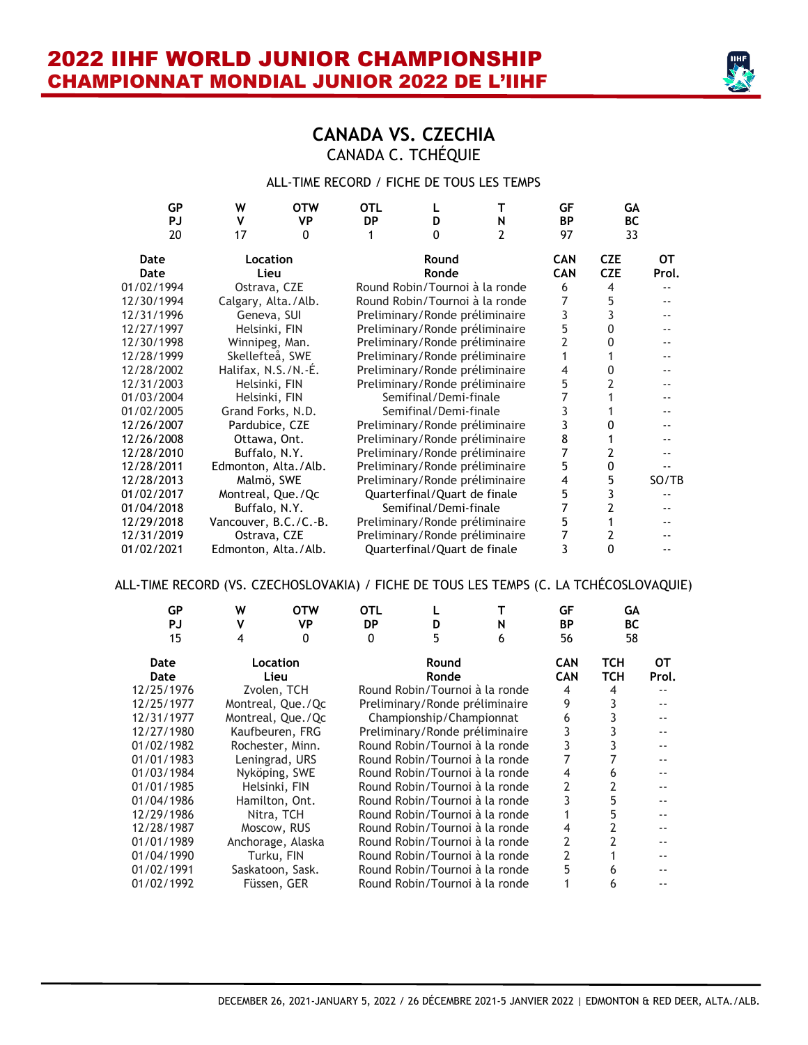

### **CANADA VS. CZECHIA** CANADA C. TCHÉQUIE

#### ALL-TIME RECORD / FICHE DE TOUS LES TEMPS

| W  | <b>OTW</b> | <b>OTL</b>                                                                                                                                                                                                                                                                                                                                                                                                                     |              | т | GF                                                                                                                                                                                                                                                                                                                                                                                                                                                                                                                                                                                                                                                                         | GA                      |                          |
|----|------------|--------------------------------------------------------------------------------------------------------------------------------------------------------------------------------------------------------------------------------------------------------------------------------------------------------------------------------------------------------------------------------------------------------------------------------|--------------|---|----------------------------------------------------------------------------------------------------------------------------------------------------------------------------------------------------------------------------------------------------------------------------------------------------------------------------------------------------------------------------------------------------------------------------------------------------------------------------------------------------------------------------------------------------------------------------------------------------------------------------------------------------------------------------|-------------------------|--------------------------|
| 17 | $\Omega$   |                                                                                                                                                                                                                                                                                                                                                                                                                                | <sup>0</sup> | 2 | 97                                                                                                                                                                                                                                                                                                                                                                                                                                                                                                                                                                                                                                                                         | 33                      |                          |
|    |            |                                                                                                                                                                                                                                                                                                                                                                                                                                | Round        |   | <b>CAN</b>                                                                                                                                                                                                                                                                                                                                                                                                                                                                                                                                                                                                                                                                 | <b>CZE</b>              | OТ                       |
|    |            |                                                                                                                                                                                                                                                                                                                                                                                                                                | Ronde        |   |                                                                                                                                                                                                                                                                                                                                                                                                                                                                                                                                                                                                                                                                            | <b>CZE</b>              | Prol.                    |
|    |            |                                                                                                                                                                                                                                                                                                                                                                                                                                |              |   | 6                                                                                                                                                                                                                                                                                                                                                                                                                                                                                                                                                                                                                                                                          | 4                       |                          |
|    |            |                                                                                                                                                                                                                                                                                                                                                                                                                                |              |   |                                                                                                                                                                                                                                                                                                                                                                                                                                                                                                                                                                                                                                                                            | 5                       |                          |
|    |            |                                                                                                                                                                                                                                                                                                                                                                                                                                |              |   | 3                                                                                                                                                                                                                                                                                                                                                                                                                                                                                                                                                                                                                                                                          |                         |                          |
|    |            |                                                                                                                                                                                                                                                                                                                                                                                                                                |              |   | 5                                                                                                                                                                                                                                                                                                                                                                                                                                                                                                                                                                                                                                                                          | 0                       |                          |
|    |            |                                                                                                                                                                                                                                                                                                                                                                                                                                |              |   | 2                                                                                                                                                                                                                                                                                                                                                                                                                                                                                                                                                                                                                                                                          | 0                       |                          |
|    |            |                                                                                                                                                                                                                                                                                                                                                                                                                                |              |   |                                                                                                                                                                                                                                                                                                                                                                                                                                                                                                                                                                                                                                                                            |                         | $-1$                     |
|    |            |                                                                                                                                                                                                                                                                                                                                                                                                                                |              |   | 4                                                                                                                                                                                                                                                                                                                                                                                                                                                                                                                                                                                                                                                                          | Ω                       | $\overline{\phantom{a}}$ |
|    |            |                                                                                                                                                                                                                                                                                                                                                                                                                                |              |   | 5                                                                                                                                                                                                                                                                                                                                                                                                                                                                                                                                                                                                                                                                          |                         | $-$                      |
|    |            |                                                                                                                                                                                                                                                                                                                                                                                                                                |              |   |                                                                                                                                                                                                                                                                                                                                                                                                                                                                                                                                                                                                                                                                            |                         | --                       |
|    |            |                                                                                                                                                                                                                                                                                                                                                                                                                                |              |   | 3                                                                                                                                                                                                                                                                                                                                                                                                                                                                                                                                                                                                                                                                          |                         |                          |
|    |            |                                                                                                                                                                                                                                                                                                                                                                                                                                |              |   | 3                                                                                                                                                                                                                                                                                                                                                                                                                                                                                                                                                                                                                                                                          | O                       |                          |
|    |            |                                                                                                                                                                                                                                                                                                                                                                                                                                |              |   | 8                                                                                                                                                                                                                                                                                                                                                                                                                                                                                                                                                                                                                                                                          |                         |                          |
|    |            |                                                                                                                                                                                                                                                                                                                                                                                                                                |              |   |                                                                                                                                                                                                                                                                                                                                                                                                                                                                                                                                                                                                                                                                            | 2                       |                          |
|    |            |                                                                                                                                                                                                                                                                                                                                                                                                                                |              |   | 5                                                                                                                                                                                                                                                                                                                                                                                                                                                                                                                                                                                                                                                                          | 0                       |                          |
|    |            |                                                                                                                                                                                                                                                                                                                                                                                                                                |              |   | 4                                                                                                                                                                                                                                                                                                                                                                                                                                                                                                                                                                                                                                                                          | 5                       | SO/TB                    |
|    |            |                                                                                                                                                                                                                                                                                                                                                                                                                                |              |   | 5                                                                                                                                                                                                                                                                                                                                                                                                                                                                                                                                                                                                                                                                          |                         |                          |
|    |            |                                                                                                                                                                                                                                                                                                                                                                                                                                |              |   |                                                                                                                                                                                                                                                                                                                                                                                                                                                                                                                                                                                                                                                                            |                         |                          |
|    |            |                                                                                                                                                                                                                                                                                                                                                                                                                                |              |   | 5                                                                                                                                                                                                                                                                                                                                                                                                                                                                                                                                                                                                                                                                          |                         |                          |
|    |            |                                                                                                                                                                                                                                                                                                                                                                                                                                |              |   |                                                                                                                                                                                                                                                                                                                                                                                                                                                                                                                                                                                                                                                                            | 2                       | --                       |
|    |            |                                                                                                                                                                                                                                                                                                                                                                                                                                |              |   | 3                                                                                                                                                                                                                                                                                                                                                                                                                                                                                                                                                                                                                                                                          | 0                       |                          |
|    | v          | <b>VP</b><br><b>Location</b><br>Lieu<br>Ostrava, CZE<br>Calgary, Alta./Alb.<br>Geneva, SUI<br>Helsinki, FIN<br>Winnipeg, Man.<br>Skellefteå, SWE<br>Halifax, N.S./N.-É.<br>Helsinki, FIN<br>Helsinki, FIN<br>Grand Forks, N.D.<br>Pardubice, CZE<br>Ottawa, Ont.<br>Buffalo, N.Y.<br>Edmonton, Alta./Alb.<br>Malmö, SWE<br>Montreal, Que./Qc<br>Buffalo, N.Y.<br>Vancouver, B.C./C.-B.<br>Ostrava, CZE<br>Edmonton, Alta./Alb. | <b>DP</b>    | D | N<br>Round Robin/Tournoi à la ronde<br>Round Robin/Tournoi à la ronde<br>Preliminary/Ronde préliminaire<br>Preliminary/Ronde préliminaire<br>Preliminary/Ronde préliminaire<br>Preliminary/Ronde préliminaire<br>Preliminary/Ronde préliminaire<br>Preliminary/Ronde préliminaire<br>Semifinal/Demi-finale<br>Semifinal/Demi-finale<br>Preliminary/Ronde préliminaire<br>Preliminary/Ronde préliminaire<br>Preliminary/Ronde préliminaire<br>Preliminary/Ronde préliminaire<br>Preliminary/Ronde préliminaire<br>Quarterfinal/Quart de finale<br>Semifinal/Demi-finale<br>Preliminary/Ronde préliminaire<br>Preliminary/Ronde préliminaire<br>Quarterfinal/Quart de finale | <b>BP</b><br><b>CAN</b> | <b>BC</b>                |

#### ALL-TIME RECORD (VS. CZECHOSLOVAKIA) / FICHE DE TOUS LES TEMPS (C. LA TCHÉCOSLOVAQUIE)

| GP<br><b>PJ</b><br>15 | W<br>4 | <b>OTW</b><br>VP<br>0 | <b>OTL</b><br><b>DP</b><br>0 | D<br>5                         | N<br>6 | GF<br><b>BP</b><br>56    | GA<br><b>BC</b><br>58 |             |
|-----------------------|--------|-----------------------|------------------------------|--------------------------------|--------|--------------------------|-----------------------|-------------|
| Date<br>Date          |        | Location<br>Lieu      |                              | Round<br>Ronde                 |        | <b>CAN</b><br><b>CAN</b> | TCH<br><b>TCH</b>     | OТ<br>Prol. |
| 12/25/1976            |        | Zvolen, TCH           |                              | Round Robin/Tournoi à la ronde |        | 4                        | 4                     |             |
| 12/25/1977            |        | Montreal, Que./Qc     |                              | Preliminary/Ronde préliminaire |        | 9                        |                       |             |
| 12/31/1977            |        | Montreal, Que./Qc     |                              | Championship/Championnat       |        | 6                        |                       |             |
| 12/27/1980            |        | Kaufbeuren, FRG       |                              | Preliminary/Ronde préliminaire |        |                          |                       |             |
| 01/02/1982            |        | Rochester, Minn.      |                              | Round Robin/Tournoi à la ronde |        |                          |                       |             |
| 01/01/1983            |        | Leningrad, URS        |                              | Round Robin/Tournoi à la ronde |        |                          |                       |             |
| 01/03/1984            |        | Nyköping, SWE         |                              | Round Robin/Tournoi à la ronde |        | 4                        | 6                     |             |
| 01/01/1985            |        | Helsinki, FIN         |                              | Round Robin/Tournoi à la ronde |        | 2                        | 2                     |             |
| 01/04/1986            |        | Hamilton, Ont.        |                              | Round Robin/Tournoi à la ronde |        |                          | 5                     |             |
| 12/29/1986            |        | Nitra, TCH            |                              | Round Robin/Tournoi à la ronde |        |                          | 5                     |             |
| 12/28/1987            |        | Moscow, RUS           |                              | Round Robin/Tournoi à la ronde |        |                          |                       |             |
| 01/01/1989            |        | Anchorage, Alaska     |                              | Round Robin/Tournoi à la ronde |        | 2                        |                       |             |
| 01/04/1990            |        | Turku, FIN            |                              | Round Robin/Tournoi à la ronde |        | 2                        |                       |             |
| 01/02/1991            |        | Saskatoon, Sask.      |                              | Round Robin/Tournoi à la ronde |        | 5                        | 6                     |             |
| 01/02/1992            |        | Füssen, GER           |                              | Round Robin/Tournoi à la ronde |        |                          | h                     |             |
|                       |        |                       |                              |                                |        |                          |                       |             |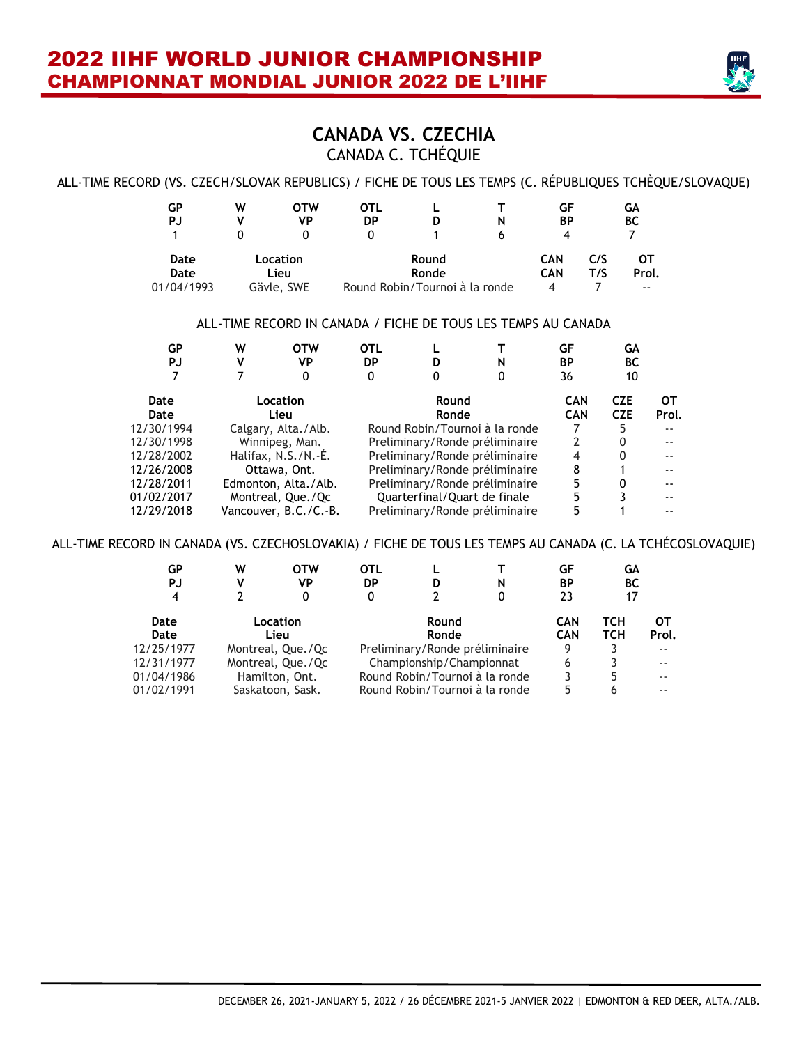

### **CANADA VS. CZECHIA** CANADA C. TCHÉQUIE

#### ALL-TIME RECORD (VS. CZECH/SLOVAK REPUBLICS) / FICHE DE TOUS LES TEMPS (C. RÉPUBLIQUES TCHÈQUE/SLOVAQUE)

| GP         | W | OTW        | OTL |                                |   | GF         |     | GА    |
|------------|---|------------|-----|--------------------------------|---|------------|-----|-------|
| PJ         |   | VP         | DP  | D                              | N | ΒP         |     | ВC    |
|            |   |            | 0   |                                | h | 4          |     |       |
| Date       |   | Location   |     | Round                          |   | <b>CAN</b> | C/S | ОТ    |
| Date       |   | Lieu       |     | Ronde                          |   | <b>CAN</b> | T/S | Prol. |
| 01/04/1993 |   | Gävle, SWE |     | Round Robin/Tournoi à la ronde |   | 4          |     | $- -$ |

#### ALL-TIME RECORD IN CANADA / FICHE DE TOUS LES TEMPS AU CANADA

| GP         | w | <b>OTW</b>            | <b>OTL</b> |                              |                                | GF         | GA         |           |
|------------|---|-----------------------|------------|------------------------------|--------------------------------|------------|------------|-----------|
| PJ         | v | VP                    | DP         |                              | N                              | BP         | BC         |           |
|            |   |                       | 0          |                              | 0                              | 36         | 10         |           |
| Date       |   | Location              |            | Round                        |                                | <b>CAN</b> | <b>CZE</b> | <b>OT</b> |
| Date       |   | Lieu                  |            | Ronde                        |                                | <b>CAN</b> | <b>CZE</b> | Prol.     |
| 12/30/1994 |   | Calgary, Alta./Alb.   |            |                              | Round Robin/Tournoi à la ronde |            |            |           |
| 12/30/1998 |   | Winnipeg, Man.        |            |                              | Preliminary/Ronde préliminaire | 2          | 0          |           |
| 12/28/2002 |   | Halifax, $N.S./N.-E.$ |            |                              | Preliminary/Ronde préliminaire | 4          | O          |           |
| 12/26/2008 |   | Ottawa, Ont.          |            |                              | Preliminary/Ronde préliminaire | 8          |            |           |
| 12/28/2011 |   | Edmonton, Alta./Alb.  |            |                              | Preliminary/Ronde préliminaire | 5          | 0          |           |
| 01/02/2017 |   | Montreal, Que./Qc     |            | Quarterfinal/Quart de finale |                                | 5          |            |           |
| 12/29/2018 |   | Vancouver, B.C./C.-B. |            |                              | Preliminary/Ronde préliminaire | 5          |            |           |

ALL-TIME RECORD IN CANADA (VS. CZECHOSLOVAKIA) / FICHE DE TOUS LES TEMPS AU CANADA (C. LA TCHÉCOSLOVAQUIE)

| GР<br>PJ<br>4 | w<br>V | <b>OTW</b><br>VP<br>0 | OTL<br>DP<br>0 | D                              | N<br>0 | GF<br>ΒP<br>23 | GА<br><b>BC</b><br>17 |               |
|---------------|--------|-----------------------|----------------|--------------------------------|--------|----------------|-----------------------|---------------|
| Date          |        | Location              |                | Round                          |        | <b>CAN</b>     | тсн                   | от            |
| Date          |        | Lieu                  |                | Ronde                          |        | <b>CAN</b>     | тсн                   | Prol.         |
| 12/25/1977    |        | Montreal, Que./Qc     |                | Preliminary/Ronde préliminaire |        | 9              |                       |               |
| 12/31/1977    |        | Montreal, Que./Qc     |                | Championship/Championnat       |        | 6              |                       | $- -$         |
| 01/04/1986    |        | Hamilton, Ont.        |                | Round Robin/Tournoi à la ronde |        | 3              | 5                     | $- -$         |
| 01/02/1991    |        | Saskatoon, Sask.      |                | Round Robin/Tournoi à la ronde |        | 5              | 6                     | $\sim$ $\sim$ |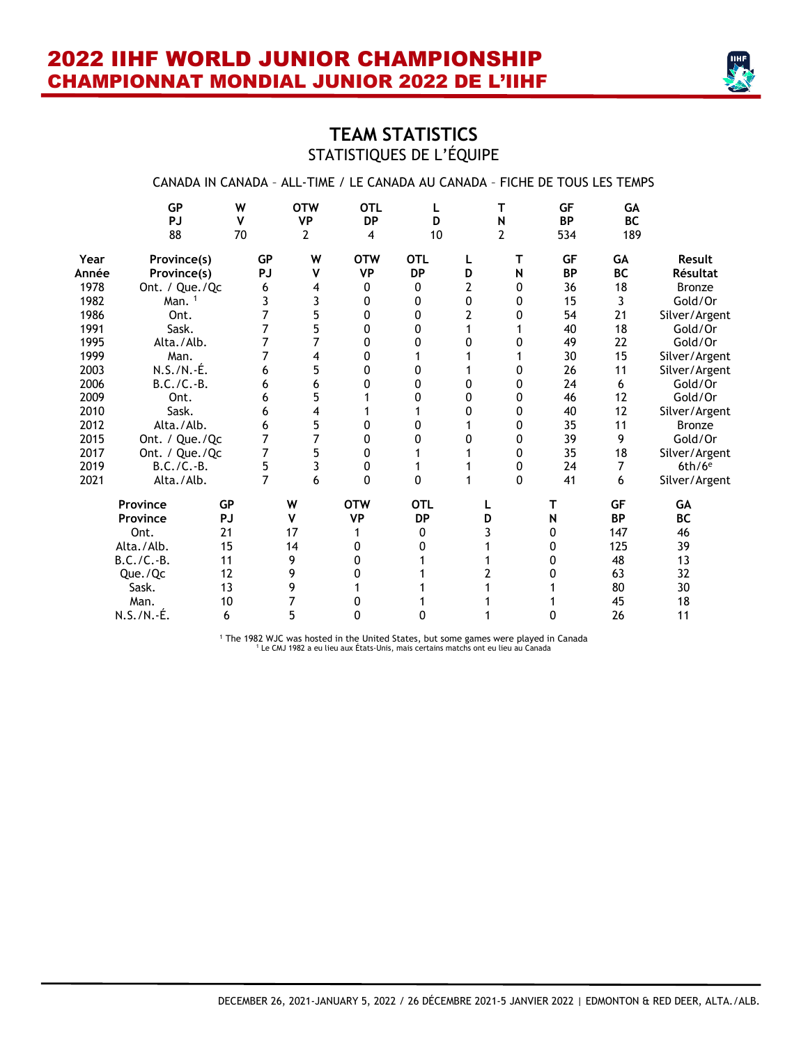

# **TEAM STATISTICS** STATISTIQUES DE L'ÉQUIPE

|       |                              |                         |           |                              | CANADA IN CANADA - ALL-TIME / LE CANADA AU CANADA - FICHE DE TOUS LES TEMPS |              |                |                          |                        |                               |                      |
|-------|------------------------------|-------------------------|-----------|------------------------------|-----------------------------------------------------------------------------|--------------|----------------|--------------------------|------------------------|-------------------------------|----------------------|
|       | <b>GP</b><br><b>PJ</b><br>88 | W<br>$\mathsf{v}$<br>70 |           | <b>OTW</b><br><b>VP</b><br>2 | <b>OTL</b><br><b>DP</b><br>4                                                | L<br>D<br>10 |                | T<br>N<br>$\overline{2}$ | GF<br><b>BP</b><br>534 | <b>GA</b><br><b>BC</b><br>189 |                      |
| Year  | Province(s)                  |                         | <b>GP</b> | W                            | <b>OTW</b>                                                                  | <b>OTL</b>   | L              | т                        | <b>GF</b>              | <b>GA</b>                     | Result               |
| Année | Province(s)                  |                         | PJ        | V                            | <b>VP</b>                                                                   | <b>DP</b>    | D              | N                        | <b>BP</b>              | <b>BC</b>                     | Résultat             |
| 1978  | Ont. / Que./Qc               |                         | 6         | 4                            | 0                                                                           | 0            | 2              | 0                        | 36                     | 18                            | <b>Bronze</b>        |
| 1982  | Man. <sup>1</sup>            |                         | 3         | 3                            | 0                                                                           | 0            | 0              | 0                        | 15                     | 3                             | Gold/Or              |
| 1986  | Ont.                         |                         | 7         | 5                            | 0                                                                           | 0            | $\overline{2}$ | 0                        | 54                     | 21                            | Silver/Argent        |
| 1991  | Sask.                        |                         | 7         | 5                            | 0                                                                           | 0            | 1              |                          | 40                     | 18                            | Gold/Or              |
| 1995  | Alta./Alb.                   |                         | 7         |                              | 0                                                                           | 0            | 0              | 0                        | 49                     | 22                            | Gold/Or              |
| 1999  | Man.                         |                         | 7         | 4                            | 0                                                                           |              |                |                          | 30                     | 15                            | Silver/Argent        |
| 2003  | N.S./N.-É.                   |                         | 6         | 5                            | 0                                                                           | 0            |                | 0                        | 26                     | 11                            | Silver/Argent        |
| 2006  | $B.C./C.-B.$                 |                         | 6         | 6                            | 0                                                                           | 0            | 0              | 0                        | 24                     | 6                             | Gold/Or              |
| 2009  | Ont.                         |                         | 6         | 5                            |                                                                             | 0            | 0              | 0                        | 46                     | 12                            | Gold/Or              |
| 2010  | Sask.                        |                         | 6         | 4                            |                                                                             |              | 0              | 0                        | 40                     | 12                            | Silver/Argent        |
| 2012  | Alta./Alb.                   |                         | 6         | 5                            | 0                                                                           | 0            | 1              | 0                        | 35                     | 11                            | Bronze               |
| 2015  | Ont. / Que./Qc               |                         | 7         |                              | 0                                                                           | 0            | 0              | 0                        | 39                     | 9                             | Gold/Or              |
| 2017  | Ont. / Que./Qc               |                         | 7         | 5                            | 0                                                                           |              |                | 0                        | 35                     | 18                            | Silver/Argent        |
| 2019  | $B.C./C.-B.$                 |                         | 5         | 3                            | 0                                                                           |              |                | 0                        | 24                     | 7                             | $6th/6$ <sup>e</sup> |
| 2021  | Alta./Alb.                   |                         | 7         | 6                            | 0                                                                           | 0            | 1              | 0                        | 41                     | 6                             | Silver/Argent        |
|       | Province                     | <b>GP</b>               |           | W                            | <b>OTW</b>                                                                  | <b>OTL</b>   |                |                          | т                      | <b>GF</b>                     | GA                   |
|       | Province                     | <b>PJ</b>               |           | v                            | <b>VP</b>                                                                   | <b>DP</b>    | D              |                          | N                      | <b>BP</b>                     | <b>BC</b>            |
|       | Ont.                         | 21                      |           | 17                           |                                                                             | 0            | 3              |                          | 0                      | 147                           | 46                   |
|       | Alta./Alb.                   | 15                      |           | 14                           | 0                                                                           | 0            |                |                          | 0                      | 125                           | 39                   |
|       | $B.C./C.-B.$                 | 11                      |           | 9                            | 0                                                                           |              |                |                          | 0                      | 48                            | 13                   |
|       | Que./Qc                      | 12                      |           | 9                            | 0                                                                           |              | 2              |                          | 0                      | 63                            | 32                   |
|       | Sask.                        | 13                      |           | 9                            |                                                                             |              |                |                          |                        | 80                            | 30                   |
|       | Man.                         | 10                      |           | 7                            | 0                                                                           |              |                |                          |                        | 45                            | 18                   |
|       | N.S./N.-É.                   | 6                       |           | 5                            | 0                                                                           | 0            |                |                          | 0                      | 26                            | 11                   |

<sup>1</sup> The 1982 WJC was hosted in the United States, but some games were played in Canada <sup>1</sup> Le CMJ 1982 a eu lieu aux États-Unis, mais certains matchs ont eu lieu au Canada

DECEMBER 26, 2021-JANUARY 5, 2022 / 26 DÉCEMBRE 2021-5 JANVIER 2022 | EDMONTON & RED DEER, ALTA./ALB.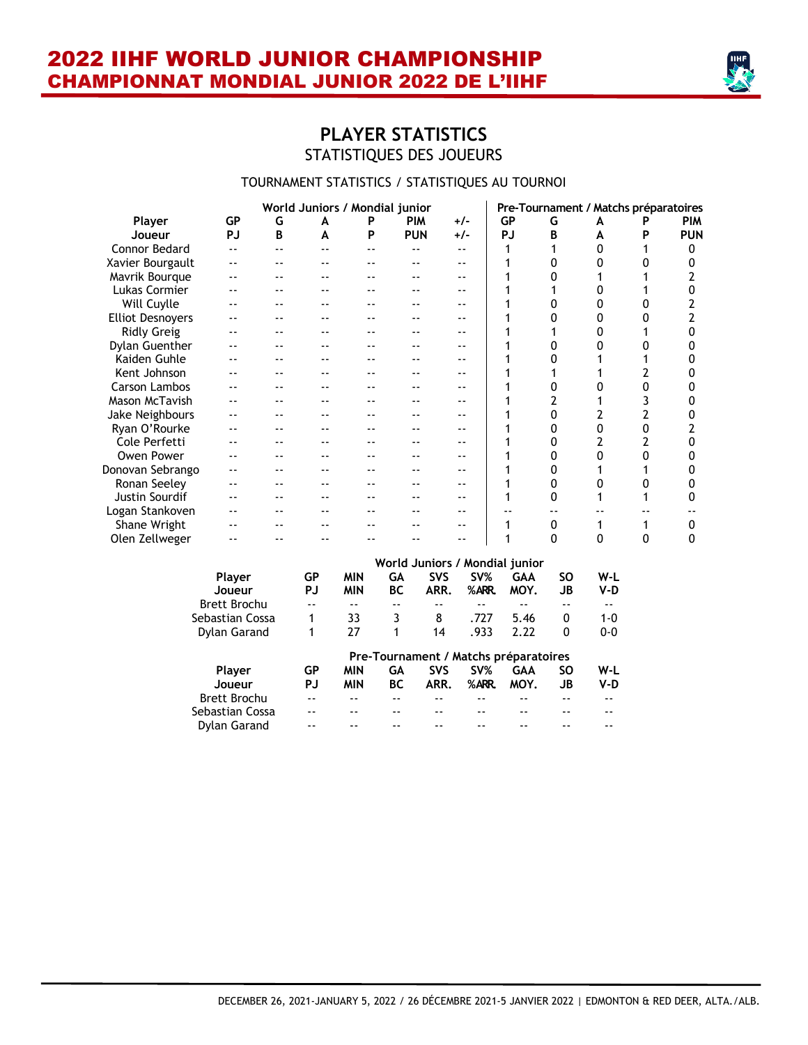

# **PLAYER STATISTICS** STATISTIQUES DES JOUEURS

#### TOURNAMENT STATISTICS / STATISTIQUES AU TOURNOI

|                         |                     |    |           | World Juniors / Mondial junior |            |            |       |                                |           | Pre-Tournament / Matchs préparatoires |   |            |
|-------------------------|---------------------|----|-----------|--------------------------------|------------|------------|-------|--------------------------------|-----------|---------------------------------------|---|------------|
| Player                  | <b>GP</b>           | G  | A         | P                              | <b>PIM</b> | +/-        |       | <b>GP</b>                      | G         | A                                     |   | <b>PIM</b> |
| Joueur                  | <b>PJ</b>           | B  | A         | P                              | <b>PUN</b> | $+/-$      |       | <b>PJ</b>                      | B         | A                                     | Ρ | <b>PUN</b> |
| <b>Connor Bedard</b>    | --                  | -- |           | $ -$                           | $- -$      | $ -$       |       |                                | 1         | $\Omega$                              |   | 0          |
| Xavier Bourgault        |                     |    |           |                                |            |            |       |                                | 0         | 0                                     | 0 | 0          |
| Mavrik Bourque          |                     |    |           |                                |            |            |       |                                | N         |                                       |   | 2          |
| Lukas Cormier           |                     |    |           |                                |            |            |       |                                |           | ŋ                                     |   | 0          |
| Will Cuylle             |                     |    |           |                                |            |            |       |                                | 0         | 0                                     | 0 | 2          |
| <b>Elliot Desnoyers</b> |                     |    |           |                                |            |            |       |                                | N         | 0                                     | N | 2          |
| <b>Ridly Greig</b>      |                     |    |           |                                |            |            |       |                                |           | 0                                     |   | 0          |
| Dylan Guenther          |                     |    |           |                                |            |            |       |                                | 0         | 0                                     | 0 | 0          |
| Kaiden Guhle            |                     |    |           |                                |            |            |       |                                | 0         |                                       |   | 0          |
| Kent Johnson            |                     |    |           |                                |            |            |       |                                |           |                                       |   | 0          |
| <b>Carson Lambos</b>    |                     |    |           |                                |            |            |       |                                | 0         |                                       | 0 | 0          |
| <b>Mason McTavish</b>   |                     |    |           |                                |            |            |       |                                | 2         |                                       | 3 | 0          |
| Jake Neighbours         |                     |    |           |                                |            |            |       |                                | 0         | 2                                     | 2 | 0          |
| Ryan O'Rourke           |                     |    |           |                                |            |            |       |                                | 0         | 0                                     | 0 | 2          |
| Cole Perfetti           |                     |    |           |                                |            |            |       |                                | 0         | 2                                     | 2 | 0          |
| Owen Power              |                     |    |           |                                |            |            |       |                                | 0         | 0                                     | 0 | 0          |
| Donovan Sebrango        | --                  |    |           |                                |            |            |       |                                | 0         |                                       |   | 0          |
| Ronan Seeley            | --                  |    |           |                                |            |            |       |                                | 0         | ŋ                                     | 0 | 0          |
| <b>Justin Sourdif</b>   |                     |    |           |                                |            |            |       | 1                              | 0         |                                       |   | 0          |
| Logan Stankoven         |                     |    |           |                                |            |            |       |                                |           |                                       |   |            |
| Shane Wright            |                     |    |           |                                |            | --         |       | 1                              | 0         | 1                                     | 1 | 0          |
| Olen Zellweger          |                     |    |           |                                |            |            |       | 1                              | 0         | $\mathbf 0$                           | 0 | 0          |
|                         |                     |    |           |                                |            |            |       | World Juniors / Mondial junior |           |                                       |   |            |
|                         | Player              |    | <b>GP</b> | <b>MIN</b>                     | GA         | <b>SVS</b> | SV%   | <b>GAA</b>                     | <b>SO</b> | W-L                                   |   |            |
|                         | Joueur              |    | <b>PJ</b> | <b>MIN</b>                     | <b>BC</b>  | ARR.       | %ARR. | MOY.                           | <b>JB</b> | $V-D$                                 |   |            |
|                         | <b>Brett Brochu</b> |    |           | $-$                            |            |            |       |                                |           |                                       |   |            |
|                         | Sebastian Cossa     |    | 1         | 33                             | 3          | 8          | .727  | 5.46                           | 0         | $1 - 0$                               |   |            |
|                         | <b>Dylan Garand</b> |    | 1         | 27                             | 1          | 14         | .933  | 2.22                           | $\Omega$  | $0 - 0$                               |   |            |

|                 |       |     |     |            |       | Pre-Tournament / Matchs préparatoires |    |     |
|-----------------|-------|-----|-----|------------|-------|---------------------------------------|----|-----|
| Player          | GР    | MIN | GA  | <b>SVS</b> | SV%   | GAA                                   | SΩ | W-I |
| Joueur          | PJ.   | MIN | BC. | ARR.       | %ARR. | MOY.                                  | JB | V-D |
| Brett Brochu    | $- -$ | --  |     |            |       |                                       |    |     |
| Sebastian Cossa | $ -$  | --  | --  | --         |       | --                                    |    |     |
| Dylan Garand    | --    |     | --  |            |       |                                       |    |     |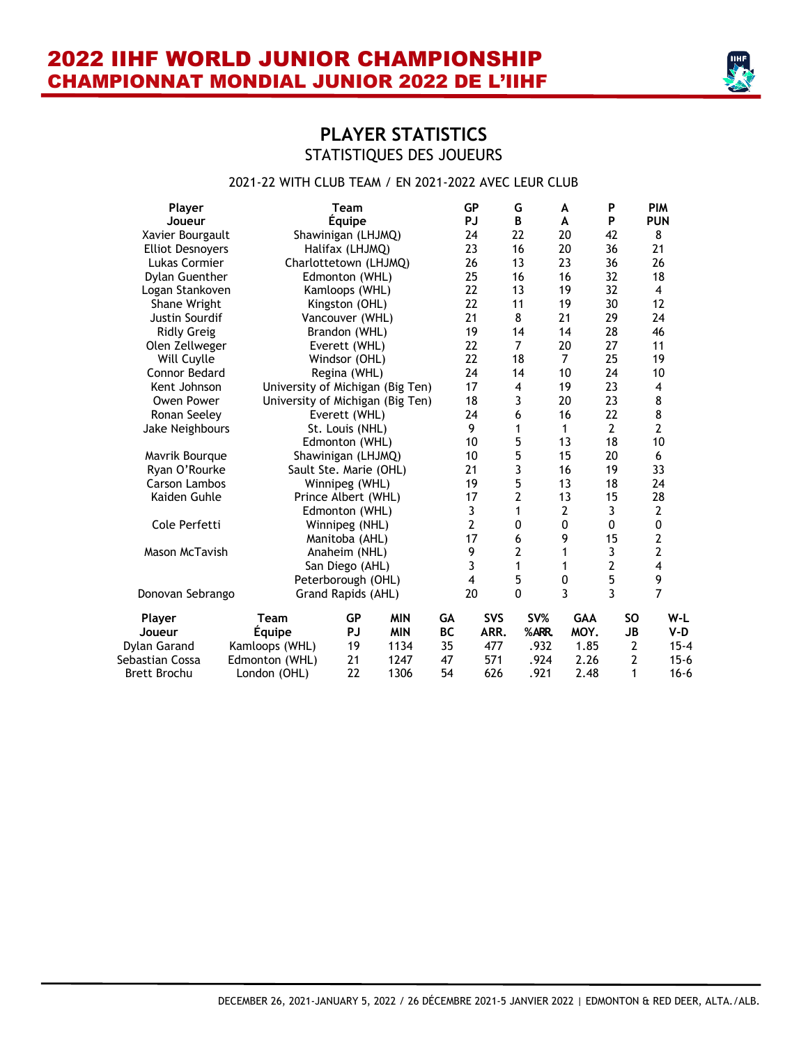

# **PLAYER STATISTICS** STATISTIQUES DES JOUEURS

#### 2021-22 WITH CLUB TEAM / EN 2021-2022 AVEC LEUR CLUB

| Player                  |                                  | <b>Team</b>            |            |           | <b>GP</b>               | G              | A              | P              | <b>PIM</b>              |          |
|-------------------------|----------------------------------|------------------------|------------|-----------|-------------------------|----------------|----------------|----------------|-------------------------|----------|
| Joueur                  |                                  | <b>Équipe</b>          |            |           | <b>PJ</b>               | B              | A              | P              | <b>PUN</b>              |          |
| Xavier Bourgault        |                                  | Shawinigan (LHJMQ)     |            |           | 24                      | 22             | 20             | 42             | 8                       |          |
| <b>Elliot Desnoyers</b> |                                  | Halifax (LHJMQ)        |            |           | 23                      | 16             | 20             | 36             | 21                      |          |
| Lukas Cormier           | Charlottetown (LHJMQ)            |                        |            |           | 26                      | 13             | 23             | 36             | 26                      |          |
| Dylan Guenther          |                                  | Edmonton (WHL)         |            |           | 25                      | 16             | 16             | 32             | 18                      |          |
| Logan Stankoven         |                                  | Kamloops (WHL)         |            |           | 22                      | 13             | 19             | 32             | 4                       |          |
| Shane Wright            |                                  | Kingston (OHL)         |            |           | 22                      | 11             | 19             | 30             | 12                      |          |
| Justin Sourdif          |                                  | Vancouver (WHL)        |            |           | 21                      | 8              | 21             | 29             | 24                      |          |
| <b>Ridly Greig</b>      |                                  | Brandon (WHL)          |            |           | 19                      | 14             | 14             | 28             | 46                      |          |
| Olen Zellweger          |                                  | Everett (WHL)          |            |           | 22                      | $\overline{7}$ | 20             | 27             | 11                      |          |
| Will Cuylle             |                                  | Windsor (OHL)          |            |           | 22                      | 18             | $\overline{7}$ | 25             | 19                      |          |
| Connor Bedard           |                                  | Regina (WHL)           |            |           | 24                      | 14             | 10             | 24             | 10                      |          |
| Kent Johnson            | University of Michigan (Big Ten) |                        |            |           | 17                      | 4              | 19             | 23             | 4                       |          |
| Owen Power              | University of Michigan (Big Ten) |                        |            |           | 18                      | 3              | 20             | 23             | 8                       |          |
| Ronan Seeley            |                                  | Everett (WHL)          |            |           | 24                      | 6              | 16             | 22             | 8                       |          |
| Jake Neighbours         |                                  | St. Louis (NHL)        |            |           | 9                       | 1              | 1              | $\overline{2}$ | 2                       |          |
|                         |                                  | Edmonton (WHL)         |            |           | 10                      | 5              | 13             | 18             | 10                      |          |
| Mavrik Bourque          |                                  | Shawinigan (LHJMQ)     |            |           | 10                      | 5              | 15             | 20             | 6                       |          |
| Ryan O'Rourke           |                                  | Sault Ste. Marie (OHL) |            |           | 21                      | 3              | 16             | 19             | 33                      |          |
| <b>Carson Lambos</b>    |                                  | Winnipeg (WHL)         |            |           | 19                      | 5              | 13             | 18             | 24                      |          |
| Kaiden Guhle            |                                  | Prince Albert (WHL)    |            |           | 17                      | $\overline{2}$ | 13             | 15             | 28                      |          |
|                         |                                  | Edmonton (WHL)         |            |           | 3                       | 1              | $\mathbf{2}$   | 3              | $\mathbf{2}$            |          |
| Cole Perfetti           |                                  | Winnipeg (NHL)         |            |           | $\overline{2}$          | 0              | 0              | 0              | $\mathbf 0$             |          |
|                         |                                  | Manitoba (AHL)         |            |           | 17                      | 6              | 9              | 15             | $\overline{2}$          |          |
| Mason McTavish          |                                  | Anaheim (NHL)          |            |           | 9                       | $\overline{2}$ | 1              | 3              | $\overline{2}$          |          |
|                         |                                  | San Diego (AHL)        |            |           | $\overline{\mathbf{3}}$ | 1              | 1              | $\overline{2}$ | $\overline{\mathbf{4}}$ |          |
|                         |                                  | Peterborough (OHL)     |            |           | $\overline{\mathbf{4}}$ | 5              | $\pmb{0}$      | 5              | 9                       |          |
| Donovan Sebrango        |                                  | Grand Rapids (AHL)     |            |           | 20                      | $\mathbf 0$    | 3              | 3              | $\overline{7}$          |          |
| Player                  | Team                             | <b>GP</b>              | <b>MIN</b> | GA        | <b>SVS</b>              | SV%            | <b>GAA</b>     | <b>SO</b>      |                         | W-L      |
| Joueur                  | <b>Équipe</b>                    | <b>PJ</b>              | <b>MIN</b> | <b>BC</b> | ARR.                    | %ARR.          | MOY.           |                | JB                      | V-D      |
| <b>Dylan Garand</b>     | Kamloops (WHL)                   | 19                     | 1134       | 35        | 477                     | .932           | 1.85           |                | 2                       | $15 - 4$ |
| Sebastian Cossa         | Edmonton (WHL)                   | 21                     | 1247       | 47        | 571                     | .924           | 2.26           |                | $\overline{2}$          | $15 - 6$ |
| <b>Brett Brochu</b>     | London (OHL)                     | 22                     | 1306       | 54        | 626                     | .921           | 2.48           |                | 1                       | $16 - 6$ |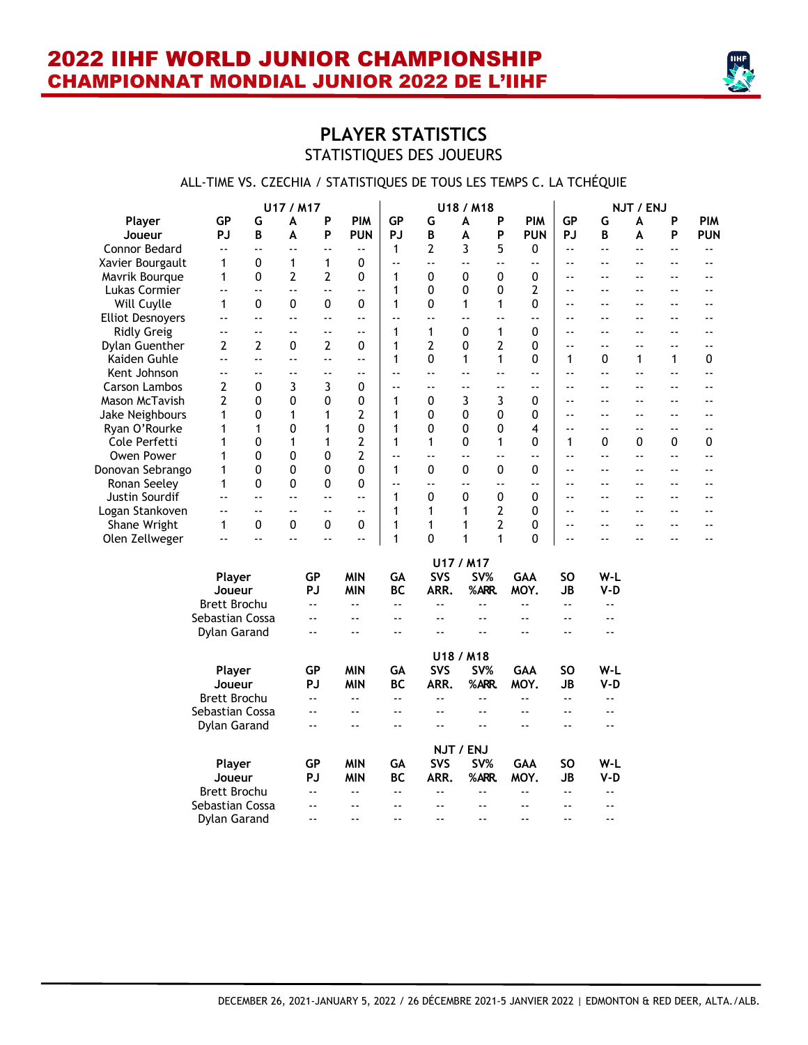

# **PLAYER STATISTICS** STATISTIQUES DES JOUEURS

#### ALL-TIME VS. CZECHIA / STATISTIQUES DE TOUS LES TEMPS C. LA TCHÉQUIE

| <b>GP</b><br><b>PIM</b><br><b>GP</b><br>G<br>P<br><b>PIM</b><br>G<br>P<br><b>PIM</b><br><b>GP</b><br>A<br>Player<br>A<br>A<br>G<br>P<br>P<br>P<br><b>PJ</b><br>B<br><b>PUN</b><br>PJ<br>B<br>A<br><b>PUN</b><br>PJ<br>B<br>P<br><b>PUN</b><br>Joueur<br>A<br>A<br>$\overline{2}$<br>3<br>5<br>Connor Bedard<br>$\mathbf{1}$<br>0<br>$\overline{\phantom{a}}$ .<br>$-$<br>$\sim$ $\sim$<br>$-1$<br>٠.<br>$\overline{\phantom{a}}$<br>$-$<br>$-$<br>$\sim$ $\sim$<br>$\overline{a}$<br>0<br>$\mathbf{1}$<br>$\mathbf{1}$<br>0<br>Xavier Bourgault<br>1<br>$\ddot{\phantom{a}}$<br>$\overline{\phantom{a}}$<br>$\ddotsc$<br>$-$<br>۵.<br>$\sim$ $\sim$<br>$-1$<br>$-$<br>$-$<br>$\overline{\phantom{a}}$ .<br>0<br>2<br>2<br>0<br>0<br>0<br>Mavrik Bourque<br>1<br>0<br>1<br>0<br>$-$<br>۵۵<br>$-$<br>$-$<br>٠.<br>$\mathbf 1$<br>2<br>0<br>0<br>0<br>Lukas Cormier<br>$\overline{\phantom{a}}$<br>٠.<br>٠.<br>$-$<br>$\sim$ $\sim$<br>$\overline{a}$<br>$\overline{\phantom{a}}$<br>$\overline{a}$<br>$ -$<br>$ -$<br>0<br>0<br>0<br>$\mathbf{1}$<br>0<br>0<br>1<br>0<br>1<br>Will Cuylle<br>1<br>۵.<br>٠.<br>$-$<br>$-$<br>$-$<br><b>Elliot Desnoyers</b><br>۵.<br>۵.<br>٠.<br>۵.<br>$\ddotsc$<br>Ξ.<br>$-$<br>$-$<br>$-$<br>$\overline{a}$<br>$-$<br>$\overline{\phantom{a}}$ .<br>$\overline{\phantom{a}}$<br>$\overline{\phantom{a}}$<br>$\overline{a}$<br>$\mathbf{1}$<br><b>Ridly Greig</b><br>1<br>0<br>1<br>0<br>$-$<br>۵۵<br>٠.<br>۵۵<br>۵۵<br>$-$<br>$-$<br>$\overline{\phantom{a}}$<br>--<br>--<br>$\overline{2}$<br>$\overline{2}$<br>$\overline{2}$<br>$\overline{2}$<br>$\overline{2}$<br>$\mathbf 0$<br>$\mathbf{1}$<br>Dylan Guenther<br>0<br>0<br>0<br>$\sim$ $\sim$<br>$\overline{\phantom{a}}$ .<br>$ -$<br>$ -$<br>$ -$<br>0<br>$\mathbf 1$<br>$\mathbf{1}$<br>$\mathbf{1}$<br>0<br>0<br>1<br>$\mathbf{1}$<br>0<br>Kaiden Guhle<br>÷.<br>Ц,<br>Ц,<br>1<br>۵۵<br>$\overline{\phantom{a}}$ .<br>Kent Johnson<br>$\overline{\phantom{a}}$<br>۵.<br>$\overline{\phantom{a}}$<br>۵.<br>$\overline{\phantom{a}}$ .<br>٠.<br>$-$<br>$-$<br>$\overline{\phantom{a}}$<br>$\overline{\phantom{a}}$<br>$\overline{\phantom{a}}$<br>$\overline{\phantom{a}}$ .<br>۰-<br>--<br>۰.<br>3<br>3<br>$\overline{2}$<br>0<br>0<br>Carson Lambos<br>$\sim$ $\sim$<br>$\overline{a}$<br>$\overline{a}$<br>$\overline{a}$<br>$\overline{a}$<br>$\overline{a}$<br>$\sim$<br>$\sim$ $\sim$<br>$\overline{\phantom{a}}$<br>$\overline{\phantom{a}}$<br>2<br>0<br>0<br>0<br>0<br>3<br>3<br>Mason McTavish<br>0<br>1<br>0<br>$-$<br>$-$<br>$-$<br>$-$<br>$\overline{a}$<br>0<br>1<br>1<br>2<br>$\mathbf 1$<br>0<br>0<br>0<br>0<br>Jake Neighbours<br>1<br>$-$<br>۵۵<br>$-$<br>$-$<br>$-$<br>Ryan O'Rourke<br>0<br>0<br>1<br>0<br>0<br>0<br>1<br>1<br>1<br>4<br>$\overline{\phantom{a}}$ .<br>$\overline{\phantom{a}}$ .<br>$\overline{\phantom{a}}$ .<br>$ -$<br>--<br>2<br>0<br>$\mathbf{1}$<br>1<br>1<br>$\mathbf{1}$<br>0<br>$\mathbf{1}$<br>0<br>0<br>Cole Perfetti<br>1<br>1<br>0<br>0<br>0<br>0<br>0<br>0<br>2<br>Owen Power<br>1<br>٠.<br>۵.<br>$\overline{\phantom{a}}$<br>٠.<br>Ξ.<br>۵.<br>$\overline{a}$<br>$\overline{\phantom{a}}$<br>--<br>--<br>0<br>0<br>0<br>0<br>Donovan Sebrango<br>0<br>0<br>$\mathbf{1}$<br>0<br>$\Omega$<br>1<br>$\sim$<br>$\overline{\phantom{a}}$<br>$\overline{a}$<br>$\sim$ $\sim$<br>$ -$<br>0<br>0<br>0<br>0<br>Ronan Seeley<br>1<br>۵.<br>$\overline{a}$<br>٠.<br>$\ddotsc$<br>Ξ.<br>۵.<br>$\overline{a}$<br>$-$<br>$-$<br>$\overline{a}$<br>0<br>0<br>0<br>0<br>Justin Sourdif<br>1<br>$\overline{\phantom{a}}$<br>٠.<br>٠.<br>$\overline{\phantom{a}}$ .<br>$-$<br>$-$<br>۵۵<br>$-$<br>٠.<br>$\overline{\phantom{a}}$<br>$\overline{2}$<br>1<br>$\mathbf{1}$<br>$\mathbf{1}$<br>0<br>Logan Stankoven<br>٠.<br>$\overline{a}$<br>$-$<br>$-$<br>$\overline{\phantom{a}}$<br>$\overline{a}$<br>$\overline{\phantom{a}}$<br>$\overline{a}$<br>$-$<br>$-$<br>$\overline{2}$<br>0<br>0<br>Shane Wright<br>0<br>0<br>1<br>0<br>1<br>1<br>1<br>$\overline{a}$<br>$\sim$<br>$\overline{a}$<br>$\overline{a}$<br>$-$<br>0<br>1<br>$\mathbf{1}$<br>1<br>0<br>Olen Zellweger<br>$\ddotsc$<br>۵۵<br>۵۵<br>۵۵<br>Ξ.<br>$\overline{\phantom{a}}$<br>$-$<br>$-$<br>--<br>--<br>U17 / M17<br><b>GP</b><br><b>MIN</b><br>GA<br><b>SVS</b><br>SV%<br>GAA<br><b>SO</b><br>W-L<br>Player<br>PJ<br><b>MIN</b><br><b>BC</b><br>ARR.<br>%ARR.<br>MOY.<br><b>JB</b><br>V-D<br>Joueur<br><b>Brett Brochu</b><br>$\Box$<br>Ξ.<br>Ξ.<br>$\ddotsc$<br>Ξ.<br>Ξ.<br>$\overline{\phantom{a}}$<br>$\sim$ $\sim$<br>Sebastian Cossa<br>$\overline{\phantom{a}}$<br>$\overline{a}$<br>۵۵<br>۵۵<br>--<br>--<br>$ -$<br>$\overline{a}$<br>Dylan Garand<br>۵.<br>$\sim$ $\sim$<br>$\overline{a}$<br>$\sim$<br>$\overline{\phantom{a}}$<br>$-$<br>$\overline{a}$<br>$\sim$<br>U18 / M18<br>SV%<br>W-L<br>Player<br>GP<br><b>MIN</b><br>GA<br><b>SVS</b><br><b>GAA</b><br>SΟ<br>PJ<br><b>MIN</b><br><b>BC</b><br>ARR.<br>%ARR.<br>MOY.<br><b>JB</b><br>V-D<br>Joueur<br><b>Brett Brochu</b><br>ц,<br>Ξ.<br>$\overline{\phantom{a}}$<br>۵۵<br>Ξ.<br>$\sim$ $\sim$<br>٠.<br>٠.<br>Sebastian Cossa<br>Ξ.<br>$\sim$ $\sim$<br>$\overline{a}$<br>٠.<br>$\overline{\phantom{a}}$<br>$\overline{\phantom{a}}$<br>$\overline{\phantom{a}}$<br>$-$<br>Dylan Garand<br>۵۵<br>$-$<br>٠.<br>$\overline{a}$<br>۵۵<br>۵.<br>$-$<br>NJT / ENJ<br><b>SVS</b><br>SV%<br><b>GP</b><br><b>MIN</b><br>GA<br><b>GAA</b><br><b>SO</b><br>W-L<br>Player<br>PJ<br><b>BC</b><br>ARR.<br>%ARR.<br>MOY.<br><b>JB</b><br>Joueur<br>MIN<br>V-D<br><b>Brett Brochu</b><br>μ.<br>$\ddotsc$<br>$\ddotsc$<br>٠.<br>$\ddotsc$<br>٠.<br>٠.<br>$\sim$ $\sim$<br>Sebastian Cossa<br>$\overline{\phantom{a}}$<br>--<br>--<br>$\overline{\phantom{a}}$<br>$\overline{\phantom{a}}$<br>$\overline{a}$<br>--<br>$\overline{a}$<br><b>Dylan Garand</b><br>$\overline{a}$<br>$\overline{a}$<br>$\sim$ $\sim$<br>$\overline{\phantom{a}}$<br>$ -$<br>$ -$<br>$\overline{a}$<br>$ -$ |  | U17 / M17 |  |  | U18 / M18 |  |  | NJT / ENJ |  |
|--------------------------------------------------------------------------------------------------------------------------------------------------------------------------------------------------------------------------------------------------------------------------------------------------------------------------------------------------------------------------------------------------------------------------------------------------------------------------------------------------------------------------------------------------------------------------------------------------------------------------------------------------------------------------------------------------------------------------------------------------------------------------------------------------------------------------------------------------------------------------------------------------------------------------------------------------------------------------------------------------------------------------------------------------------------------------------------------------------------------------------------------------------------------------------------------------------------------------------------------------------------------------------------------------------------------------------------------------------------------------------------------------------------------------------------------------------------------------------------------------------------------------------------------------------------------------------------------------------------------------------------------------------------------------------------------------------------------------------------------------------------------------------------------------------------------------------------------------------------------------------------------------------------------------------------------------------------------------------------------------------------------------------------------------------------------------------------------------------------------------------------------------------------------------------------------------------------------------------------------------------------------------------------------------------------------------------------------------------------------------------------------------------------------------------------------------------------------------------------------------------------------------------------------------------------------------------------------------------------------------------------------------------------------------------------------------------------------------------------------------------------------------------------------------------------------------------------------------------------------------------------------------------------------------------------------------------------------------------------------------------------------------------------------------------------------------------------------------------------------------------------------------------------------------------------------------------------------------------------------------------------------------------------------------------------------------------------------------------------------------------------------------------------------------------------------------------------------------------------------------------------------------------------------------------------------------------------------------------------------------------------------------------------------------------------------------------------------------------------------------------------------------------------------------------------------------------------------------------------------------------------------------------------------------------------------------------------------------------------------------------------------------------------------------------------------------------------------------------------------------------------------------------------------------------------------------------------------------------------------------------------------------------------------------------------------------------------------------------------------------------------------------------------------------------------------------------------------------------------------------------------------------------------------------------------------------------------------------------------------------------------------------------------------------------------------------------------------------------------------------------------------------------------------------------------------------------------------------------------------------------------------------------------------------------------------------------------------------------------------------------------------------------------------------------------------------------------------------------------------------------------------------------------------------------------------------------------------------------------------------------------------------------------------------------------------------------------------------------------------------------------------------------------------------------------------------------------------------------------------------------------------------------------------------------------------------------------------------------------------------------------------------------------------------------------------------------------------------------------------------------------------------------------------------------------------------------------------------------------------------------------------------------------------------------------|--|-----------|--|--|-----------|--|--|-----------|--|
|                                                                                                                                                                                                                                                                                                                                                                                                                                                                                                                                                                                                                                                                                                                                                                                                                                                                                                                                                                                                                                                                                                                                                                                                                                                                                                                                                                                                                                                                                                                                                                                                                                                                                                                                                                                                                                                                                                                                                                                                                                                                                                                                                                                                                                                                                                                                                                                                                                                                                                                                                                                                                                                                                                                                                                                                                                                                                                                                                                                                                                                                                                                                                                                                                                                                                                                                                                                                                                                                                                                                                                                                                                                                                                                                                                                                                                                                                                                                                                                                                                                                                                                                                                                                                                                                                                                                                                                                                                                                                                                                                                                                                                                                                                                                                                                                                                                                                                                                                                                                                                                                                                                                                                                                                                                                                                                                                                                                                                                                                                                                                                                                                                                                                                                                                                                                                                                                                                                                      |  |           |  |  |           |  |  |           |  |
|                                                                                                                                                                                                                                                                                                                                                                                                                                                                                                                                                                                                                                                                                                                                                                                                                                                                                                                                                                                                                                                                                                                                                                                                                                                                                                                                                                                                                                                                                                                                                                                                                                                                                                                                                                                                                                                                                                                                                                                                                                                                                                                                                                                                                                                                                                                                                                                                                                                                                                                                                                                                                                                                                                                                                                                                                                                                                                                                                                                                                                                                                                                                                                                                                                                                                                                                                                                                                                                                                                                                                                                                                                                                                                                                                                                                                                                                                                                                                                                                                                                                                                                                                                                                                                                                                                                                                                                                                                                                                                                                                                                                                                                                                                                                                                                                                                                                                                                                                                                                                                                                                                                                                                                                                                                                                                                                                                                                                                                                                                                                                                                                                                                                                                                                                                                                                                                                                                                                      |  |           |  |  |           |  |  |           |  |
|                                                                                                                                                                                                                                                                                                                                                                                                                                                                                                                                                                                                                                                                                                                                                                                                                                                                                                                                                                                                                                                                                                                                                                                                                                                                                                                                                                                                                                                                                                                                                                                                                                                                                                                                                                                                                                                                                                                                                                                                                                                                                                                                                                                                                                                                                                                                                                                                                                                                                                                                                                                                                                                                                                                                                                                                                                                                                                                                                                                                                                                                                                                                                                                                                                                                                                                                                                                                                                                                                                                                                                                                                                                                                                                                                                                                                                                                                                                                                                                                                                                                                                                                                                                                                                                                                                                                                                                                                                                                                                                                                                                                                                                                                                                                                                                                                                                                                                                                                                                                                                                                                                                                                                                                                                                                                                                                                                                                                                                                                                                                                                                                                                                                                                                                                                                                                                                                                                                                      |  |           |  |  |           |  |  |           |  |
|                                                                                                                                                                                                                                                                                                                                                                                                                                                                                                                                                                                                                                                                                                                                                                                                                                                                                                                                                                                                                                                                                                                                                                                                                                                                                                                                                                                                                                                                                                                                                                                                                                                                                                                                                                                                                                                                                                                                                                                                                                                                                                                                                                                                                                                                                                                                                                                                                                                                                                                                                                                                                                                                                                                                                                                                                                                                                                                                                                                                                                                                                                                                                                                                                                                                                                                                                                                                                                                                                                                                                                                                                                                                                                                                                                                                                                                                                                                                                                                                                                                                                                                                                                                                                                                                                                                                                                                                                                                                                                                                                                                                                                                                                                                                                                                                                                                                                                                                                                                                                                                                                                                                                                                                                                                                                                                                                                                                                                                                                                                                                                                                                                                                                                                                                                                                                                                                                                                                      |  |           |  |  |           |  |  |           |  |
|                                                                                                                                                                                                                                                                                                                                                                                                                                                                                                                                                                                                                                                                                                                                                                                                                                                                                                                                                                                                                                                                                                                                                                                                                                                                                                                                                                                                                                                                                                                                                                                                                                                                                                                                                                                                                                                                                                                                                                                                                                                                                                                                                                                                                                                                                                                                                                                                                                                                                                                                                                                                                                                                                                                                                                                                                                                                                                                                                                                                                                                                                                                                                                                                                                                                                                                                                                                                                                                                                                                                                                                                                                                                                                                                                                                                                                                                                                                                                                                                                                                                                                                                                                                                                                                                                                                                                                                                                                                                                                                                                                                                                                                                                                                                                                                                                                                                                                                                                                                                                                                                                                                                                                                                                                                                                                                                                                                                                                                                                                                                                                                                                                                                                                                                                                                                                                                                                                                                      |  |           |  |  |           |  |  |           |  |
|                                                                                                                                                                                                                                                                                                                                                                                                                                                                                                                                                                                                                                                                                                                                                                                                                                                                                                                                                                                                                                                                                                                                                                                                                                                                                                                                                                                                                                                                                                                                                                                                                                                                                                                                                                                                                                                                                                                                                                                                                                                                                                                                                                                                                                                                                                                                                                                                                                                                                                                                                                                                                                                                                                                                                                                                                                                                                                                                                                                                                                                                                                                                                                                                                                                                                                                                                                                                                                                                                                                                                                                                                                                                                                                                                                                                                                                                                                                                                                                                                                                                                                                                                                                                                                                                                                                                                                                                                                                                                                                                                                                                                                                                                                                                                                                                                                                                                                                                                                                                                                                                                                                                                                                                                                                                                                                                                                                                                                                                                                                                                                                                                                                                                                                                                                                                                                                                                                                                      |  |           |  |  |           |  |  |           |  |
|                                                                                                                                                                                                                                                                                                                                                                                                                                                                                                                                                                                                                                                                                                                                                                                                                                                                                                                                                                                                                                                                                                                                                                                                                                                                                                                                                                                                                                                                                                                                                                                                                                                                                                                                                                                                                                                                                                                                                                                                                                                                                                                                                                                                                                                                                                                                                                                                                                                                                                                                                                                                                                                                                                                                                                                                                                                                                                                                                                                                                                                                                                                                                                                                                                                                                                                                                                                                                                                                                                                                                                                                                                                                                                                                                                                                                                                                                                                                                                                                                                                                                                                                                                                                                                                                                                                                                                                                                                                                                                                                                                                                                                                                                                                                                                                                                                                                                                                                                                                                                                                                                                                                                                                                                                                                                                                                                                                                                                                                                                                                                                                                                                                                                                                                                                                                                                                                                                                                      |  |           |  |  |           |  |  |           |  |
|                                                                                                                                                                                                                                                                                                                                                                                                                                                                                                                                                                                                                                                                                                                                                                                                                                                                                                                                                                                                                                                                                                                                                                                                                                                                                                                                                                                                                                                                                                                                                                                                                                                                                                                                                                                                                                                                                                                                                                                                                                                                                                                                                                                                                                                                                                                                                                                                                                                                                                                                                                                                                                                                                                                                                                                                                                                                                                                                                                                                                                                                                                                                                                                                                                                                                                                                                                                                                                                                                                                                                                                                                                                                                                                                                                                                                                                                                                                                                                                                                                                                                                                                                                                                                                                                                                                                                                                                                                                                                                                                                                                                                                                                                                                                                                                                                                                                                                                                                                                                                                                                                                                                                                                                                                                                                                                                                                                                                                                                                                                                                                                                                                                                                                                                                                                                                                                                                                                                      |  |           |  |  |           |  |  |           |  |
|                                                                                                                                                                                                                                                                                                                                                                                                                                                                                                                                                                                                                                                                                                                                                                                                                                                                                                                                                                                                                                                                                                                                                                                                                                                                                                                                                                                                                                                                                                                                                                                                                                                                                                                                                                                                                                                                                                                                                                                                                                                                                                                                                                                                                                                                                                                                                                                                                                                                                                                                                                                                                                                                                                                                                                                                                                                                                                                                                                                                                                                                                                                                                                                                                                                                                                                                                                                                                                                                                                                                                                                                                                                                                                                                                                                                                                                                                                                                                                                                                                                                                                                                                                                                                                                                                                                                                                                                                                                                                                                                                                                                                                                                                                                                                                                                                                                                                                                                                                                                                                                                                                                                                                                                                                                                                                                                                                                                                                                                                                                                                                                                                                                                                                                                                                                                                                                                                                                                      |  |           |  |  |           |  |  |           |  |
|                                                                                                                                                                                                                                                                                                                                                                                                                                                                                                                                                                                                                                                                                                                                                                                                                                                                                                                                                                                                                                                                                                                                                                                                                                                                                                                                                                                                                                                                                                                                                                                                                                                                                                                                                                                                                                                                                                                                                                                                                                                                                                                                                                                                                                                                                                                                                                                                                                                                                                                                                                                                                                                                                                                                                                                                                                                                                                                                                                                                                                                                                                                                                                                                                                                                                                                                                                                                                                                                                                                                                                                                                                                                                                                                                                                                                                                                                                                                                                                                                                                                                                                                                                                                                                                                                                                                                                                                                                                                                                                                                                                                                                                                                                                                                                                                                                                                                                                                                                                                                                                                                                                                                                                                                                                                                                                                                                                                                                                                                                                                                                                                                                                                                                                                                                                                                                                                                                                                      |  |           |  |  |           |  |  |           |  |
|                                                                                                                                                                                                                                                                                                                                                                                                                                                                                                                                                                                                                                                                                                                                                                                                                                                                                                                                                                                                                                                                                                                                                                                                                                                                                                                                                                                                                                                                                                                                                                                                                                                                                                                                                                                                                                                                                                                                                                                                                                                                                                                                                                                                                                                                                                                                                                                                                                                                                                                                                                                                                                                                                                                                                                                                                                                                                                                                                                                                                                                                                                                                                                                                                                                                                                                                                                                                                                                                                                                                                                                                                                                                                                                                                                                                                                                                                                                                                                                                                                                                                                                                                                                                                                                                                                                                                                                                                                                                                                                                                                                                                                                                                                                                                                                                                                                                                                                                                                                                                                                                                                                                                                                                                                                                                                                                                                                                                                                                                                                                                                                                                                                                                                                                                                                                                                                                                                                                      |  |           |  |  |           |  |  |           |  |
|                                                                                                                                                                                                                                                                                                                                                                                                                                                                                                                                                                                                                                                                                                                                                                                                                                                                                                                                                                                                                                                                                                                                                                                                                                                                                                                                                                                                                                                                                                                                                                                                                                                                                                                                                                                                                                                                                                                                                                                                                                                                                                                                                                                                                                                                                                                                                                                                                                                                                                                                                                                                                                                                                                                                                                                                                                                                                                                                                                                                                                                                                                                                                                                                                                                                                                                                                                                                                                                                                                                                                                                                                                                                                                                                                                                                                                                                                                                                                                                                                                                                                                                                                                                                                                                                                                                                                                                                                                                                                                                                                                                                                                                                                                                                                                                                                                                                                                                                                                                                                                                                                                                                                                                                                                                                                                                                                                                                                                                                                                                                                                                                                                                                                                                                                                                                                                                                                                                                      |  |           |  |  |           |  |  |           |  |
|                                                                                                                                                                                                                                                                                                                                                                                                                                                                                                                                                                                                                                                                                                                                                                                                                                                                                                                                                                                                                                                                                                                                                                                                                                                                                                                                                                                                                                                                                                                                                                                                                                                                                                                                                                                                                                                                                                                                                                                                                                                                                                                                                                                                                                                                                                                                                                                                                                                                                                                                                                                                                                                                                                                                                                                                                                                                                                                                                                                                                                                                                                                                                                                                                                                                                                                                                                                                                                                                                                                                                                                                                                                                                                                                                                                                                                                                                                                                                                                                                                                                                                                                                                                                                                                                                                                                                                                                                                                                                                                                                                                                                                                                                                                                                                                                                                                                                                                                                                                                                                                                                                                                                                                                                                                                                                                                                                                                                                                                                                                                                                                                                                                                                                                                                                                                                                                                                                                                      |  |           |  |  |           |  |  |           |  |
|                                                                                                                                                                                                                                                                                                                                                                                                                                                                                                                                                                                                                                                                                                                                                                                                                                                                                                                                                                                                                                                                                                                                                                                                                                                                                                                                                                                                                                                                                                                                                                                                                                                                                                                                                                                                                                                                                                                                                                                                                                                                                                                                                                                                                                                                                                                                                                                                                                                                                                                                                                                                                                                                                                                                                                                                                                                                                                                                                                                                                                                                                                                                                                                                                                                                                                                                                                                                                                                                                                                                                                                                                                                                                                                                                                                                                                                                                                                                                                                                                                                                                                                                                                                                                                                                                                                                                                                                                                                                                                                                                                                                                                                                                                                                                                                                                                                                                                                                                                                                                                                                                                                                                                                                                                                                                                                                                                                                                                                                                                                                                                                                                                                                                                                                                                                                                                                                                                                                      |  |           |  |  |           |  |  |           |  |
|                                                                                                                                                                                                                                                                                                                                                                                                                                                                                                                                                                                                                                                                                                                                                                                                                                                                                                                                                                                                                                                                                                                                                                                                                                                                                                                                                                                                                                                                                                                                                                                                                                                                                                                                                                                                                                                                                                                                                                                                                                                                                                                                                                                                                                                                                                                                                                                                                                                                                                                                                                                                                                                                                                                                                                                                                                                                                                                                                                                                                                                                                                                                                                                                                                                                                                                                                                                                                                                                                                                                                                                                                                                                                                                                                                                                                                                                                                                                                                                                                                                                                                                                                                                                                                                                                                                                                                                                                                                                                                                                                                                                                                                                                                                                                                                                                                                                                                                                                                                                                                                                                                                                                                                                                                                                                                                                                                                                                                                                                                                                                                                                                                                                                                                                                                                                                                                                                                                                      |  |           |  |  |           |  |  |           |  |
|                                                                                                                                                                                                                                                                                                                                                                                                                                                                                                                                                                                                                                                                                                                                                                                                                                                                                                                                                                                                                                                                                                                                                                                                                                                                                                                                                                                                                                                                                                                                                                                                                                                                                                                                                                                                                                                                                                                                                                                                                                                                                                                                                                                                                                                                                                                                                                                                                                                                                                                                                                                                                                                                                                                                                                                                                                                                                                                                                                                                                                                                                                                                                                                                                                                                                                                                                                                                                                                                                                                                                                                                                                                                                                                                                                                                                                                                                                                                                                                                                                                                                                                                                                                                                                                                                                                                                                                                                                                                                                                                                                                                                                                                                                                                                                                                                                                                                                                                                                                                                                                                                                                                                                                                                                                                                                                                                                                                                                                                                                                                                                                                                                                                                                                                                                                                                                                                                                                                      |  |           |  |  |           |  |  |           |  |
|                                                                                                                                                                                                                                                                                                                                                                                                                                                                                                                                                                                                                                                                                                                                                                                                                                                                                                                                                                                                                                                                                                                                                                                                                                                                                                                                                                                                                                                                                                                                                                                                                                                                                                                                                                                                                                                                                                                                                                                                                                                                                                                                                                                                                                                                                                                                                                                                                                                                                                                                                                                                                                                                                                                                                                                                                                                                                                                                                                                                                                                                                                                                                                                                                                                                                                                                                                                                                                                                                                                                                                                                                                                                                                                                                                                                                                                                                                                                                                                                                                                                                                                                                                                                                                                                                                                                                                                                                                                                                                                                                                                                                                                                                                                                                                                                                                                                                                                                                                                                                                                                                                                                                                                                                                                                                                                                                                                                                                                                                                                                                                                                                                                                                                                                                                                                                                                                                                                                      |  |           |  |  |           |  |  |           |  |
|                                                                                                                                                                                                                                                                                                                                                                                                                                                                                                                                                                                                                                                                                                                                                                                                                                                                                                                                                                                                                                                                                                                                                                                                                                                                                                                                                                                                                                                                                                                                                                                                                                                                                                                                                                                                                                                                                                                                                                                                                                                                                                                                                                                                                                                                                                                                                                                                                                                                                                                                                                                                                                                                                                                                                                                                                                                                                                                                                                                                                                                                                                                                                                                                                                                                                                                                                                                                                                                                                                                                                                                                                                                                                                                                                                                                                                                                                                                                                                                                                                                                                                                                                                                                                                                                                                                                                                                                                                                                                                                                                                                                                                                                                                                                                                                                                                                                                                                                                                                                                                                                                                                                                                                                                                                                                                                                                                                                                                                                                                                                                                                                                                                                                                                                                                                                                                                                                                                                      |  |           |  |  |           |  |  |           |  |
|                                                                                                                                                                                                                                                                                                                                                                                                                                                                                                                                                                                                                                                                                                                                                                                                                                                                                                                                                                                                                                                                                                                                                                                                                                                                                                                                                                                                                                                                                                                                                                                                                                                                                                                                                                                                                                                                                                                                                                                                                                                                                                                                                                                                                                                                                                                                                                                                                                                                                                                                                                                                                                                                                                                                                                                                                                                                                                                                                                                                                                                                                                                                                                                                                                                                                                                                                                                                                                                                                                                                                                                                                                                                                                                                                                                                                                                                                                                                                                                                                                                                                                                                                                                                                                                                                                                                                                                                                                                                                                                                                                                                                                                                                                                                                                                                                                                                                                                                                                                                                                                                                                                                                                                                                                                                                                                                                                                                                                                                                                                                                                                                                                                                                                                                                                                                                                                                                                                                      |  |           |  |  |           |  |  |           |  |
|                                                                                                                                                                                                                                                                                                                                                                                                                                                                                                                                                                                                                                                                                                                                                                                                                                                                                                                                                                                                                                                                                                                                                                                                                                                                                                                                                                                                                                                                                                                                                                                                                                                                                                                                                                                                                                                                                                                                                                                                                                                                                                                                                                                                                                                                                                                                                                                                                                                                                                                                                                                                                                                                                                                                                                                                                                                                                                                                                                                                                                                                                                                                                                                                                                                                                                                                                                                                                                                                                                                                                                                                                                                                                                                                                                                                                                                                                                                                                                                                                                                                                                                                                                                                                                                                                                                                                                                                                                                                                                                                                                                                                                                                                                                                                                                                                                                                                                                                                                                                                                                                                                                                                                                                                                                                                                                                                                                                                                                                                                                                                                                                                                                                                                                                                                                                                                                                                                                                      |  |           |  |  |           |  |  |           |  |
|                                                                                                                                                                                                                                                                                                                                                                                                                                                                                                                                                                                                                                                                                                                                                                                                                                                                                                                                                                                                                                                                                                                                                                                                                                                                                                                                                                                                                                                                                                                                                                                                                                                                                                                                                                                                                                                                                                                                                                                                                                                                                                                                                                                                                                                                                                                                                                                                                                                                                                                                                                                                                                                                                                                                                                                                                                                                                                                                                                                                                                                                                                                                                                                                                                                                                                                                                                                                                                                                                                                                                                                                                                                                                                                                                                                                                                                                                                                                                                                                                                                                                                                                                                                                                                                                                                                                                                                                                                                                                                                                                                                                                                                                                                                                                                                                                                                                                                                                                                                                                                                                                                                                                                                                                                                                                                                                                                                                                                                                                                                                                                                                                                                                                                                                                                                                                                                                                                                                      |  |           |  |  |           |  |  |           |  |
|                                                                                                                                                                                                                                                                                                                                                                                                                                                                                                                                                                                                                                                                                                                                                                                                                                                                                                                                                                                                                                                                                                                                                                                                                                                                                                                                                                                                                                                                                                                                                                                                                                                                                                                                                                                                                                                                                                                                                                                                                                                                                                                                                                                                                                                                                                                                                                                                                                                                                                                                                                                                                                                                                                                                                                                                                                                                                                                                                                                                                                                                                                                                                                                                                                                                                                                                                                                                                                                                                                                                                                                                                                                                                                                                                                                                                                                                                                                                                                                                                                                                                                                                                                                                                                                                                                                                                                                                                                                                                                                                                                                                                                                                                                                                                                                                                                                                                                                                                                                                                                                                                                                                                                                                                                                                                                                                                                                                                                                                                                                                                                                                                                                                                                                                                                                                                                                                                                                                      |  |           |  |  |           |  |  |           |  |
|                                                                                                                                                                                                                                                                                                                                                                                                                                                                                                                                                                                                                                                                                                                                                                                                                                                                                                                                                                                                                                                                                                                                                                                                                                                                                                                                                                                                                                                                                                                                                                                                                                                                                                                                                                                                                                                                                                                                                                                                                                                                                                                                                                                                                                                                                                                                                                                                                                                                                                                                                                                                                                                                                                                                                                                                                                                                                                                                                                                                                                                                                                                                                                                                                                                                                                                                                                                                                                                                                                                                                                                                                                                                                                                                                                                                                                                                                                                                                                                                                                                                                                                                                                                                                                                                                                                                                                                                                                                                                                                                                                                                                                                                                                                                                                                                                                                                                                                                                                                                                                                                                                                                                                                                                                                                                                                                                                                                                                                                                                                                                                                                                                                                                                                                                                                                                                                                                                                                      |  |           |  |  |           |  |  |           |  |
|                                                                                                                                                                                                                                                                                                                                                                                                                                                                                                                                                                                                                                                                                                                                                                                                                                                                                                                                                                                                                                                                                                                                                                                                                                                                                                                                                                                                                                                                                                                                                                                                                                                                                                                                                                                                                                                                                                                                                                                                                                                                                                                                                                                                                                                                                                                                                                                                                                                                                                                                                                                                                                                                                                                                                                                                                                                                                                                                                                                                                                                                                                                                                                                                                                                                                                                                                                                                                                                                                                                                                                                                                                                                                                                                                                                                                                                                                                                                                                                                                                                                                                                                                                                                                                                                                                                                                                                                                                                                                                                                                                                                                                                                                                                                                                                                                                                                                                                                                                                                                                                                                                                                                                                                                                                                                                                                                                                                                                                                                                                                                                                                                                                                                                                                                                                                                                                                                                                                      |  |           |  |  |           |  |  |           |  |
|                                                                                                                                                                                                                                                                                                                                                                                                                                                                                                                                                                                                                                                                                                                                                                                                                                                                                                                                                                                                                                                                                                                                                                                                                                                                                                                                                                                                                                                                                                                                                                                                                                                                                                                                                                                                                                                                                                                                                                                                                                                                                                                                                                                                                                                                                                                                                                                                                                                                                                                                                                                                                                                                                                                                                                                                                                                                                                                                                                                                                                                                                                                                                                                                                                                                                                                                                                                                                                                                                                                                                                                                                                                                                                                                                                                                                                                                                                                                                                                                                                                                                                                                                                                                                                                                                                                                                                                                                                                                                                                                                                                                                                                                                                                                                                                                                                                                                                                                                                                                                                                                                                                                                                                                                                                                                                                                                                                                                                                                                                                                                                                                                                                                                                                                                                                                                                                                                                                                      |  |           |  |  |           |  |  |           |  |
|                                                                                                                                                                                                                                                                                                                                                                                                                                                                                                                                                                                                                                                                                                                                                                                                                                                                                                                                                                                                                                                                                                                                                                                                                                                                                                                                                                                                                                                                                                                                                                                                                                                                                                                                                                                                                                                                                                                                                                                                                                                                                                                                                                                                                                                                                                                                                                                                                                                                                                                                                                                                                                                                                                                                                                                                                                                                                                                                                                                                                                                                                                                                                                                                                                                                                                                                                                                                                                                                                                                                                                                                                                                                                                                                                                                                                                                                                                                                                                                                                                                                                                                                                                                                                                                                                                                                                                                                                                                                                                                                                                                                                                                                                                                                                                                                                                                                                                                                                                                                                                                                                                                                                                                                                                                                                                                                                                                                                                                                                                                                                                                                                                                                                                                                                                                                                                                                                                                                      |  |           |  |  |           |  |  |           |  |
|                                                                                                                                                                                                                                                                                                                                                                                                                                                                                                                                                                                                                                                                                                                                                                                                                                                                                                                                                                                                                                                                                                                                                                                                                                                                                                                                                                                                                                                                                                                                                                                                                                                                                                                                                                                                                                                                                                                                                                                                                                                                                                                                                                                                                                                                                                                                                                                                                                                                                                                                                                                                                                                                                                                                                                                                                                                                                                                                                                                                                                                                                                                                                                                                                                                                                                                                                                                                                                                                                                                                                                                                                                                                                                                                                                                                                                                                                                                                                                                                                                                                                                                                                                                                                                                                                                                                                                                                                                                                                                                                                                                                                                                                                                                                                                                                                                                                                                                                                                                                                                                                                                                                                                                                                                                                                                                                                                                                                                                                                                                                                                                                                                                                                                                                                                                                                                                                                                                                      |  |           |  |  |           |  |  |           |  |
|                                                                                                                                                                                                                                                                                                                                                                                                                                                                                                                                                                                                                                                                                                                                                                                                                                                                                                                                                                                                                                                                                                                                                                                                                                                                                                                                                                                                                                                                                                                                                                                                                                                                                                                                                                                                                                                                                                                                                                                                                                                                                                                                                                                                                                                                                                                                                                                                                                                                                                                                                                                                                                                                                                                                                                                                                                                                                                                                                                                                                                                                                                                                                                                                                                                                                                                                                                                                                                                                                                                                                                                                                                                                                                                                                                                                                                                                                                                                                                                                                                                                                                                                                                                                                                                                                                                                                                                                                                                                                                                                                                                                                                                                                                                                                                                                                                                                                                                                                                                                                                                                                                                                                                                                                                                                                                                                                                                                                                                                                                                                                                                                                                                                                                                                                                                                                                                                                                                                      |  |           |  |  |           |  |  |           |  |
|                                                                                                                                                                                                                                                                                                                                                                                                                                                                                                                                                                                                                                                                                                                                                                                                                                                                                                                                                                                                                                                                                                                                                                                                                                                                                                                                                                                                                                                                                                                                                                                                                                                                                                                                                                                                                                                                                                                                                                                                                                                                                                                                                                                                                                                                                                                                                                                                                                                                                                                                                                                                                                                                                                                                                                                                                                                                                                                                                                                                                                                                                                                                                                                                                                                                                                                                                                                                                                                                                                                                                                                                                                                                                                                                                                                                                                                                                                                                                                                                                                                                                                                                                                                                                                                                                                                                                                                                                                                                                                                                                                                                                                                                                                                                                                                                                                                                                                                                                                                                                                                                                                                                                                                                                                                                                                                                                                                                                                                                                                                                                                                                                                                                                                                                                                                                                                                                                                                                      |  |           |  |  |           |  |  |           |  |
|                                                                                                                                                                                                                                                                                                                                                                                                                                                                                                                                                                                                                                                                                                                                                                                                                                                                                                                                                                                                                                                                                                                                                                                                                                                                                                                                                                                                                                                                                                                                                                                                                                                                                                                                                                                                                                                                                                                                                                                                                                                                                                                                                                                                                                                                                                                                                                                                                                                                                                                                                                                                                                                                                                                                                                                                                                                                                                                                                                                                                                                                                                                                                                                                                                                                                                                                                                                                                                                                                                                                                                                                                                                                                                                                                                                                                                                                                                                                                                                                                                                                                                                                                                                                                                                                                                                                                                                                                                                                                                                                                                                                                                                                                                                                                                                                                                                                                                                                                                                                                                                                                                                                                                                                                                                                                                                                                                                                                                                                                                                                                                                                                                                                                                                                                                                                                                                                                                                                      |  |           |  |  |           |  |  |           |  |
|                                                                                                                                                                                                                                                                                                                                                                                                                                                                                                                                                                                                                                                                                                                                                                                                                                                                                                                                                                                                                                                                                                                                                                                                                                                                                                                                                                                                                                                                                                                                                                                                                                                                                                                                                                                                                                                                                                                                                                                                                                                                                                                                                                                                                                                                                                                                                                                                                                                                                                                                                                                                                                                                                                                                                                                                                                                                                                                                                                                                                                                                                                                                                                                                                                                                                                                                                                                                                                                                                                                                                                                                                                                                                                                                                                                                                                                                                                                                                                                                                                                                                                                                                                                                                                                                                                                                                                                                                                                                                                                                                                                                                                                                                                                                                                                                                                                                                                                                                                                                                                                                                                                                                                                                                                                                                                                                                                                                                                                                                                                                                                                                                                                                                                                                                                                                                                                                                                                                      |  |           |  |  |           |  |  |           |  |
|                                                                                                                                                                                                                                                                                                                                                                                                                                                                                                                                                                                                                                                                                                                                                                                                                                                                                                                                                                                                                                                                                                                                                                                                                                                                                                                                                                                                                                                                                                                                                                                                                                                                                                                                                                                                                                                                                                                                                                                                                                                                                                                                                                                                                                                                                                                                                                                                                                                                                                                                                                                                                                                                                                                                                                                                                                                                                                                                                                                                                                                                                                                                                                                                                                                                                                                                                                                                                                                                                                                                                                                                                                                                                                                                                                                                                                                                                                                                                                                                                                                                                                                                                                                                                                                                                                                                                                                                                                                                                                                                                                                                                                                                                                                                                                                                                                                                                                                                                                                                                                                                                                                                                                                                                                                                                                                                                                                                                                                                                                                                                                                                                                                                                                                                                                                                                                                                                                                                      |  |           |  |  |           |  |  |           |  |
|                                                                                                                                                                                                                                                                                                                                                                                                                                                                                                                                                                                                                                                                                                                                                                                                                                                                                                                                                                                                                                                                                                                                                                                                                                                                                                                                                                                                                                                                                                                                                                                                                                                                                                                                                                                                                                                                                                                                                                                                                                                                                                                                                                                                                                                                                                                                                                                                                                                                                                                                                                                                                                                                                                                                                                                                                                                                                                                                                                                                                                                                                                                                                                                                                                                                                                                                                                                                                                                                                                                                                                                                                                                                                                                                                                                                                                                                                                                                                                                                                                                                                                                                                                                                                                                                                                                                                                                                                                                                                                                                                                                                                                                                                                                                                                                                                                                                                                                                                                                                                                                                                                                                                                                                                                                                                                                                                                                                                                                                                                                                                                                                                                                                                                                                                                                                                                                                                                                                      |  |           |  |  |           |  |  |           |  |
|                                                                                                                                                                                                                                                                                                                                                                                                                                                                                                                                                                                                                                                                                                                                                                                                                                                                                                                                                                                                                                                                                                                                                                                                                                                                                                                                                                                                                                                                                                                                                                                                                                                                                                                                                                                                                                                                                                                                                                                                                                                                                                                                                                                                                                                                                                                                                                                                                                                                                                                                                                                                                                                                                                                                                                                                                                                                                                                                                                                                                                                                                                                                                                                                                                                                                                                                                                                                                                                                                                                                                                                                                                                                                                                                                                                                                                                                                                                                                                                                                                                                                                                                                                                                                                                                                                                                                                                                                                                                                                                                                                                                                                                                                                                                                                                                                                                                                                                                                                                                                                                                                                                                                                                                                                                                                                                                                                                                                                                                                                                                                                                                                                                                                                                                                                                                                                                                                                                                      |  |           |  |  |           |  |  |           |  |
|                                                                                                                                                                                                                                                                                                                                                                                                                                                                                                                                                                                                                                                                                                                                                                                                                                                                                                                                                                                                                                                                                                                                                                                                                                                                                                                                                                                                                                                                                                                                                                                                                                                                                                                                                                                                                                                                                                                                                                                                                                                                                                                                                                                                                                                                                                                                                                                                                                                                                                                                                                                                                                                                                                                                                                                                                                                                                                                                                                                                                                                                                                                                                                                                                                                                                                                                                                                                                                                                                                                                                                                                                                                                                                                                                                                                                                                                                                                                                                                                                                                                                                                                                                                                                                                                                                                                                                                                                                                                                                                                                                                                                                                                                                                                                                                                                                                                                                                                                                                                                                                                                                                                                                                                                                                                                                                                                                                                                                                                                                                                                                                                                                                                                                                                                                                                                                                                                                                                      |  |           |  |  |           |  |  |           |  |
|                                                                                                                                                                                                                                                                                                                                                                                                                                                                                                                                                                                                                                                                                                                                                                                                                                                                                                                                                                                                                                                                                                                                                                                                                                                                                                                                                                                                                                                                                                                                                                                                                                                                                                                                                                                                                                                                                                                                                                                                                                                                                                                                                                                                                                                                                                                                                                                                                                                                                                                                                                                                                                                                                                                                                                                                                                                                                                                                                                                                                                                                                                                                                                                                                                                                                                                                                                                                                                                                                                                                                                                                                                                                                                                                                                                                                                                                                                                                                                                                                                                                                                                                                                                                                                                                                                                                                                                                                                                                                                                                                                                                                                                                                                                                                                                                                                                                                                                                                                                                                                                                                                                                                                                                                                                                                                                                                                                                                                                                                                                                                                                                                                                                                                                                                                                                                                                                                                                                      |  |           |  |  |           |  |  |           |  |
|                                                                                                                                                                                                                                                                                                                                                                                                                                                                                                                                                                                                                                                                                                                                                                                                                                                                                                                                                                                                                                                                                                                                                                                                                                                                                                                                                                                                                                                                                                                                                                                                                                                                                                                                                                                                                                                                                                                                                                                                                                                                                                                                                                                                                                                                                                                                                                                                                                                                                                                                                                                                                                                                                                                                                                                                                                                                                                                                                                                                                                                                                                                                                                                                                                                                                                                                                                                                                                                                                                                                                                                                                                                                                                                                                                                                                                                                                                                                                                                                                                                                                                                                                                                                                                                                                                                                                                                                                                                                                                                                                                                                                                                                                                                                                                                                                                                                                                                                                                                                                                                                                                                                                                                                                                                                                                                                                                                                                                                                                                                                                                                                                                                                                                                                                                                                                                                                                                                                      |  |           |  |  |           |  |  |           |  |
|                                                                                                                                                                                                                                                                                                                                                                                                                                                                                                                                                                                                                                                                                                                                                                                                                                                                                                                                                                                                                                                                                                                                                                                                                                                                                                                                                                                                                                                                                                                                                                                                                                                                                                                                                                                                                                                                                                                                                                                                                                                                                                                                                                                                                                                                                                                                                                                                                                                                                                                                                                                                                                                                                                                                                                                                                                                                                                                                                                                                                                                                                                                                                                                                                                                                                                                                                                                                                                                                                                                                                                                                                                                                                                                                                                                                                                                                                                                                                                                                                                                                                                                                                                                                                                                                                                                                                                                                                                                                                                                                                                                                                                                                                                                                                                                                                                                                                                                                                                                                                                                                                                                                                                                                                                                                                                                                                                                                                                                                                                                                                                                                                                                                                                                                                                                                                                                                                                                                      |  |           |  |  |           |  |  |           |  |
|                                                                                                                                                                                                                                                                                                                                                                                                                                                                                                                                                                                                                                                                                                                                                                                                                                                                                                                                                                                                                                                                                                                                                                                                                                                                                                                                                                                                                                                                                                                                                                                                                                                                                                                                                                                                                                                                                                                                                                                                                                                                                                                                                                                                                                                                                                                                                                                                                                                                                                                                                                                                                                                                                                                                                                                                                                                                                                                                                                                                                                                                                                                                                                                                                                                                                                                                                                                                                                                                                                                                                                                                                                                                                                                                                                                                                                                                                                                                                                                                                                                                                                                                                                                                                                                                                                                                                                                                                                                                                                                                                                                                                                                                                                                                                                                                                                                                                                                                                                                                                                                                                                                                                                                                                                                                                                                                                                                                                                                                                                                                                                                                                                                                                                                                                                                                                                                                                                                                      |  |           |  |  |           |  |  |           |  |
|                                                                                                                                                                                                                                                                                                                                                                                                                                                                                                                                                                                                                                                                                                                                                                                                                                                                                                                                                                                                                                                                                                                                                                                                                                                                                                                                                                                                                                                                                                                                                                                                                                                                                                                                                                                                                                                                                                                                                                                                                                                                                                                                                                                                                                                                                                                                                                                                                                                                                                                                                                                                                                                                                                                                                                                                                                                                                                                                                                                                                                                                                                                                                                                                                                                                                                                                                                                                                                                                                                                                                                                                                                                                                                                                                                                                                                                                                                                                                                                                                                                                                                                                                                                                                                                                                                                                                                                                                                                                                                                                                                                                                                                                                                                                                                                                                                                                                                                                                                                                                                                                                                                                                                                                                                                                                                                                                                                                                                                                                                                                                                                                                                                                                                                                                                                                                                                                                                                                      |  |           |  |  |           |  |  |           |  |
|                                                                                                                                                                                                                                                                                                                                                                                                                                                                                                                                                                                                                                                                                                                                                                                                                                                                                                                                                                                                                                                                                                                                                                                                                                                                                                                                                                                                                                                                                                                                                                                                                                                                                                                                                                                                                                                                                                                                                                                                                                                                                                                                                                                                                                                                                                                                                                                                                                                                                                                                                                                                                                                                                                                                                                                                                                                                                                                                                                                                                                                                                                                                                                                                                                                                                                                                                                                                                                                                                                                                                                                                                                                                                                                                                                                                                                                                                                                                                                                                                                                                                                                                                                                                                                                                                                                                                                                                                                                                                                                                                                                                                                                                                                                                                                                                                                                                                                                                                                                                                                                                                                                                                                                                                                                                                                                                                                                                                                                                                                                                                                                                                                                                                                                                                                                                                                                                                                                                      |  |           |  |  |           |  |  |           |  |
|                                                                                                                                                                                                                                                                                                                                                                                                                                                                                                                                                                                                                                                                                                                                                                                                                                                                                                                                                                                                                                                                                                                                                                                                                                                                                                                                                                                                                                                                                                                                                                                                                                                                                                                                                                                                                                                                                                                                                                                                                                                                                                                                                                                                                                                                                                                                                                                                                                                                                                                                                                                                                                                                                                                                                                                                                                                                                                                                                                                                                                                                                                                                                                                                                                                                                                                                                                                                                                                                                                                                                                                                                                                                                                                                                                                                                                                                                                                                                                                                                                                                                                                                                                                                                                                                                                                                                                                                                                                                                                                                                                                                                                                                                                                                                                                                                                                                                                                                                                                                                                                                                                                                                                                                                                                                                                                                                                                                                                                                                                                                                                                                                                                                                                                                                                                                                                                                                                                                      |  |           |  |  |           |  |  |           |  |
|                                                                                                                                                                                                                                                                                                                                                                                                                                                                                                                                                                                                                                                                                                                                                                                                                                                                                                                                                                                                                                                                                                                                                                                                                                                                                                                                                                                                                                                                                                                                                                                                                                                                                                                                                                                                                                                                                                                                                                                                                                                                                                                                                                                                                                                                                                                                                                                                                                                                                                                                                                                                                                                                                                                                                                                                                                                                                                                                                                                                                                                                                                                                                                                                                                                                                                                                                                                                                                                                                                                                                                                                                                                                                                                                                                                                                                                                                                                                                                                                                                                                                                                                                                                                                                                                                                                                                                                                                                                                                                                                                                                                                                                                                                                                                                                                                                                                                                                                                                                                                                                                                                                                                                                                                                                                                                                                                                                                                                                                                                                                                                                                                                                                                                                                                                                                                                                                                                                                      |  |           |  |  |           |  |  |           |  |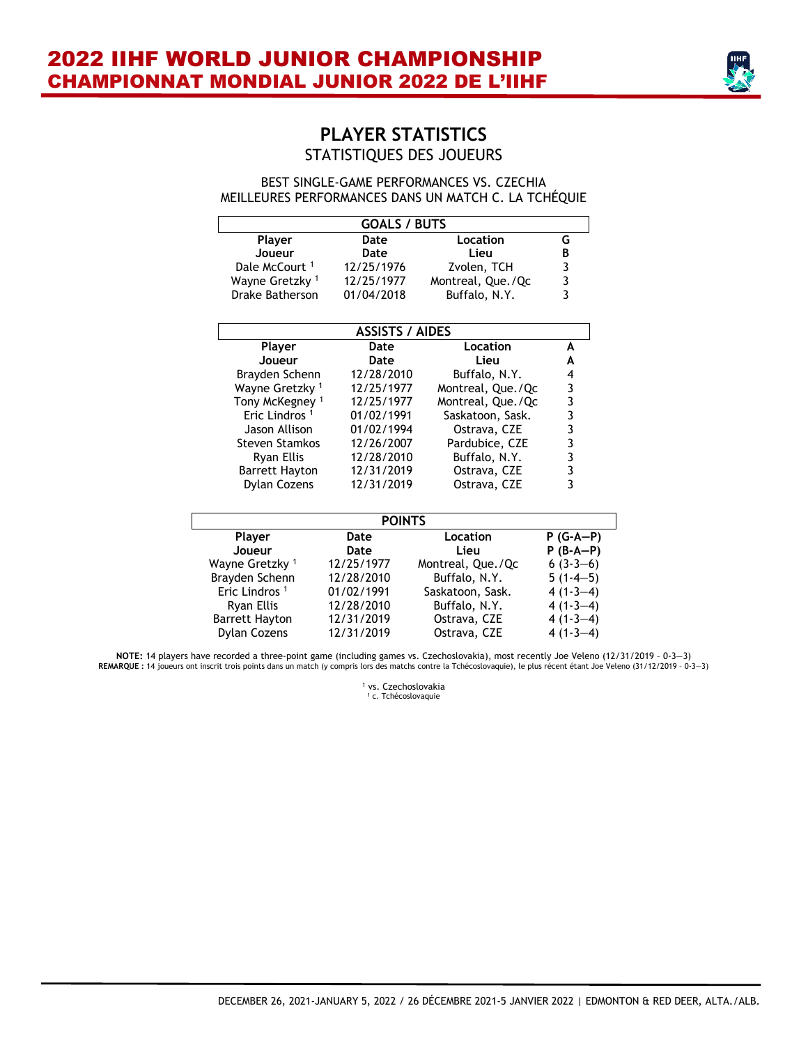

# **PLAYER STATISTICS** STATISTIQUES DES JOUEURS

#### BEST SINGLE-GAME PERFORMANCES VS. CZECHIA MEILLEURES PERFORMANCES DANS UN MATCH C. LA TCHÉQUIE

| <b>GOALS / BUTS</b>        |                        |                   |                                       |  |  |  |  |  |  |  |  |
|----------------------------|------------------------|-------------------|---------------------------------------|--|--|--|--|--|--|--|--|
| Player                     | Date                   | Location          | G                                     |  |  |  |  |  |  |  |  |
| Joueur                     | Date                   | Lieu              | B                                     |  |  |  |  |  |  |  |  |
| Dale McCourt <sup>1</sup>  | 12/25/1976             | Zvolen, TCH       |                                       |  |  |  |  |  |  |  |  |
| Wayne Gretzky 1            | 12/25/1977             | Montreal, Que./Qc | $\begin{array}{c} 3 \\ 3 \end{array}$ |  |  |  |  |  |  |  |  |
| Drake Batherson            | 01/04/2018             | Buffalo, N.Y.     |                                       |  |  |  |  |  |  |  |  |
|                            | <b>ASSISTS / AIDES</b> |                   |                                       |  |  |  |  |  |  |  |  |
| Player                     | Date                   | Location          | A                                     |  |  |  |  |  |  |  |  |
| Joueur                     | Date                   | Lieu              | A                                     |  |  |  |  |  |  |  |  |
| Brayden Schenn             | 12/28/2010             | Buffalo, N.Y.     | 4                                     |  |  |  |  |  |  |  |  |
| Wayne Gretzky <sup>1</sup> | 12/25/1977             | Montreal, Que./Qc |                                       |  |  |  |  |  |  |  |  |
| Tony McKegney <sup>1</sup> | 12/25/1977             | Montreal, Que./Qc |                                       |  |  |  |  |  |  |  |  |
| Eric Lindros <sup>1</sup>  | 01/02/1991             | Saskatoon, Sask.  |                                       |  |  |  |  |  |  |  |  |
| Jason Allison              | 01/02/1994             | Ostrava, CZE      |                                       |  |  |  |  |  |  |  |  |
| <b>Steven Stamkos</b>      | 12/26/2007             | Pardubice, CZE    |                                       |  |  |  |  |  |  |  |  |
| Ryan Ellis                 | 12/28/2010             | Buffalo, N.Y.     |                                       |  |  |  |  |  |  |  |  |
| <b>Barrett Hayton</b>      | 12/31/2019             | Ostrava, CZE      |                                       |  |  |  |  |  |  |  |  |
| Dylan Cozens               | 12/31/2019             | Ostrava, CZE      |                                       |  |  |  |  |  |  |  |  |
|                            | <b>POINTS</b>          |                   |                                       |  |  |  |  |  |  |  |  |
| Player                     | Date                   | Location          | $P(G-A-P)$                            |  |  |  |  |  |  |  |  |
| Joueur                     | Date                   | Lieu              | $P(B-A-P)$                            |  |  |  |  |  |  |  |  |
| Wayne Gretzky <sup>1</sup> | 12/25/1977             | Montreal, Que./Qc | $6(3-3-6)$                            |  |  |  |  |  |  |  |  |
| Brayden Schenn             | 12/28/2010             | Buffalo, N.Y.     | $5(1-4-5)$                            |  |  |  |  |  |  |  |  |
| Eric Lindros <sup>1</sup>  | 01/02/1991             | Saskatoon, Sask.  | $4(1-3-4)$                            |  |  |  |  |  |  |  |  |
| Ryan Ellis                 | 12/28/2010             | Buffalo, N.Y.     | $4(1-3-4)$                            |  |  |  |  |  |  |  |  |
| <b>Barrett Hayton</b>      | 12/31/2019             | Ostrava, CZE      | $4(1-3-4)$                            |  |  |  |  |  |  |  |  |

NOTE: 14 players have recorded a three-point game (including games vs. Czechoslovakia), most recently Joe Veleno (12/31/2019 - 0-3-3)<br>REMARQUE: 14 joueurs ont inscrit trois points dans un match (y compris lors des matchs c

Dylan Cozens 12/31/2019 Ostrava, CZE 4 (1-3—4)

<sup>1</sup> vs. Czechoslovakia <sup>1</sup> c. Tchécoslovaquie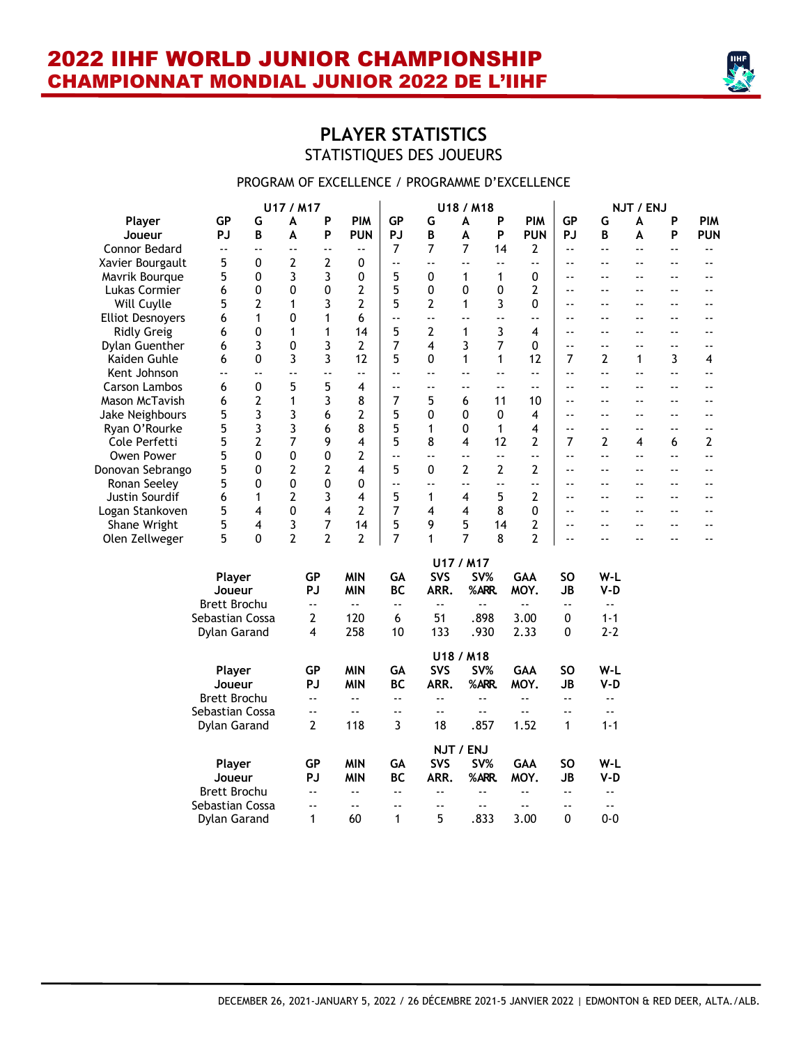

# **PLAYER STATISTICS** STATISTIQUES DES JOUEURS

#### PROGRAM OF EXCELLENCE / PROGRAMME D'EXCELLENCE

|                         |                      |          | U17 / M17      |                          |                            |                          |                            | U18 / M18                  |                          |                            |                            |                            | NJT / ENJ      |                          |                            |
|-------------------------|----------------------|----------|----------------|--------------------------|----------------------------|--------------------------|----------------------------|----------------------------|--------------------------|----------------------------|----------------------------|----------------------------|----------------|--------------------------|----------------------------|
| Player                  | <b>GP</b>            | G        | A              | P                        | <b>PIM</b>                 | <b>GP</b>                | G                          | A                          | P                        | <b>PIM</b>                 | <b>GP</b>                  | G                          | A              | P                        | <b>PIM</b>                 |
| Joueur                  | <b>PJ</b>            | B        | A              | P                        | <b>PUN</b>                 | PJ                       | B                          | A                          | P                        | <b>PUN</b>                 | <b>PJ</b>                  | B                          | A              | P                        | <b>PUN</b>                 |
| Connor Bedard           | $\ddot{\phantom{1}}$ | ٠.       | ۵.             | ٠.                       | $\overline{\phantom{a}}$ . | $\overline{7}$           | 7                          | $\overline{7}$             | 14                       | $\overline{2}$             | $\sim$ $\sim$              | $\overline{\phantom{a}}$   | $-$            | ۵.                       | $\overline{\phantom{a}}$ . |
| Xavier Bourgault        | 5                    | 0        | 2              | 2                        | 0                          | $\overline{\phantom{a}}$ | $\ddotsc$                  | ă.                         | $\overline{\phantom{a}}$ | L.                         | $\sim$ $\sim$              | $-$                        | $-$            | $-$                      | $\overline{\phantom{a}}$ . |
| Mavrik Bourque          | 5                    | 0        | 3              | 3                        | 0                          | 5                        | 0                          | 1                          | 1                        | 0                          | $-$                        | --                         |                | $-$                      | ٠.                         |
| Lukas Cormier           | 6                    | 0        | 0              | $\mathbf 0$              | 2                          | 5                        | 0                          | 0                          | 0                        | $\overline{2}$             | $\sim$ $\sim$              | $\overline{a}$             | $\sim$         | $-$                      | ٠.                         |
| Will Cuylle             | 5                    | 2        | 1              | 3                        | 2                          | 5                        | 2                          | 1                          | 3                        | 0                          | $-$                        | ۵۵                         | $-$            | $-$                      | ٠.                         |
| <b>Elliot Desnoyers</b> | 6                    | 1        | 0              | 1                        | 6                          | $\overline{\phantom{a}}$ | $\overline{\phantom{a}}$   | $\sim$ $\sim$              | ۵۵                       | $\omega$ $\omega$          | $\overline{a}$             | $-$                        | $\overline{a}$ | $\overline{a}$           | ٠.                         |
| <b>Ridly Greig</b>      | 6                    | 0        | $\mathbf{1}$   | 1                        | 14                         | 5                        | 2                          | 1                          | 3                        | 4                          | $-$                        | $\overline{a}$             | $\overline{a}$ | $-$                      | $-$                        |
| Dylan Guenther          | 6                    | 3        | 0              | 3                        | $\overline{2}$             | 7                        | 4                          | 3                          | $\overline{7}$           | 0                          | Ξ.                         | Ξ.                         | $-$            | ٠.                       | $\overline{\phantom{a}}$ . |
| Kaiden Guhle            | 6                    | 0        | 3              | 3                        | 12                         | 5                        | 0                          | $\mathbf{1}$               | 1                        | 12                         | 7                          | 2                          | 1              | 3                        | 4                          |
| Kent Johnson            | ă.                   | ۵.       | Ξ.             | L.                       | $\ddotsc$                  | ă.                       | $-$                        | $\ddotsc$                  | $-1$                     | ۵۵                         | $\overline{a}$             | L.                         | ă.             | ÷.                       | ă.                         |
| <b>Carson Lambos</b>    | 6                    | 0        | 5              | 5                        | 4                          | $\overline{\phantom{a}}$ | $\overline{\phantom{a}}$ . | $\overline{\phantom{a}}$ . | $-$                      | $\overline{\phantom{a}}$   | $\overline{\phantom{a}}$ . | $\overline{\phantom{a}}$   | $-$            | ۵.                       | ۵.                         |
| Mason McTavish          | 6                    | 2        | $\mathbf{1}$   | 3                        | 8                          | 7                        | 5                          | 6                          | 11                       | 10                         | $\sim$ $\sim$              | $\overline{a}$             |                | $-$                      | ٠.                         |
| Jake Neighbours         | 5                    | 3        | 3              | 6                        | 2                          | 5                        | 0                          | 0                          | 0                        | 4                          | $-$                        | ۵۵                         | $-$            | ٠.                       | ۵.                         |
| Ryan O'Rourke           | 5                    | 3        | 3              | 6                        | 8                          | 5                        | $\mathbf{1}$               | 0                          | $\mathbf{1}$             | 4                          | $\overline{a}$             | $\overline{a}$             | $\overline{a}$ | $\overline{\phantom{a}}$ | $\sim$ $\sim$              |
| Cole Perfetti           | 5                    | 2        | 7              | 9                        | 4                          | 5                        | 8                          | 4                          | 12                       | 2                          | 7                          | 2                          | 4              | 6                        | 2                          |
| Owen Power              | 5                    | $\Omega$ | 0              | 0                        | 2                          | ă.                       | $\sim$ $\sim$              | $\sim$ $\sim$              | L.                       | цú.                        | $\overline{a}$             | L.                         | $-$            | ٠.                       | цü.                        |
| Donovan Sebrango        | 5                    | 0        | 2              | 2                        | 4                          | 5                        | 0                          | $\overline{2}$             | $\overline{2}$           | 2                          | Ξ.                         | Ξ.                         | $-$            | $-$                      | ٠.                         |
| Ronan Seeley            | 5                    | 0        | 0              | 0                        | 0                          | Ξ.                       | $\overline{\phantom{a}}$ . | $-$                        | $-$                      | $-$                        | $\overline{a}$             | $\sim$ $\sim$              | $\overline{a}$ | $-$                      | ٠.                         |
| Justin Sourdif          | 6                    | 1        | 2              | 3                        | 4                          | 5                        | 1                          | 4                          | 5                        | $\overline{2}$             | $\sim$ $\sim$              | $-$                        | $-$            | $-$                      | $\overline{\phantom{a}}$ . |
| Logan Stankoven         | 5                    | 4        | 0              | 4                        | 2                          | 7                        | 4                          | 4                          | 8                        | 0                          | $\overline{a}$             | $\overline{a}$             | $ -$           | $\overline{\phantom{a}}$ | ٠.                         |
| Shane Wright            | 5                    | 4        | 3              | 7                        | 14                         | 5                        | 9                          | 5                          | 14                       | $\overline{2}$             | $\overline{a}$             | $-$                        | $-$            | $\overline{a}$           | $-$                        |
| Olen Zellweger          | 5                    | $\Omega$ | $\overline{2}$ | $\overline{2}$           | $\overline{2}$             | $\overline{7}$           | $\mathbf{1}$               | $\overline{7}$             | 8                        | $\overline{2}$             | Ξ.                         | ۵۵                         | $\overline{a}$ | $-$                      | $\overline{\phantom{a}}$   |
|                         |                      |          |                |                          |                            |                          |                            |                            |                          |                            |                            |                            |                |                          |                            |
|                         |                      |          |                |                          |                            |                          |                            | U17 / M17                  |                          |                            |                            |                            |                |                          |                            |
|                         | Player               |          |                | GP                       | <b>MIN</b>                 | GA                       | <b>SVS</b>                 | SV%                        |                          | <b>GAA</b>                 | SΟ                         | W-L                        |                |                          |                            |
|                         | Joueur               |          |                | <b>PJ</b>                | <b>MIN</b>                 | <b>BC</b>                | ARR.                       | %ARR.                      |                          | MOY.                       | <b>JB</b>                  | $V-D$                      |                |                          |                            |
|                         | <b>Brett Brochu</b>  |          |                | $\blacksquare$ .         | цú.                        | Ξ.                       | $\ddotsc$                  | $\overline{\phantom{a}}$ . |                          | $\sim$ $\sim$              | $\blacksquare$ .           | $\overline{\phantom{a}}$ . |                |                          |                            |
|                         | Sebastian Cossa      |          |                | 2                        | 120                        | 6                        | 51                         | .898                       |                          | 3.00                       | 0                          | $1 - 1$                    |                |                          |                            |
|                         | Dylan Garand         |          |                | 4                        | 258                        | 10                       | 133                        | .930                       |                          | 2.33                       | 0                          | $2 - 2$                    |                |                          |                            |
|                         |                      |          |                |                          |                            |                          |                            | U18 / M18                  |                          |                            |                            |                            |                |                          |                            |
|                         | Player               |          |                | <b>GP</b>                | <b>MIN</b>                 | GA                       | SVS                        | SV%                        |                          | <b>GAA</b>                 | <b>SO</b>                  | W-L                        |                |                          |                            |
|                         | Joueur               |          |                | PJ                       | <b>MIN</b>                 | <b>BC</b>                | ARR.                       | %ARR.                      |                          | MOY.                       | <b>JB</b>                  | $V-D$                      |                |                          |                            |
|                         | <b>Brett Brochu</b>  |          |                | $\ddotsc$                | цü.                        | ٠.                       | $\overline{\phantom{a}}$   | $\ddotsc$                  |                          | $\sim$ $\sim$              | $\ddotsc$                  | $\ddotsc$                  |                |                          |                            |
|                         | Sebastian Cossa      |          |                | $\sim$ $\sim$            | $\sim$ $\sim$              | $-1$                     | $\overline{\phantom{a}}$   | $\ddotsc$                  |                          | $\sim$ $\sim$              | $-$                        | $\overline{\phantom{a}}$   |                |                          |                            |
|                         | Dylan Garand         |          |                | 2                        | 118                        | 3                        | 18                         | .857                       |                          | 1.52                       | $\mathbf{1}$               | $1 - 1$                    |                |                          |                            |
|                         |                      |          |                |                          |                            |                          |                            |                            |                          |                            |                            |                            |                |                          |                            |
|                         |                      |          |                |                          |                            |                          |                            | NJT / ENJ                  |                          |                            |                            |                            |                |                          |                            |
|                         | Player               |          |                | <b>GP</b>                | <b>MIN</b>                 | GA                       | SVS                        | SV%                        |                          | GAA                        | <b>SO</b>                  | W-L                        |                |                          |                            |
|                         | Joueur               |          |                | PJ                       | <b>MIN</b>                 | <b>BC</b>                | ARR.                       | %ARR.                      |                          | MOY.                       | <b>JB</b>                  | $V-D$                      |                |                          |                            |
|                         | <b>Brett Brochu</b>  |          |                | ٠.                       | $\omega$ $\omega$          | ٠.                       | $\overline{\phantom{a}}$   | ٠.                         |                          | $\overline{\phantom{a}}$ . | $-$                        | $\ddotsc$                  |                |                          |                            |
|                         | Sebastian Cossa      |          |                | $\overline{\phantom{a}}$ | Ξ.                         | $-$                      | $\overline{\phantom{a}}$   | $\overline{\phantom{a}}$   |                          | $\overline{\phantom{a}}$ . | ۰-                         | $\overline{\phantom{a}}$ . |                |                          |                            |
|                         | <b>Dylan Garand</b>  |          |                | $\mathbf{1}$             | 60                         | 1                        | 5                          | .833                       |                          | 3.00                       | 0                          | $0 - 0$                    |                |                          |                            |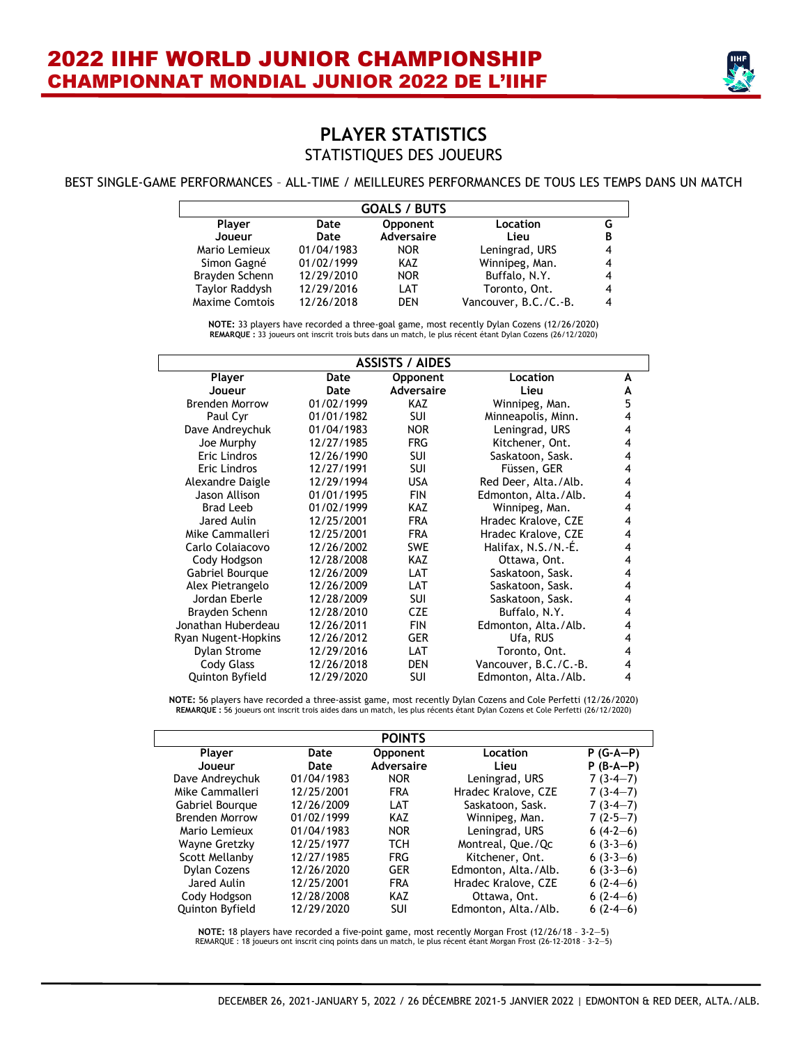

# **PLAYER STATISTICS** STATISTIQUES DES JOUEURS

#### BEST SINGLE-GAME PERFORMANCES – ALL-TIME / MEILLEURES PERFORMANCES DE TOUS LES TEMPS DANS UN MATCH

|                       |            | <b>GOALS / BUTS</b> |                       |   |
|-----------------------|------------|---------------------|-----------------------|---|
| <b>Player</b>         | Date       | Opponent            | Location              |   |
| Joueur                | Date       | <b>Adversaire</b>   | Lieu                  | В |
| Mario Lemieux         | 01/04/1983 | NOR.                | Leningrad, URS        |   |
| Simon Gagné           | 01/02/1999 | KAZ                 | Winnipeg, Man.        |   |
| Brayden Schenn        | 12/29/2010 | <b>NOR</b>          | Buffalo, N.Y.         |   |
| Taylor Raddysh        | 12/29/2016 | LAT                 | Toronto, Ont.         |   |
| <b>Maxime Comtois</b> | 12/26/2018 | <b>DFN</b>          | Vancouver, B.C./C.-B. |   |

**NOTE:** 33 players have recorded a three-goal game, most recently Dylan Cozens (12/26/2020) **REMARQUE :** 33 joueurs ont inscrit trois buts dans un match, le plus récent étant Dylan Cozens (26/12/2020)

| <b>ASSISTS / AIDES</b> |                                          |                   |                       |   |  |  |  |  |
|------------------------|------------------------------------------|-------------------|-----------------------|---|--|--|--|--|
| Player                 | Location<br>Date<br><b>Opponent</b><br>A |                   |                       |   |  |  |  |  |
| Joueur                 | Date                                     | <b>Adversaire</b> | Lieu                  | A |  |  |  |  |
| <b>Brenden Morrow</b>  | 01/02/1999                               | KAZ.              | Winnipeg, Man.        | 5 |  |  |  |  |
| Paul Cyr               | 01/01/1982                               | <b>SUI</b>        | Minneapolis, Minn.    | 4 |  |  |  |  |
| Dave Andreychuk        | 01/04/1983                               | <b>NOR</b>        | Leningrad, URS        | 4 |  |  |  |  |
| Joe Murphy             | 12/27/1985                               | <b>FRG</b>        | Kitchener, Ont.       | 4 |  |  |  |  |
| Eric Lindros           | 12/26/1990                               | SUI               | Saskatoon, Sask.      | 4 |  |  |  |  |
| <b>Eric Lindros</b>    | 12/27/1991                               | <b>SUI</b>        | Füssen, GER           | 4 |  |  |  |  |
| Alexandre Daigle       | 12/29/1994                               | <b>USA</b>        | Red Deer, Alta./Alb.  | 4 |  |  |  |  |
| Jason Allison          | 01/01/1995                               | <b>FIN</b>        | Edmonton, Alta./Alb.  | 4 |  |  |  |  |
| Brad Leeb              | 01/02/1999                               | <b>KAZ</b>        | Winnipeg, Man.        | 4 |  |  |  |  |
| Jared Aulin            | 12/25/2001                               | <b>FRA</b>        | Hradec Kralove, CZE   | 4 |  |  |  |  |
| Mike Cammalleri        | 12/25/2001                               | <b>FRA</b>        | Hradec Kralove, CZE   | 4 |  |  |  |  |
| Carlo Colajacovo       | 12/26/2002                               | <b>SWE</b>        | Halifax, N.S./N.-É.   | 4 |  |  |  |  |
| Cody Hodgson           | 12/28/2008                               | KAZ               | Ottawa, Ont.          | 4 |  |  |  |  |
| Gabriel Bourque        | 12/26/2009                               | LAT               | Saskatoon, Sask.      | 4 |  |  |  |  |
| Alex Pietrangelo       | 12/26/2009                               | LAT               | Saskatoon, Sask.      | 4 |  |  |  |  |
| Jordan Eberle          | 12/28/2009                               | SUI               | Saskatoon, Sask.      | 4 |  |  |  |  |
| Brayden Schenn         | 12/28/2010                               | <b>CZE</b>        | Buffalo, N.Y.         | 4 |  |  |  |  |
| Jonathan Huberdeau     | 12/26/2011                               | <b>FIN</b>        | Edmonton, Alta./Alb.  | 4 |  |  |  |  |
| Ryan Nugent-Hopkins    | 12/26/2012                               | <b>GER</b>        | Ufa, RUS              | 4 |  |  |  |  |
| Dylan Strome           | 12/29/2016                               | LAT               | Toronto, Ont.         | 4 |  |  |  |  |
| Cody Glass             | 12/26/2018                               | <b>DEN</b>        | Vancouver, B.C./C.-B. | 4 |  |  |  |  |
| Quinton Byfield        | 12/29/2020                               | SUI               | Edmonton, Alta./Alb.  | 4 |  |  |  |  |

**NOTE:** 56 players have recorded a three-assist game, most recently Dylan Cozens and Cole Perfetti (12/26/2020) **REMARQUE :** 56 joueurs ont inscrit trois aides dans un match, les plus récents étant Dylan Cozens et Cole Perfetti (26/12/2020)

|                       |            | <b>POINTS</b> |                      |             |
|-----------------------|------------|---------------|----------------------|-------------|
| Player                | Date       | Opponent      | Location             | $P(G-A-P)$  |
| Joueur                | Date       | Adversaire    | Lieu                 | $P$ (B-A-P) |
| Dave Andreychuk       | 01/04/1983 | <b>NOR</b>    | Leningrad, URS       | $7(3-4-7)$  |
| Mike Cammalleri       | 12/25/2001 | <b>FRA</b>    | Hradec Kralove, CZE  | $7(3-4-7)$  |
| Gabriel Bourgue       | 12/26/2009 | LAT           | Saskatoon, Sask.     | $7(3-4-7)$  |
| <b>Brenden Morrow</b> | 01/02/1999 | KAZ           | Winnipeg, Man.       | $7(2-5-7)$  |
| Mario Lemieux         | 01/04/1983 | <b>NOR</b>    | Leningrad, URS       | $6(4-2-6)$  |
| Wayne Gretzky         | 12/25/1977 | TCH           | Montreal, Que./Qc    | $6(3-3-6)$  |
| Scott Mellanby        | 12/27/1985 | <b>FRG</b>    | Kitchener, Ont.      | $6(3-3-6)$  |
| <b>Dylan Cozens</b>   | 12/26/2020 | <b>GER</b>    | Edmonton, Alta./Alb. | $6(3-3-6)$  |
| Jared Aulin           | 12/25/2001 | <b>FRA</b>    | Hradec Kralove, CZE  | $6(2-4-6)$  |
| Cody Hodgson          | 12/28/2008 | KAZ           | Ottawa, Ont.         | $6(2-4-6)$  |
| Quinton Byfield       | 12/29/2020 | SUI           | Edmonton, Alta./Alb. | $6(2-4-6)$  |

**NOTE:** 18 players have recorded a five-point game, most recently Morgan Frost (12/26/18 – 3-2—5) REMARQUE : 18 joueurs ont inscrit cinq points dans un match, le plus récent étant Morgan Frost (26-12-2018 – 3-2—5)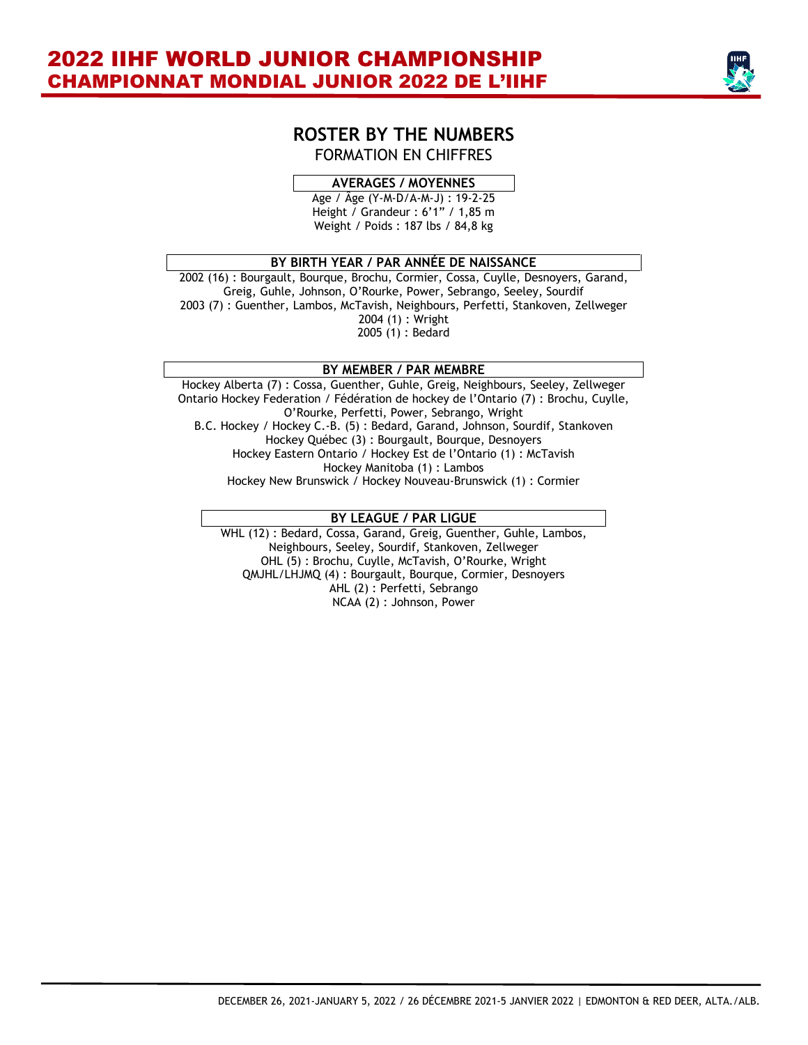

#### **ROSTER BY THE NUMBERS** FORMATION EN CHIFFRES

#### **AVERAGES / MOYENNES**

Age / Âge (Y-M-D/A-M-J) : 19-2-25 Height / Grandeur : 6'1" / 1,85 m Weight / Poids : 187 lbs / 84,8 kg

#### **BY BIRTH YEAR / PAR ANNÉE DE NAISSANCE**

2002 (16) : Bourgault, Bourque, Brochu, Cormier, Cossa, Cuylle, Desnoyers, Garand, Greig, Guhle, Johnson, O'Rourke, Power, Sebrango, Seeley, Sourdif 2003 (7) : Guenther, Lambos, McTavish, Neighbours, Perfetti, Stankoven, Zellweger 2004 (1) : Wright 2005 (1) : Bedard

#### **BY MEMBER / PAR MEMBRE**

Hockey Alberta (7) : Cossa, Guenther, Guhle, Greig, Neighbours, Seeley, Zellweger Ontario Hockey Federation / Fédération de hockey de l'Ontario (7) : Brochu, Cuylle, O'Rourke, Perfetti, Power, Sebrango, Wright B.C. Hockey / Hockey C.-B. (5) : Bedard, Garand, Johnson, Sourdif, Stankoven Hockey Québec (3) : Bourgault, Bourque, Desnoyers Hockey Eastern Ontario / Hockey Est de l'Ontario (1) : McTavish Hockey Manitoba (1) : Lambos Hockey New Brunswick / Hockey Nouveau-Brunswick (1) : Cormier

#### **BY LEAGUE / PAR LIGUE**

WHL (12) : Bedard, Cossa, Garand, Greig, Guenther, Guhle, Lambos, Neighbours, Seeley, Sourdif, Stankoven, Zellweger OHL (5) : Brochu, Cuylle, McTavish, O'Rourke, Wright QMJHL/LHJMQ (4) : Bourgault, Bourque, Cormier, Desnoyers AHL (2) : Perfetti, Sebrango NCAA (2) : Johnson, Power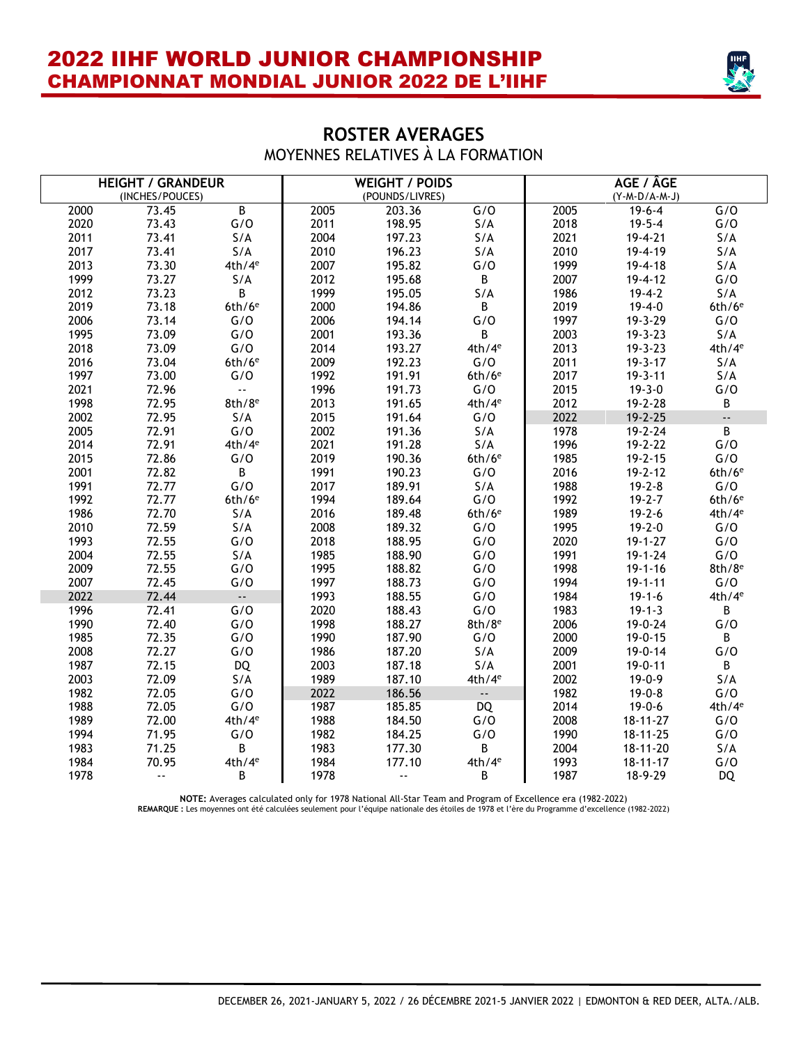I



### **ROSTER AVERAGES**  MOYENNES RELATIVES À LA FORMATION

| <b>HEIGHT / GRANDEUR</b> |                 |                                    |      | <b>WEIGHT / POIDS</b> |                      | AGE / ÂGE |                 |                           |  |
|--------------------------|-----------------|------------------------------------|------|-----------------------|----------------------|-----------|-----------------|---------------------------|--|
|                          | (INCHES/POUCES) |                                    |      | (POUNDS/LIVRES)       |                      |           | $(Y-M-D/A-M-J)$ |                           |  |
| 2000                     | 73.45           | $\overline{B}$                     | 2005 | 203.36                | G/O                  | 2005      | $19-6-4$        | G/O                       |  |
| 2020                     | 73.43           | G/O                                | 2011 | 198.95                | S/A                  | 2018      | $19 - 5 - 4$    | G/O                       |  |
| 2011                     | 73.41           | S/A                                | 2004 | 197.23                | S/A                  | 2021      | 19-4-21         | S/A                       |  |
| 2017                     | 73.41           | S/A                                | 2010 | 196.23                | S/A                  | 2010      | 19-4-19         | S/A                       |  |
| 2013                     | 73.30           | 4th/4 <sup>e</sup>                 | 2007 | 195.82                | G/O                  | 1999      | $19 - 4 - 18$   | S/A                       |  |
| 1999                     | 73.27           | S/A                                | 2012 | 195.68                | $\mathsf B$          | 2007      | $19 - 4 - 12$   | G/O                       |  |
| 2012                     | 73.23           | B.                                 | 1999 | 195.05                | S/A                  | 1986      | $19 - 4 - 2$    | S/A                       |  |
| 2019                     | 73.18           | $6th/6$ <sup>e</sup>               | 2000 | 194.86                | $\mathsf B$          | 2019      | $19 - 4 - 0$    | $6th/6$ <sup>e</sup>      |  |
| 2006                     | 73.14           | G/O                                | 2006 | 194.14                | G/O                  | 1997      | 19-3-29         | G/O                       |  |
| 1995                     | 73.09           | G/O                                | 2001 | 193.36                | B                    | 2003      | $19 - 3 - 23$   | S/A                       |  |
| 2018                     | 73.09           | G/O                                | 2014 | 193.27                | 4th/4 <sup>e</sup>   | 2013      | $19 - 3 - 23$   | 4th/4 <sup>e</sup>        |  |
| 2016                     | 73.04           | $6th/6$ <sup>e</sup>               | 2009 | 192.23                | G/O                  | 2011      | $19 - 3 - 17$   | S/A                       |  |
| 1997                     | 73.00           | G/O                                | 1992 | 191.91                | $6th/6$ <sup>e</sup> | 2017      | $19 - 3 - 11$   | S/A                       |  |
| 2021                     | 72.96           | $\mathbb{Z}^{\mathbb{Z}^{\times}}$ | 1996 | 191.73                | G/O                  | 2015      | $19 - 3 - 0$    | G/O                       |  |
| 1998                     | 72.95           | $8th/8$ <sup>e</sup>               | 2013 | 191.65                | 4th/4 <sup>e</sup>   | 2012      | 19-2-28         | B                         |  |
| 2002                     | 72.95           | S/A                                | 2015 | 191.64                | G/O                  | 2022      | $19 - 2 - 25$   | $\mathbb{Z}^{\mathbb{Z}}$ |  |
| 2005                     | 72.91           | G/O                                | 2002 | 191.36                | S/A                  | 1978      | $19 - 2 - 24$   | $\overline{B}$            |  |
| 2014                     | 72.91           | 4th/4 <sup>e</sup>                 | 2021 | 191.28                | S/A                  | 1996      | $19 - 2 - 22$   | G/O                       |  |
| 2015                     | 72.86           | G/O                                | 2019 | 190.36                | $6th/6$ <sup>e</sup> | 1985      | $19 - 2 - 15$   | G/O                       |  |
| 2001                     | 72.82           | B                                  | 1991 | 190.23                | G/O                  | 2016      | $19 - 2 - 12$   | $6th/6$ <sup>e</sup>      |  |
| 1991                     | 72.77           | G/O                                | 2017 | 189.91                | S/A                  | 1988      | $19 - 2 - 8$    | G/O                       |  |
| 1992                     | 72.77           | $6th/6$ <sup>e</sup>               | 1994 | 189.64                | G/O                  | 1992      | $19 - 2 - 7$    | $6th/6$ <sup>e</sup>      |  |
| 1986                     | 72.70           | S/A                                | 2016 | 189.48                | $6th/6$ <sup>e</sup> | 1989      | $19 - 2 - 6$    | 4th/4 <sup>e</sup>        |  |
| 2010                     | 72.59           | S/A                                | 2008 | 189.32                | G/O                  | 1995      | $19 - 2 - 0$    | G/O                       |  |
| 1993                     | 72.55           | G/O                                | 2018 | 188.95                | G/O                  | 2020      | $19 - 1 - 27$   | G/O                       |  |
| 2004                     | 72.55           | S/A                                | 1985 | 188.90                | G/O                  | 1991      | $19 - 1 - 24$   | G/O                       |  |
| 2009                     | 72.55           | G/O                                | 1995 | 188.82                | G/O                  | 1998      | $19 - 1 - 16$   | $8th/8$ <sup>e</sup>      |  |
| 2007                     | 72.45           | G/O                                | 1997 | 188.73                | G/O                  | 1994      | $19 - 1 - 11$   | G/O                       |  |
| 2022                     | 72.44           | $\sim$ .                           | 1993 | 188.55                | G/O                  | 1984      | $19 - 1 - 6$    | 4th/4 <sup>e</sup>        |  |
| 1996                     | 72.41           | G/O                                | 2020 | 188.43                | G/O                  | 1983      | $19 - 1 - 3$    | B                         |  |
| 1990                     | 72.40           | G/O                                | 1998 | 188.27                | $8th/8$ <sup>e</sup> | 2006      | 19-0-24         | G/O                       |  |
| 1985                     | 72.35           | G/O                                | 1990 | 187.90                | G/O                  | 2000      | $19 - 0 - 15$   | B                         |  |
| 2008                     | 72.27           | G/O                                | 1986 | 187.20                | S/A                  | 2009      | $19 - 0 - 14$   | G/O                       |  |
| 1987                     | 72.15           | <b>DQ</b>                          | 2003 | 187.18                | S/A                  | 2001      | $19 - 0 - 11$   | B.                        |  |
| 2003                     | 72.09           | S/A                                | 1989 | 187.10                | 4th/4 <sup>e</sup>   | 2002      | $19 - 0 - 9$    | S/A                       |  |
| 1982                     | 72.05           | G/O                                | 2022 | 186.56                | $\sim$               | 1982      | $19 - 0 - 8$    | G/O                       |  |
| 1988                     | 72.05           | G/O                                | 1987 | 185.85                | DQ                   | 2014      | $19 - 0 - 6$    | 4th/4 <sup>e</sup>        |  |
| 1989                     | 72.00           | 4th/4 <sup>e</sup>                 | 1988 | 184.50                | G/O                  | 2008      | $18 - 11 - 27$  | G/O                       |  |
| 1994                     | 71.95           | G/O                                | 1982 | 184.25                | G/O                  | 1990      | $18 - 11 - 25$  | G/O                       |  |
| 1983                     | 71.25           | B                                  | 1983 | 177.30                | $\mathsf B$          | 2004      | $18 - 11 - 20$  | S/A                       |  |
| 1984                     | 70.95           | 4th/4 <sup>e</sup>                 | 1984 | 177.10                | 4th/4 <sup>e</sup>   | 1993      | $18 - 11 - 17$  | G/O                       |  |
| 1978                     | ă.              | B                                  | 1978 | $\sim$ $\sim$         | B                    | 1987      | 18-9-29         | <b>DQ</b>                 |  |

NOTE: Averages calculated only for 1978 National All-Star Team and Program of Excellence era (1982-2022)<br>REMARQUE : Les moyennes ont été calculées seulement pour l'équipe nationale des étoiles de 1978 et l'ère du Programme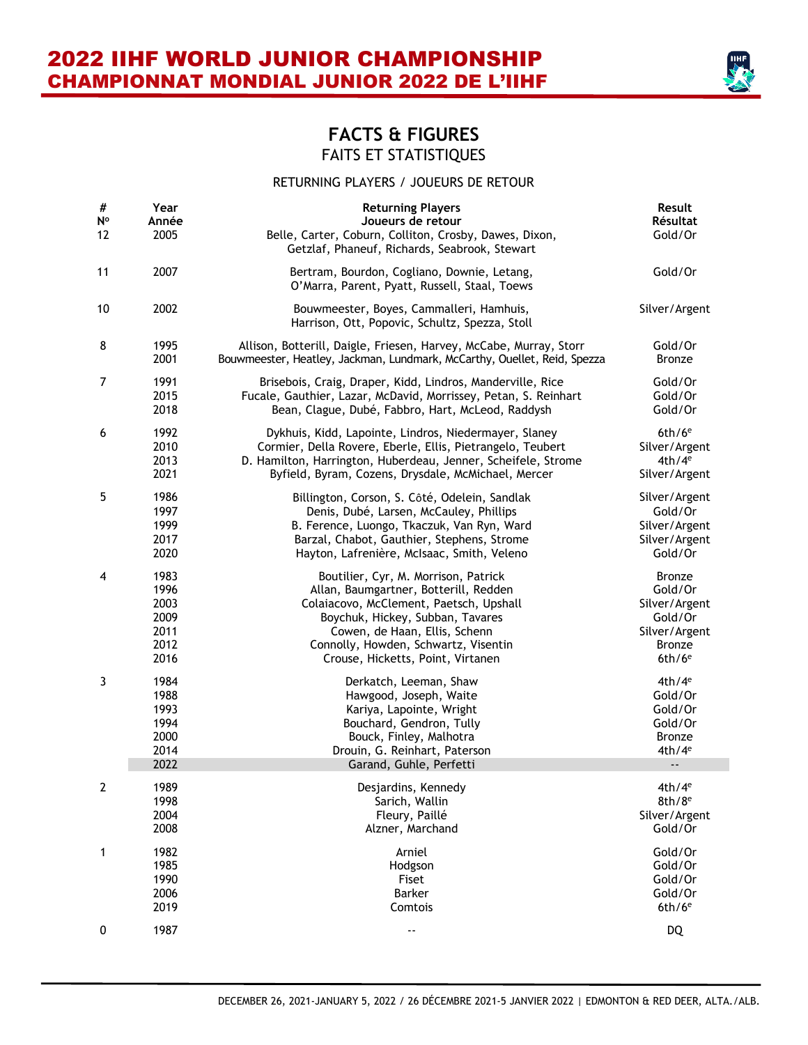

#### RETURNING PLAYERS / JOUEURS DE RETOUR

| $\#$<br>N°<br>12 | Year<br>Année<br>2005                                | <b>Returning Players</b><br>Joueurs de retour<br>Belle, Carter, Coburn, Colliton, Crosby, Dawes, Dixon,<br>Getzlaf, Phaneuf, Richards, Seabrook, Stewart                                        | Result<br>Résultat<br>Gold/Or                                              |
|------------------|------------------------------------------------------|-------------------------------------------------------------------------------------------------------------------------------------------------------------------------------------------------|----------------------------------------------------------------------------|
| 11               | 2007                                                 | Bertram, Bourdon, Cogliano, Downie, Letang,<br>O'Marra, Parent, Pyatt, Russell, Staal, Toews                                                                                                    | Gold/Or                                                                    |
| 10               | 2002                                                 | Bouwmeester, Boyes, Cammalleri, Hamhuis,<br>Harrison, Ott, Popovic, Schultz, Spezza, Stoll                                                                                                      | Silver/Argent                                                              |
| 8                | 1995                                                 | Allison, Botterill, Daigle, Friesen, Harvey, McCabe, Murray, Storr                                                                                                                              | Gold/Or                                                                    |
|                  | 2001                                                 | Bouwmeester, Heatley, Jackman, Lundmark, McCarthy, Ouellet, Reid, Spezza                                                                                                                        | <b>Bronze</b>                                                              |
| $\overline{7}$   | 1991                                                 | Brisebois, Craig, Draper, Kidd, Lindros, Manderville, Rice                                                                                                                                      | Gold/Or                                                                    |
|                  | 2015                                                 | Fucale, Gauthier, Lazar, McDavid, Morrissey, Petan, S. Reinhart                                                                                                                                 | Gold/Or                                                                    |
|                  | 2018                                                 | Bean, Clague, Dubé, Fabbro, Hart, McLeod, Raddysh                                                                                                                                               | Gold/Or                                                                    |
| 6                | 1992                                                 | Dykhuis, Kidd, Lapointe, Lindros, Niedermayer, Slaney                                                                                                                                           | $6th/6$ <sup>e</sup>                                                       |
|                  | 2010                                                 | Cormier, Della Rovere, Eberle, Ellis, Pietrangelo, Teubert                                                                                                                                      | Silver/Argent                                                              |
|                  | 2013                                                 | D. Hamilton, Harrington, Huberdeau, Jenner, Scheifele, Strome                                                                                                                                   | 4th/4 <sup>e</sup>                                                         |
|                  | 2021                                                 | Byfield, Byram, Cozens, Drysdale, McMichael, Mercer                                                                                                                                             | Silver/Argent                                                              |
| 5                | 1986                                                 | Billington, Corson, S. Côté, Odelein, Sandlak                                                                                                                                                   | Silver/Argent                                                              |
|                  | 1997                                                 | Denis, Dubé, Larsen, McCauley, Phillips                                                                                                                                                         | Gold/Or                                                                    |
|                  | 1999                                                 | B. Ference, Luongo, Tkaczuk, Van Ryn, Ward                                                                                                                                                      | Silver/Argent                                                              |
|                  | 2017                                                 | Barzal, Chabot, Gauthier, Stephens, Strome                                                                                                                                                      | Silver/Argent                                                              |
|                  | 2020                                                 | Hayton, Lafrenière, McIsaac, Smith, Veleno                                                                                                                                                      | Gold/Or                                                                    |
| 4                | 1983                                                 | Boutilier, Cyr, M. Morrison, Patrick                                                                                                                                                            | <b>Bronze</b>                                                              |
|                  | 1996                                                 | Allan, Baumgartner, Botterill, Redden                                                                                                                                                           | Gold/Or                                                                    |
|                  | 2003                                                 | Colaiacovo, McClement, Paetsch, Upshall                                                                                                                                                         | Silver/Argent                                                              |
|                  | 2009                                                 | Boychuk, Hickey, Subban, Tavares                                                                                                                                                                | Gold/Or                                                                    |
|                  | 2011                                                 | Cowen, de Haan, Ellis, Schenn                                                                                                                                                                   | Silver/Argent                                                              |
|                  | 2012                                                 | Connolly, Howden, Schwartz, Visentin                                                                                                                                                            | <b>Bronze</b>                                                              |
|                  | 2016                                                 | Crouse, Hicketts, Point, Virtanen                                                                                                                                                               | $6th/6$ <sup>e</sup>                                                       |
| 3                | 1984<br>1988<br>1993<br>1994<br>2000<br>2014<br>2022 | Derkatch, Leeman, Shaw<br>Hawgood, Joseph, Waite<br>Kariya, Lapointe, Wright<br>Bouchard, Gendron, Tully<br>Bouck, Finley, Malhotra<br>Drouin, G. Reinhart, Paterson<br>Garand, Guhle, Perfetti | 4th/4 <sup>e</sup><br>Gold/Or<br>Gold/Or<br>Gold/Or<br>Bronze<br>$4th/4^e$ |
| 2                | 1989                                                 | Desjardins, Kennedy                                                                                                                                                                             | $4th/4^e$                                                                  |
|                  | 1998                                                 | Sarich, Wallin                                                                                                                                                                                  | $8th/8^e$                                                                  |
|                  | 2004                                                 | Fleury, Paillé                                                                                                                                                                                  | Silver/Argent                                                              |
|                  | 2008                                                 | Alzner, Marchand                                                                                                                                                                                | Gold/Or                                                                    |
| 1                | 1982                                                 | Arniel                                                                                                                                                                                          | Gold/Or                                                                    |
|                  | 1985                                                 | Hodgson                                                                                                                                                                                         | Gold/Or                                                                    |
|                  | 1990                                                 | Fiset                                                                                                                                                                                           | Gold/Or                                                                    |
|                  | 2006                                                 | <b>Barker</b>                                                                                                                                                                                   | Gold/Or                                                                    |
|                  | 2019                                                 | Comtois                                                                                                                                                                                         | $6th/6$ <sup>e</sup>                                                       |
| 0                | 1987                                                 | ۰.                                                                                                                                                                                              | <b>DQ</b>                                                                  |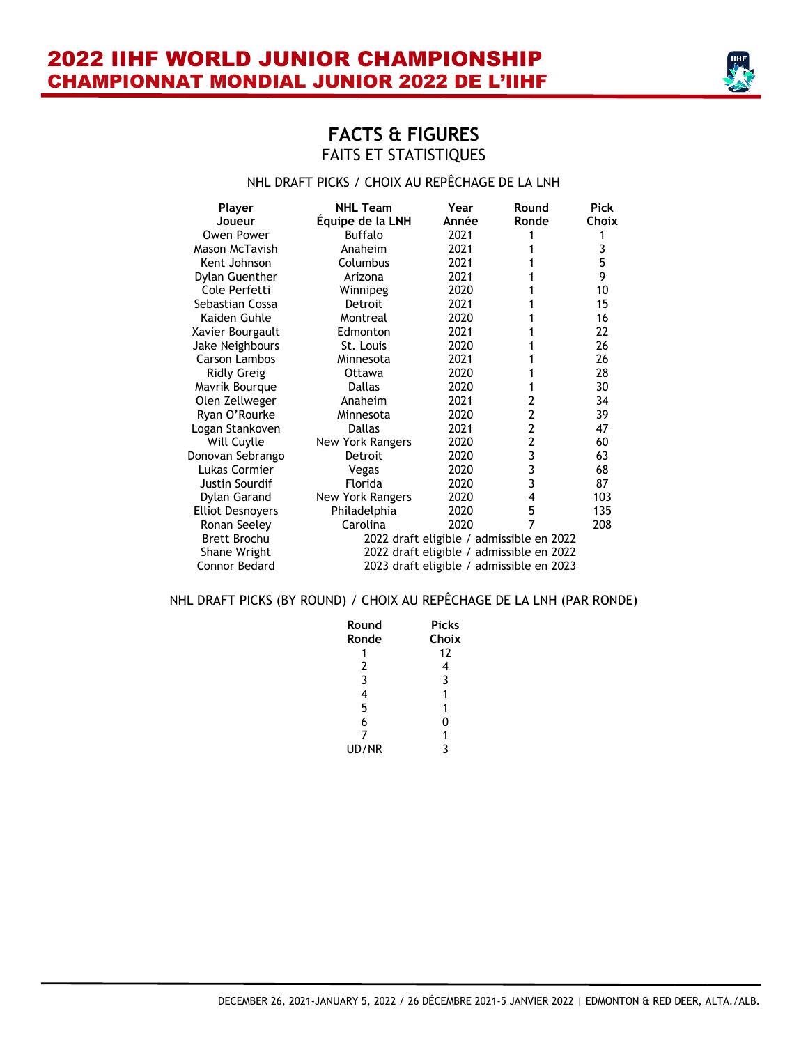

#### NHL DRAFT PICKS / CHOIX AU REPÊCHAGE DE LA LNH

| Player<br>Joueur        | <b>NHL Team</b><br>Équipe de la LNH | Year<br>Année | Round<br>Ronde                           | <b>Pick</b><br>Choix |
|-------------------------|-------------------------------------|---------------|------------------------------------------|----------------------|
| Owen Power              | <b>Buffalo</b>                      | 2021          |                                          |                      |
| Mason McTavish          | Anaheim                             | 2021          |                                          | 3                    |
| Kent Johnson            | Columbus                            | 2021          |                                          | 5                    |
| Dylan Guenther          | Arizona                             | 2021          |                                          | 9                    |
| Cole Perfetti           | Winnipeg                            | 2020          |                                          | 10                   |
| Sebastian Cossa         | Detroit                             | 2021          |                                          | 15                   |
| Kaiden Guhle            | Montreal                            | 2020          |                                          | 16                   |
| Xavier Bourgault        | Edmonton                            | 2021          |                                          | 22                   |
| Jake Neighbours         | St. Louis                           | 2020          |                                          | 26                   |
| Carson Lambos           | Minnesota                           | 2021          |                                          | 26                   |
| <b>Ridly Greig</b>      | Ottawa                              | 2020          |                                          | 28                   |
| Mavrik Bourgue          | Dallas                              | 2020          |                                          | 30                   |
| Olen Zellweger          | Anaheim                             | 2021          | 2                                        | 34                   |
| Ryan O'Rourke           | Minnesota                           | 2020          | 2                                        | 39                   |
| Logan Stankoven         | <b>Dallas</b>                       | 2021          | $\overline{2}$                           | 47                   |
| Will Cuylle             | <b>New York Rangers</b>             | 2020          | 2                                        | 60                   |
| Donovan Sebrango        | Detroit                             | 2020          | 3                                        | 63                   |
| Lukas Cormier           | Vegas                               | 2020          | 3                                        | 68                   |
| Justin Sourdif          | Florida                             | 2020          | 3                                        | 87                   |
| Dylan Garand            | <b>New York Rangers</b>             | 2020          | 4                                        | 103                  |
| <b>Elliot Desnoyers</b> | Philadelphia                        | 2020          | 5                                        | 135                  |
| Ronan Seeley            | Carolina                            | 2020          | 7                                        | 208                  |
| Brett Brochu            |                                     |               | 2022 draft eligible / admissible en 2022 |                      |
| Shane Wright            |                                     |               | 2022 draft eligible / admissible en 2022 |                      |
| Connor Bedard           |                                     |               | 2023 draft eligible / admissible en 2023 |                      |

#### NHL DRAFT PICKS (BY ROUND) / CHOIX AU REPÊCHAGE DE LA LNH (PAR RONDE)

| Round | <b>Picks</b> |
|-------|--------------|
| Ronde | Choix        |
|       | 12           |
| 2     | 4            |
| 3     | 3            |
| 4     | 1            |
| 5     | 1            |
| 6     | 0            |
| 7     | 1            |
| UD/NR | ર            |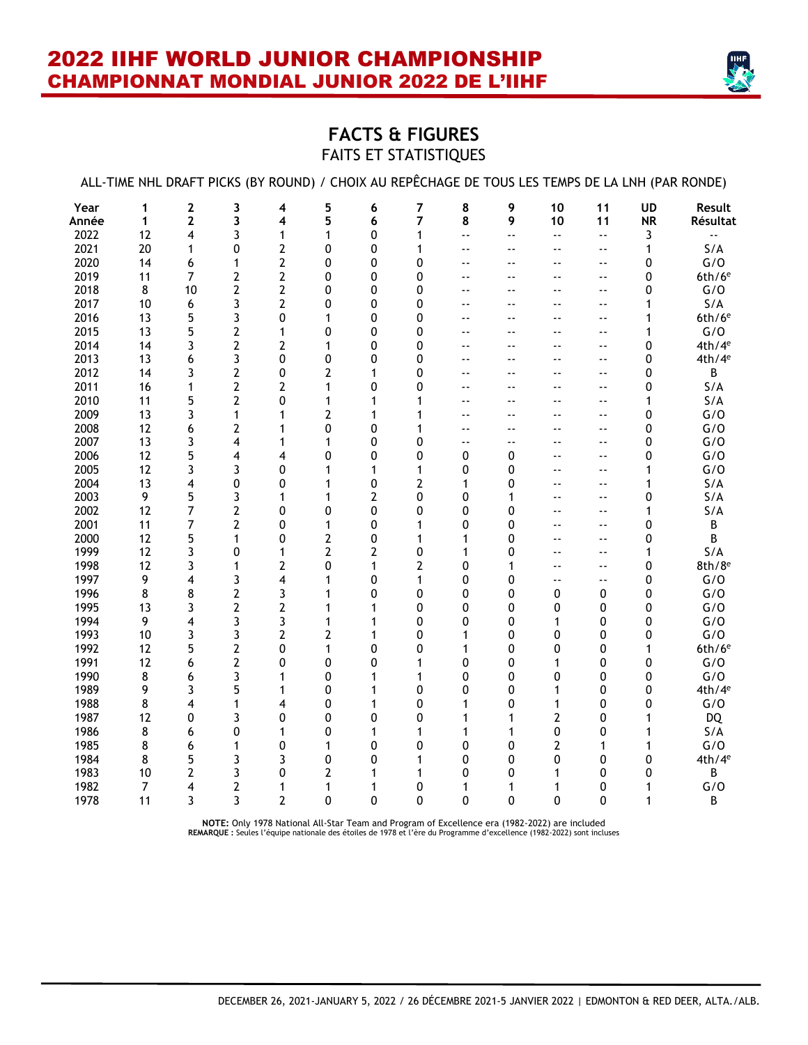

# **FACTS & FIGURES** FAITS ET STATISTIQUES

|       |                |                |                         |                |              |              |                |                          |                            |                          |                            |              | ALL-TIME NHL DRAFT PICKS (BY ROUND) / CHOIX AU REPËCHAGE DE TOUS LES TEMPS DE LA LNH (PAR RONDE) |
|-------|----------------|----------------|-------------------------|----------------|--------------|--------------|----------------|--------------------------|----------------------------|--------------------------|----------------------------|--------------|--------------------------------------------------------------------------------------------------|
| Year  | 1              | 2              | 3                       | 4              | 5            | 6            | $\overline{7}$ | 8                        | 9                          | 10                       | 11                         | <b>UD</b>    | Result                                                                                           |
| Année | $\mathbf{1}$   | $\mathbf{2}$   | 3                       | 4              | 5            | 6            | 7              | 8                        | 9                          | 10                       | 11                         | <b>NR</b>    | Résultat                                                                                         |
| 2022  | 12             | 4              | 3                       | 1              | $\mathbf{1}$ | 0            | 1              | ۵.                       | $\overline{\phantom{a}}$ . | $\overline{\phantom{a}}$ | $\ddotsc$                  | 3            | цü                                                                                               |
| 2021  | 20             | 1              | 0                       | 2              | 0            | 0            | 1              | ٠.                       | $\sim$ $\sim$              | $\overline{\phantom{a}}$ | $\sim$ $\sim$              | $\mathbf{1}$ | S/A                                                                                              |
| 2020  | 14             | 6              | 1                       | $\overline{2}$ | 0            | 0            | 0              | $\overline{\phantom{a}}$ | $\overline{\phantom{a}}$   | $ -$                     | $\overline{\phantom{a}}$   | 0            | G/O                                                                                              |
| 2019  | 11             | $\overline{7}$ | $\mathbf{2}$            | $\overline{2}$ | 0            | 0            | 0              | --                       | $\overline{\phantom{a}}$   | ۰-                       | $\overline{\phantom{a}}$   | 0            | $6th/6$ <sup>e</sup>                                                                             |
| 2018  | 8              | 10             | $\overline{2}$          | $\overline{2}$ | 0            | 0            | 0              | ۰-                       | $\sim$ $\sim$              | ٠.                       | $\sim$ $\sim$              | 0            | G/O                                                                                              |
| 2017  | 10             | 6              | 3                       | $\overline{2}$ | 0            | 0            | 0              | ۵.                       | $-$                        | ۵۵                       | $\overline{\phantom{a}}$ . | 1            | S/A                                                                                              |
| 2016  | 13             | 5              | 3                       | 0              | 1            | 0            | 0              | ۰-                       | $\sim$ $\sim$              | ٠.                       | $\sim$ $\sim$              | 1            | $6th/6$ <sup>e</sup>                                                                             |
| 2015  | 13             | 5              | $\overline{\mathbf{c}}$ | 1              | 0            | 0            | $\Omega$       | --                       | $\sim$ $\sim$              | --                       | $\sim$ $\sim$              | 1            | G/O                                                                                              |
| 2014  | 14             | 3              | $\overline{2}$          | $\overline{2}$ | 1            | 0            | 0              | --                       | $\overline{a}$             | $\overline{\phantom{a}}$ | $\overline{a}$             | 0            | 4th/4 <sup>e</sup>                                                                               |
| 2013  | 13             | 6              | 3                       | 0              | 0            | 0            | 0              | $\overline{\phantom{a}}$ | $\sim$ $\sim$              | $-$                      | $\sim$ $\sim$              | 0            | 4th/4 <sup>e</sup>                                                                               |
| 2012  | 14             | 3              | $\mathbf{2}$            | 0              | 2            | 1            | $\Omega$       | $\overline{\phantom{a}}$ | $ -$                       | --                       | $\overline{\phantom{a}}$ . | 0            | В                                                                                                |
| 2011  | 16             | 1              | $\overline{2}$          | $\overline{2}$ | 1            | 0            | 0              | $\overline{\phantom{a}}$ | $\sim$ $\sim$              | $\overline{\phantom{a}}$ | $\sim$ $\sim$              | 0            | S/A                                                                                              |
| 2010  | 11             | 5              | $\mathbf{2}$            | 0              | 1            | 1            | 1              | --                       | $\overline{\phantom{a}}$   | ٠.                       | $\overline{\phantom{a}}$ . | 1            | S/A                                                                                              |
| 2009  | 13             | 3              | 1                       | 1              | 2            | 1            | 1              | $\overline{\phantom{a}}$ | $\overline{\phantom{a}}$   | $ -$                     | $\overline{\phantom{a}}$ . | 0            | G/O                                                                                              |
| 2008  | 12             | 6              | $\mathbf{2}$            | 1              | 0            | 0            | 1              | $\overline{\phantom{a}}$ | $\overline{\phantom{a}}$   | ۰-                       | $\overline{\phantom{a}}$ . | 0            | G/O                                                                                              |
| 2007  | 13             | 3              | 4                       | 1              | 1            | 0            | 0              | ۰.                       | $\sim$ $\sim$              | ۰.                       | $\sim$ $\sim$              | 0            | G/O                                                                                              |
| 2006  | 12             | 5              | 4                       | 4              | 0            | 0            | 0              | 0                        | 0                          | ۵۵                       | $\overline{\phantom{a}}$ . | 0            | G/O                                                                                              |
| 2005  | 12             | 3              | 3                       | 0              | 1            | 1            | 1              | 0                        | 0                          | ۵۵                       | $\overline{\phantom{a}}$   | 1            | G/O                                                                                              |
| 2004  | 13             | 4              | 0                       | 0              | 1            | 0            | 2              | 1                        | 0                          | $ -$                     | $\overline{\phantom{a}}$   | 1            | S/A                                                                                              |
| 2003  | 9              | 5              | 3                       | 1              | 1            | 2            | $\mathbf{0}$   | 0                        | 1                          | ۵۵                       | $-$                        | 0            | S/A                                                                                              |
| 2002  | 12             | 7              | 2                       | 0              | 0            | 0            | 0              | 0                        | 0                          | --                       | $\overline{\phantom{a}}$   | 1            | S/A                                                                                              |
| 2001  | 11             | 7              | $\mathbf{2}$            | 0              | 1            | 0            | 1              | 0                        | $\Omega$                   | --                       | $\overline{\phantom{a}}$ . | 0            | B                                                                                                |
| 2000  | 12             | 5              | 1                       | 0              | 2            | 0            | 1              | 1                        | 0                          | --                       | $\sim$ $\sim$              | 0            | В                                                                                                |
| 1999  | 12             | 3              | 0                       | 1              | 2            | 2            | 0              | 1                        | 0                          | --                       | $\overline{\phantom{a}}$ . | 1            | S/A                                                                                              |
| 1998  | 12             | 3              | 1                       | 2              | 0            | $\mathbf{1}$ | $\overline{2}$ | 0                        | 1                          | --                       | $\overline{\phantom{a}}$ . | 0            | $8th/8$ <sup>e</sup>                                                                             |
| 1997  | 9              | 4              | 3                       | 4              | 1            | 0            | 1              | 0                        | 0                          | ٠.                       | $\overline{\phantom{a}}$   | 0            | G/O                                                                                              |
| 1996  | 8              | 8              | 2                       | 3              | 1            | 0            | 0              | 0                        | 0                          | 0                        | 0                          | 0            | G/O                                                                                              |
| 1995  | 13             | 3              | $\mathbf{2}$            | $\overline{2}$ | 1            | 1            | 0              | 0                        | 0                          | 0                        | 0                          | 0            | G/O                                                                                              |
| 1994  | 9              | 4              | 3                       | 3              | 1            | 1            | 0              | 0                        | 0                          | 1                        | 0                          | 0            | G/O                                                                                              |
| 1993  | 10             | 3              | 3                       | $\overline{2}$ | 2            | 1            | 0              | 1                        | 0                          | 0                        | 0                          | 0            | G/O                                                                                              |
| 1992  | 12             | 5              | $\mathbf{2}$            | 0              | 1            | 0            | $\mathbf{0}$   | 1                        | 0                          | 0                        | 0                          | 1            | $6th/6$ <sup>e</sup>                                                                             |
| 1991  | 12             | 6              | $\mathbf{2}$            | 0              | 0            | 0            | 1              | 0                        | 0                          | 1                        | 0                          | 0            | G/O                                                                                              |
| 1990  | 8              | 6              | 3                       | 1              | 0            | $\mathbf 1$  | 1              | 0                        | 0                          | 0                        | 0                          | 0            | G/O                                                                                              |
| 1989  | 9              | 3              | 5                       | 1              | 0            | 1            | $\mathbf{0}$   | 0                        | 0                          | 1                        | 0                          | 0            | 4th/4 <sup>e</sup>                                                                               |
| 1988  | 8              | 4              | 1                       | 4              | 0            | 1            | 0              | 1                        | 0                          | 1                        | 0                          | 0            | G/O                                                                                              |
| 1987  | 12             | 0              | 3                       | 0              | 0            | 0            | 0              | 1                        | 1                          | 2                        | 0                          | 1            | <b>DQ</b>                                                                                        |
| 1986  | 8              | 6              | 0                       | 1              | 0            | 1            | 1              | 1                        | 1                          | 0                        | 0                          | 1            | S/A                                                                                              |
| 1985  | 8              | 6              | 1                       | 0              | 1            | 0            | 0              | 0                        | 0                          | 2                        | 1                          | 1            | G/O                                                                                              |
| 1984  | 8              | 5              | 3                       | 3              | 0            | 0            | 1              | 0                        | 0                          | 0                        | 0                          | 0            | 4th/4 <sup>e</sup>                                                                               |
| 1983  | 10             | 2              | 3                       | 0              | 2            | 1            | 1              | 0                        | 0                          | 1                        | 0                          | 0            | В                                                                                                |
| 1982  | $\overline{7}$ | 4              | 2                       | 1              | 1            | 1            | 0              | 1                        | 1                          | 1                        | 0                          | 1            | G/O                                                                                              |
| 1978  | 11             | 3              | 3                       | $\overline{2}$ | 0            | 0            | $\Omega$       | 0                        | $\Omega$                   | 0                        | $\Omega$                   | 1            | B                                                                                                |

**NOTE:** Only 1978 National All-Star Team and Program of Excellence era (1982-2022) are included **REMARQUE :** Seules l'équipe nationale des étoiles de 1978 et l'ère du Programme d'excellence (1982-2022) sont incluses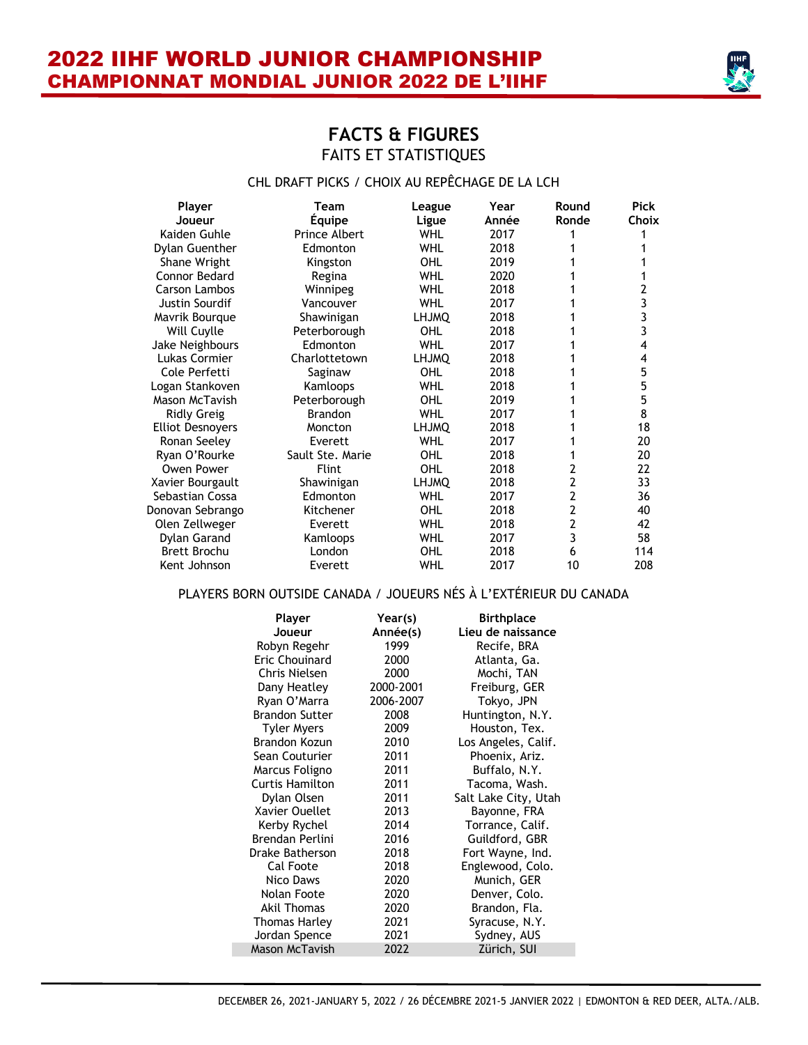

# **FACTS & FIGURES** FAITS ET STATISTIQUES

#### CHL DRAFT PICKS / CHOIX AU REPÊCHAGE DE LA LCH

| Player<br>Joueur        | <b>Team</b><br><b>Equipe</b> | League<br>Ligue | Year<br>Année | Round<br>Ronde | <b>Pick</b><br><b>Choix</b> |
|-------------------------|------------------------------|-----------------|---------------|----------------|-----------------------------|
| Kaiden Guhle            | <b>Prince Albert</b>         | <b>WHL</b>      | 2017          |                |                             |
| Dylan Guenther          | Edmonton                     | WHL             | 2018          |                |                             |
| Shane Wright            | Kingston                     | OHL             | 2019          |                |                             |
| Connor Bedard           | Regina                       | WHL             | 2020          |                |                             |
| Carson Lambos           | Winnipeg                     | WHL             | 2018          |                | 2                           |
| Justin Sourdif          | Vancouver                    | <b>WHL</b>      | 2017          |                | 3                           |
| Mavrik Bourque          | Shawinigan                   | <b>LHJMQ</b>    | 2018          |                | 3                           |
| Will Cuylle             | Peterborough                 | OHL             | 2018          |                | 3                           |
| Jake Neighbours         | Edmonton                     | <b>WHL</b>      | 2017          |                | 4                           |
| Lukas Cormier           | Charlottetown                | <b>LHJMQ</b>    | 2018          |                | 4                           |
| Cole Perfetti           | Saginaw                      | OHL             | 2018          |                | 5                           |
| Logan Stankoven         | Kamloops                     | <b>WHL</b>      | 2018          |                | 5                           |
| Mason McTavish          | Peterborough                 | OHL             | 2019          |                | 5                           |
| <b>Ridly Greig</b>      | Brandon                      | <b>WHL</b>      | 2017          |                | 8                           |
| <b>Elliot Desnovers</b> | Moncton                      | <b>LHJMQ</b>    | 2018          |                | 18                          |
| Ronan Seeley            | Everett                      | WHL             | 2017          |                | 20                          |
| Ryan O'Rourke           | Sault Ste. Marie             | OHL             | 2018          |                | 20                          |
| Owen Power              | <b>Flint</b>                 | OHL             | 2018          | 2              | 22                          |
| Xavier Bourgault        | Shawinigan                   | LHJMQ           | 2018          | 2              | 33                          |
| Sebastian Cossa         | Edmonton                     | <b>WHL</b>      | 2017          | $\overline{2}$ | 36                          |
| Donovan Sebrango        | Kitchener                    | OHL             | 2018          | 2              | 40                          |
| Olen Zellweger          | Everett                      | <b>WHL</b>      | 2018          | 2              | 42                          |
| Dylan Garand            | Kamloops                     | <b>WHL</b>      | 2017          | 3              | 58                          |
| <b>Brett Brochu</b>     | London                       | OHL             | 2018          | 6              | 114                         |
| Kent Johnson            | Everett                      | <b>WHL</b>      | 2017          | 10             | 208                         |

#### PLAYERS BORN OUTSIDE CANADA / JOUEURS NÉS À L'EXTÉRIEUR DU CANADA

| Player                 | Year(s)   | <b>Birthplace</b>    |
|------------------------|-----------|----------------------|
| Joueur                 | Année(s)  | Lieu de naissance    |
| Robyn Regehr           | 1999      | Recife, BRA          |
| Eric Chouinard         | 2000      | Atlanta, Ga.         |
| Chris Nielsen          | 2000      | Mochi, TAN           |
| Dany Heatley           | 2000-2001 | Freiburg, GER        |
| Ryan O'Marra           | 2006-2007 | Tokyo, JPN           |
| <b>Brandon Sutter</b>  | 2008      | Huntington, N.Y.     |
| <b>Tyler Myers</b>     | 2009      | Houston, Tex.        |
| Brandon Kozun          | 2010      | Los Angeles, Calif.  |
| Sean Couturier         | 2011      | Phoenix, Ariz.       |
| Marcus Foligno         | 2011      | Buffalo, N.Y.        |
| Curtis Hamilton        | 2011      | Tacoma, Wash.        |
| Dylan Olsen            | 2011      | Salt Lake City, Utah |
| Xavier Ouellet         | 2013      | Bayonne, FRA         |
| Kerby Rychel           | 2014      | Torrance, Calif.     |
| <b>Brendan Perlini</b> | 2016      | Guildford, GBR       |
| Drake Batherson        | 2018      | Fort Wayne, Ind.     |
| Cal Foote              | 2018      | Englewood, Colo.     |
| Nico Daws              | 2020      | Munich, GER          |
| Nolan Foote            | 2020      | Denver, Colo.        |
| Akil Thomas            | 2020      | Brandon, Fla.        |
| Thomas Harley          | 2021      | Syracuse, N.Y.       |
| Jordan Spence          | 2021      | Sydney, AUS          |
| <b>Mason McTavish</b>  | 2022      | Zürich, SUI          |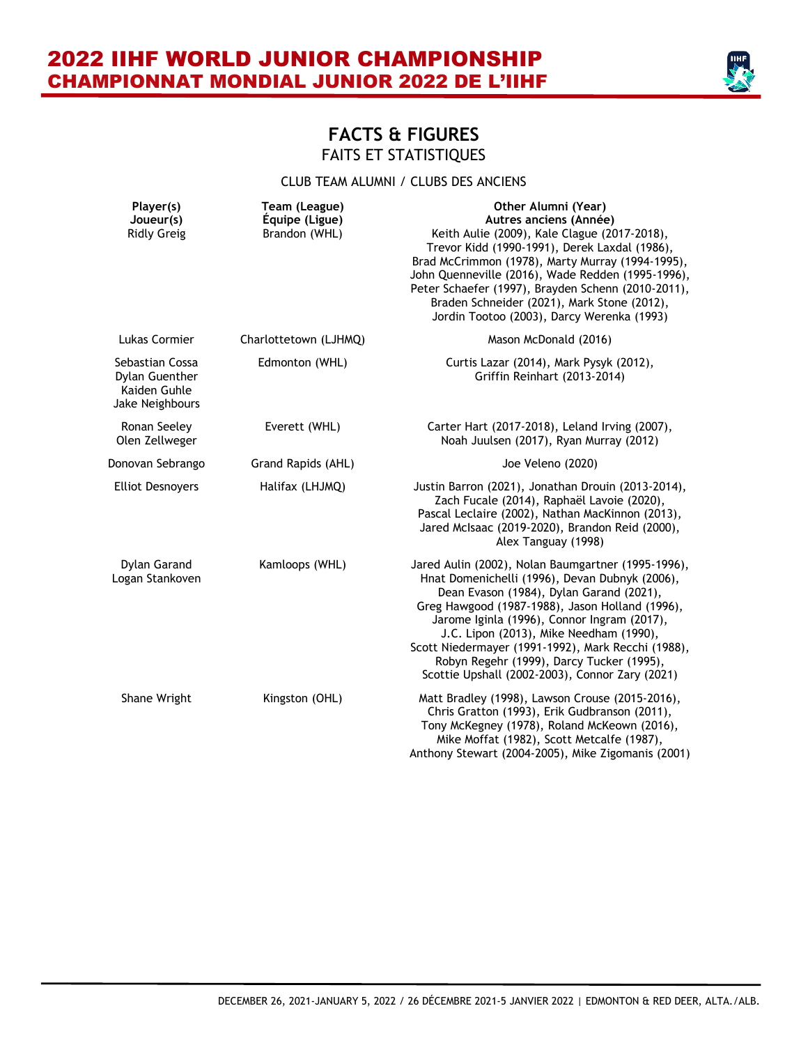

### **FACTS & FIGURES** FAITS ET STATISTIQUES

#### CLUB TEAM ALUMNI / CLUBS DES ANCIENS

| Player(s)<br>Joueur(s)<br><b>Ridly Greig</b>                         | Team (League)<br>Équipe (Ligue)<br>Brandon (WHL) | Other Alumni (Year)<br>Autres anciens (Année)<br>Keith Aulie (2009), Kale Clague (2017-2018),<br>Trevor Kidd (1990-1991), Derek Laxdal (1986),<br>Brad McCrimmon (1978), Marty Murray (1994-1995),<br>John Quenneville (2016), Wade Redden (1995-1996),<br>Peter Schaefer (1997), Brayden Schenn (2010-2011),<br>Braden Schneider (2021), Mark Stone (2012),<br>Jordin Tootoo (2003), Darcy Werenka (1993)                                          |
|----------------------------------------------------------------------|--------------------------------------------------|-----------------------------------------------------------------------------------------------------------------------------------------------------------------------------------------------------------------------------------------------------------------------------------------------------------------------------------------------------------------------------------------------------------------------------------------------------|
| Lukas Cormier                                                        | Charlottetown (LJHMQ)                            | Mason McDonald (2016)                                                                                                                                                                                                                                                                                                                                                                                                                               |
| Sebastian Cossa<br>Dylan Guenther<br>Kaiden Guhle<br>Jake Neighbours | Edmonton (WHL)                                   | Curtis Lazar (2014), Mark Pysyk (2012),<br>Griffin Reinhart (2013-2014)                                                                                                                                                                                                                                                                                                                                                                             |
| Ronan Seeley<br>Olen Zellweger                                       | Everett (WHL)                                    | Carter Hart (2017-2018), Leland Irving (2007),<br>Noah Juulsen (2017), Ryan Murray (2012)                                                                                                                                                                                                                                                                                                                                                           |
| Donovan Sebrango                                                     | Grand Rapids (AHL)                               | Joe Veleno (2020)                                                                                                                                                                                                                                                                                                                                                                                                                                   |
| <b>Elliot Desnovers</b>                                              | Halifax (LHJMQ)                                  | Justin Barron (2021), Jonathan Drouin (2013-2014),<br>Zach Fucale (2014), Raphaël Lavoie (2020),<br>Pascal Leclaire (2002), Nathan MacKinnon (2013),<br>Jared McIsaac (2019-2020), Brandon Reid (2000),<br>Alex Tanguay (1998)                                                                                                                                                                                                                      |
| Dylan Garand<br>Logan Stankoven                                      | Kamloops (WHL)                                   | Jared Aulin (2002), Nolan Baumgartner (1995-1996),<br>Hnat Domenichelli (1996), Devan Dubnyk (2006),<br>Dean Evason (1984), Dylan Garand (2021),<br>Greg Hawgood (1987-1988), Jason Holland (1996),<br>Jarome Iginla (1996), Connor Ingram (2017),<br>J.C. Lipon (2013), Mike Needham (1990),<br>Scott Niedermayer (1991-1992), Mark Recchi (1988),<br>Robyn Regehr (1999), Darcy Tucker (1995),<br>Scottie Upshall (2002-2003), Connor Zary (2021) |
| Shane Wright                                                         | Kingston (OHL)                                   | Matt Bradley (1998), Lawson Crouse (2015-2016),<br>Chris Gratton (1993), Erik Gudbranson (2011),<br>Tony McKegney (1978), Roland McKeown (2016),<br>Mike Moffat (1982), Scott Metcalfe (1987),<br>Anthony Stewart (2004-2005), Mike Zigomanis (2001)                                                                                                                                                                                                |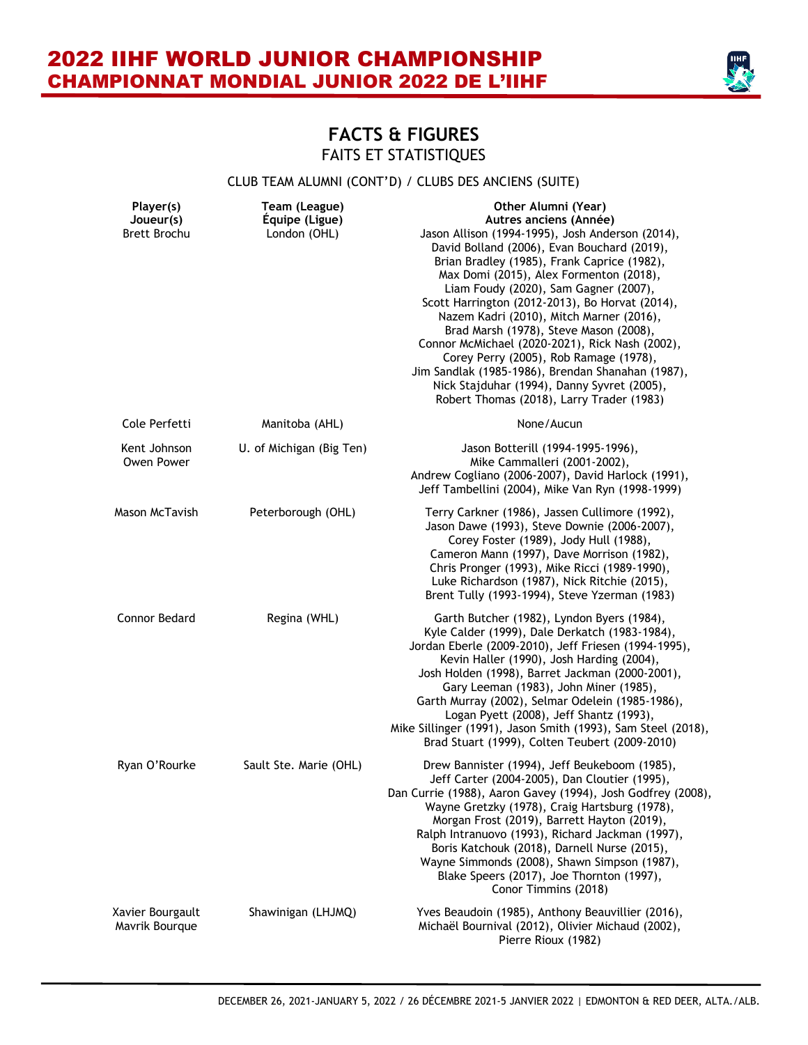

### **FACTS & FIGURES** FAITS ET STATISTIQUES

#### CLUB TEAM ALUMNI (CONT'D) / CLUBS DES ANCIENS (SUITE)

| Player(s)<br>Joueur(s)<br><b>Brett Brochu</b> | Team (League)<br>Équipe (Ligue)<br>London (OHL) | Other Alumni (Year)<br>Autres anciens (Année)<br>Jason Allison (1994-1995), Josh Anderson (2014),<br>David Bolland (2006), Evan Bouchard (2019),<br>Brian Bradley (1985), Frank Caprice (1982),<br>Max Domi (2015), Alex Formenton (2018),<br>Liam Foudy (2020), Sam Gagner (2007),<br>Scott Harrington (2012-2013), Bo Horvat (2014),<br>Nazem Kadri (2010), Mitch Marner (2016),<br>Brad Marsh (1978), Steve Mason (2008),<br>Connor McMichael (2020-2021), Rick Nash (2002),<br>Corey Perry (2005), Rob Ramage (1978),<br>Jim Sandlak (1985-1986), Brendan Shanahan (1987),<br>Nick Stajduhar (1994), Danny Syvret (2005),<br>Robert Thomas (2018), Larry Trader (1983) |
|-----------------------------------------------|-------------------------------------------------|----------------------------------------------------------------------------------------------------------------------------------------------------------------------------------------------------------------------------------------------------------------------------------------------------------------------------------------------------------------------------------------------------------------------------------------------------------------------------------------------------------------------------------------------------------------------------------------------------------------------------------------------------------------------------|
| Cole Perfetti                                 | Manitoba (AHL)                                  | None/Aucun                                                                                                                                                                                                                                                                                                                                                                                                                                                                                                                                                                                                                                                                 |
| Kent Johnson<br>Owen Power                    | U. of Michigan (Big Ten)                        | Jason Botterill (1994-1995-1996),<br>Mike Cammalleri (2001-2002),<br>Andrew Cogliano (2006-2007), David Harlock (1991),<br>Jeff Tambellini (2004), Mike Van Ryn (1998-1999)                                                                                                                                                                                                                                                                                                                                                                                                                                                                                                |
| Mason McTavish                                | Peterborough (OHL)                              | Terry Carkner (1986), Jassen Cullimore (1992),<br>Jason Dawe (1993), Steve Downie (2006-2007),<br>Corey Foster (1989), Jody Hull (1988),<br>Cameron Mann (1997), Dave Morrison (1982),<br>Chris Pronger (1993), Mike Ricci (1989-1990),<br>Luke Richardson (1987), Nick Ritchie (2015),<br>Brent Tully (1993-1994), Steve Yzerman (1983)                                                                                                                                                                                                                                                                                                                                   |
| Connor Bedard                                 | Regina (WHL)                                    | Garth Butcher (1982), Lyndon Byers (1984),<br>Kyle Calder (1999), Dale Derkatch (1983-1984),<br>Jordan Eberle (2009-2010), Jeff Friesen (1994-1995),<br>Kevin Haller (1990), Josh Harding (2004),<br>Josh Holden (1998), Barret Jackman (2000-2001),<br>Gary Leeman (1983), John Miner (1985),<br>Garth Murray (2002), Selmar Odelein (1985-1986),<br>Logan Pyett (2008), Jeff Shantz (1993),<br>Mike Sillinger (1991), Jason Smith (1993), Sam Steel (2018),<br>Brad Stuart (1999), Colten Teubert (2009-2010)                                                                                                                                                            |
| Ryan O'Rourke                                 | Sault Ste. Marie (OHL)                          | Drew Bannister (1994), Jeff Beukeboom (1985),<br>Jeff Carter (2004-2005), Dan Cloutier (1995),<br>Dan Currie (1988), Aaron Gavey (1994), Josh Godfrey (2008),<br>Wayne Gretzky (1978), Craig Hartsburg (1978),<br>Morgan Frost (2019), Barrett Hayton (2019),<br>Ralph Intranuovo (1993), Richard Jackman (1997),<br>Boris Katchouk (2018), Darnell Nurse (2015),<br>Wayne Simmonds (2008), Shawn Simpson (1987),<br>Blake Speers (2017), Joe Thornton (1997),<br>Conor Timmins (2018)                                                                                                                                                                                     |
| Xavier Bourgault<br>Mavrik Bourque            | Shawinigan (LHJMQ)                              | Yves Beaudoin (1985), Anthony Beauvillier (2016),<br>Michaël Bournival (2012), Olivier Michaud (2002),<br>Pierre Rioux (1982)                                                                                                                                                                                                                                                                                                                                                                                                                                                                                                                                              |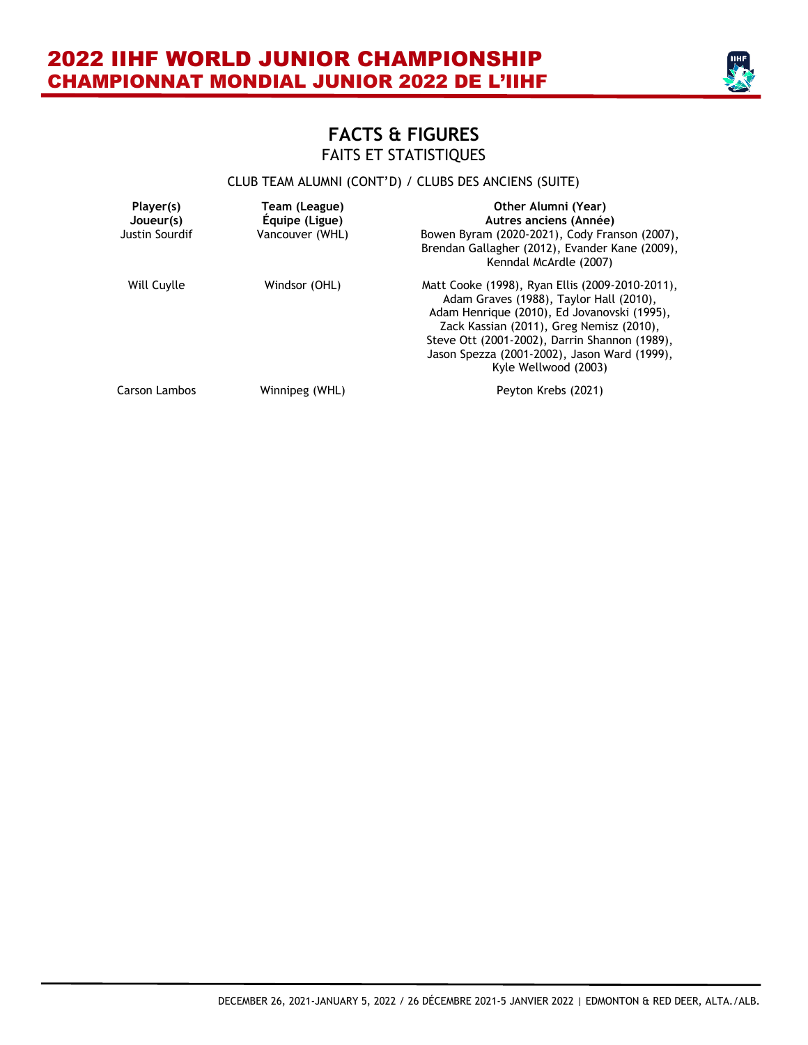

#### CLUB TEAM ALUMNI (CONT'D) / CLUBS DES ANCIENS (SUITE)

| Player(s)<br>Joueur(s)<br>Justin Sourdif | Team (League)<br>Equipe (Ligue)<br>Vancouver (WHL) | Other Alumni (Year)<br>Autres anciens (Année)<br>Bowen Byram (2020-2021), Cody Franson (2007),<br>Brendan Gallagher (2012), Evander Kane (2009),<br>Kenndal McArdle (2007)                                                                                                                                     |
|------------------------------------------|----------------------------------------------------|----------------------------------------------------------------------------------------------------------------------------------------------------------------------------------------------------------------------------------------------------------------------------------------------------------------|
| Will Cuylle                              | Windsor (OHL)                                      | Matt Cooke (1998), Ryan Ellis (2009-2010-2011),<br>Adam Graves (1988), Taylor Hall (2010),<br>Adam Henrique (2010), Ed Jovanovski (1995),<br>Zack Kassian (2011), Greg Nemisz (2010),<br>Steve Ott (2001-2002), Darrin Shannon (1989),<br>Jason Spezza (2001-2002), Jason Ward (1999),<br>Kyle Wellwood (2003) |
| Carson Lambos                            | Winnipeg (WHL)                                     | Peyton Krebs (2021)                                                                                                                                                                                                                                                                                            |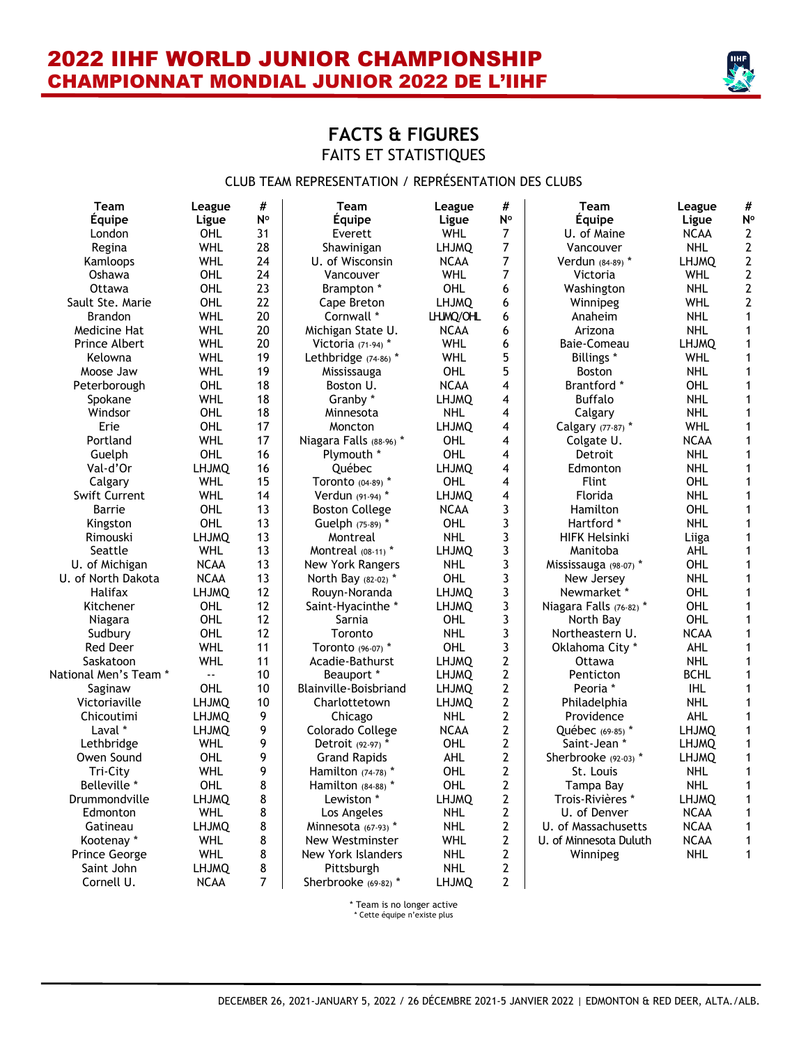

# **FACTS & FIGURES** FAITS ET STATISTIQUES

#### CLUB TEAM REPRESENTATION / REPRÉSENTATION DES CLUBS

| <b>Team</b>           | League       | #  | <b>Team</b>             | League       | #              | <b>Team</b>             | League              | #              |
|-----------------------|--------------|----|-------------------------|--------------|----------------|-------------------------|---------------------|----------------|
| Équipe                | Ligue        | N° | <b>Équipe</b>           | Ligue        | N°             | Équipe                  | Ligue               | N <sup>o</sup> |
| London                | OHL          | 31 | Everett                 | <b>WHL</b>   | $\overline{7}$ | U. of Maine             | <b>NCAA</b>         | 2              |
| Regina                | <b>WHL</b>   | 28 | Shawinigan              | <b>LHJMQ</b> | $\overline{7}$ | Vancouver               | <b>NHL</b>          | $\mathbf{2}$   |
| Kamloops              | <b>WHL</b>   | 24 | U. of Wisconsin         | <b>NCAA</b>  | 7              | Verdun (84-89) *        | LHJMQ               | $\mathbf{2}$   |
| Oshawa                | OHL          | 24 | Vancouver               | <b>WHL</b>   | 7              | Victoria                | WHL                 | $\mathbf{2}$   |
| Ottawa                | <b>OHL</b>   | 23 | Brampton *              | OHL          | 6              | Washington              | <b>NHL</b>          | $\mathbf{2}$   |
| Sault Ste. Marie      | <b>OHL</b>   | 22 | Cape Breton             | <b>LHJMQ</b> | 6              | Winnipeg                | <b>WHL</b>          | 2              |
| <b>Brandon</b>        | <b>WHL</b>   | 20 | Cornwall *              | LHJMQ/OHL    | 6              | Anaheim                 | <b>NHL</b>          | $\mathbf{1}$   |
| Medicine Hat          | <b>WHL</b>   | 20 | Michigan State U.       | <b>NCAA</b>  | 6              | Arizona                 | NHL                 | 1              |
| Prince Albert         | <b>WHL</b>   | 20 | Victoria (71-94) *      | WHL          | 6              | Baie-Comeau             | <b>LHJMQ</b>        | $\mathbf{1}$   |
| Kelowna               | <b>WHL</b>   | 19 | Lethbridge (74-86) *    | <b>WHL</b>   | 5              | <b>Billings</b> *       | WHL                 | 1              |
| Moose Jaw             | <b>WHL</b>   | 19 | Mississauga             | OHL          | 5              | Boston                  | <b>NHL</b>          | $\mathbf{1}$   |
| Peterborough          | <b>OHL</b>   | 18 | Boston U.               | <b>NCAA</b>  | 4              | Brantford *             | OHL                 | 1              |
| Spokane               | <b>WHL</b>   | 18 | Granby *                | <b>LHJMQ</b> | 4              | <b>Buffalo</b>          | <b>NHL</b>          | 1              |
| Windsor               | OHL          | 18 | Minnesota               | <b>NHL</b>   | 4              | Calgary                 | <b>NHL</b>          | 1              |
| Erie                  | OHL          | 17 | Moncton                 | <b>LHJMQ</b> | 4              | Calgary (77-87) *       | <b>WHL</b>          | 1              |
| Portland              | <b>WHL</b>   | 17 | Niagara Falls (88-96) * | OHL          | 4              | Colgate U.              | <b>NCAA</b>         | 1              |
| Guelph                | OHL          | 16 | Plymouth *              | OHL          | 4              | Detroit                 | <b>NHL</b>          | 1              |
| Val-d'Or              | <b>LHJMQ</b> | 16 | <b>Ouébec</b>           | <b>LHJMQ</b> | 4              | Edmonton                | <b>NHL</b>          | 1              |
| Calgary               | WHL          | 15 | Toronto (04-89) *       | OHL          | 4              | Flint                   | OHL                 | 1              |
| <b>Swift Current</b>  | <b>WHL</b>   | 14 | Verdun (91-94) *        | <b>LHJMQ</b> | $\overline{4}$ | Florida                 | <b>NHL</b>          | $\mathbf{1}$   |
| Barrie                | OHL          | 13 | <b>Boston College</b>   | <b>NCAA</b>  | 3              | Hamilton                | OHL                 | $\mathbf{1}$   |
| Kingston              | <b>OHL</b>   | 13 | Guelph (75-89) *        | OHL          | 3              | Hartford *              | <b>NHL</b>          | $\mathbf{1}$   |
| Rimouski              | <b>LHJMQ</b> | 13 | Montreal                | <b>NHL</b>   | 3              | <b>HIFK Helsinki</b>    |                     | $\mathbf{1}$   |
| Seattle               | <b>WHL</b>   | 13 | Montreal (08-11) *      | <b>LHJMQ</b> | 3              | Manitoba                | Liiga<br><b>AHL</b> | $\mathbf{1}$   |
|                       | <b>NCAA</b>  | 13 |                         | <b>NHL</b>   | 3              |                         | OHL                 | $\mathbf{1}$   |
| U. of Michigan        |              |    | <b>New York Rangers</b> | OHL          |                | Mississauga (98-07) *   |                     |                |
| U. of North Dakota    | <b>NCAA</b>  | 13 | North Bay (82-02) *     |              | 3              | New Jersey              | <b>NHL</b>          | $\mathbf{1}$   |
| Halifax               | <b>LHJMQ</b> | 12 | Rouyn-Noranda           | <b>LHJMQ</b> | 3              | Newmarket *             | OHL                 | $\mathbf{1}$   |
| Kitchener             | <b>OHL</b>   | 12 | Saint-Hyacinthe *       | <b>LHJMQ</b> | 3              | Niagara Falls (76-82) * | OHL                 | $\mathbf{1}$   |
| Niagara               | <b>OHL</b>   | 12 | Sarnia                  | OHL          | 3              | North Bay               | OHL                 | 1              |
| Sudbury               | <b>OHL</b>   | 12 | Toronto                 | <b>NHL</b>   | 3              | Northeastern U.         | <b>NCAA</b>         | $\mathbf{1}$   |
| Red Deer              | <b>WHL</b>   | 11 | Toronto (96-07) *       | OHL          | 3              | Oklahoma City*          | <b>AHL</b>          | $\mathbf{1}$   |
| Saskatoon             | <b>WHL</b>   | 11 | Acadie-Bathurst         | <b>LHJMQ</b> | $\mathbf{2}$   | Ottawa                  | <b>NHL</b>          | $\mathbf{1}$   |
| National Men's Team * | u.           | 10 | Beauport *              | <b>LHJMQ</b> | $\overline{2}$ | Penticton               | <b>BCHL</b>         | 1              |
| Saginaw               | <b>OHL</b>   | 10 | Blainville-Boisbriand   | <b>LHJMQ</b> | $\overline{2}$ | Peoria *                | <b>IHL</b>          | $\mathbf{1}$   |
| Victoriaville         | <b>LHJMQ</b> | 10 | Charlottetown           | <b>LHJMQ</b> | $\overline{2}$ | Philadelphia            | <b>NHL</b>          | $\mathbf{1}$   |
| Chicoutimi            | <b>LHJMQ</b> | 9  | Chicago                 | <b>NHL</b>   | $\mathbf{2}$   | Providence              | <b>AHL</b>          | $\mathbf 1$    |
| Laval *               | <b>LHJMQ</b> | 9  | Colorado College        | <b>NCAA</b>  | $\mathbf{2}$   | Québec (69-85) *        | <b>LHJMQ</b>        | $\mathbf{1}$   |
| Lethbridge            | <b>WHL</b>   | 9  | Detroit (92-97) *       | OHL          | $\mathbf{2}$   | Saint-Jean *            | <b>LHJMQ</b>        | $\mathbf 1$    |
| Owen Sound            | OHL          | 9  | <b>Grand Rapids</b>     | <b>AHL</b>   | $\mathbf{2}$   | Sherbrooke (92-03) *    | <b>LHJMQ</b>        | 1              |
| Tri-City              | <b>WHL</b>   | 9  | Hamilton $(74-78)$ *    | OHL          | $\mathbf{2}$   | St. Louis               | <b>NHL</b>          | 1              |
| Belleville *          | OHL          | 8  | Hamilton $(84-88)$ *    | OHL          | $\mathbf 2$    | Tampa Bay               | <b>NHL</b>          | 1              |
| Drummondville         | <b>LHJMO</b> | 8  | Lewiston *              | <b>LHJMO</b> | $\mathbf 2$    | Trois-Rivières *        | <b>LHJMO</b>        | $\mathbf{1}$   |
| Edmonton              | <b>WHL</b>   | 8  | Los Angeles             | <b>NHL</b>   | $\overline{2}$ | U. of Denver            | <b>NCAA</b>         | 1              |
| Gatineau              | <b>LHJMQ</b> | 8  | Minnesota (67-93) *     | <b>NHL</b>   | $\overline{2}$ | U. of Massachusetts     | <b>NCAA</b>         | 1              |
| Kootenay *            | <b>WHL</b>   | 8  | New Westminster         | <b>WHL</b>   | $\overline{2}$ | U. of Minnesota Duluth  | <b>NCAA</b>         | 1              |
| <b>Prince George</b>  | <b>WHL</b>   | 8  | New York Islanders      | <b>NHL</b>   | $\overline{2}$ | Winnipeg                | <b>NHL</b>          | $\mathbf{1}$   |
| Saint John            | <b>LHJMQ</b> | 8  | Pittsburgh              | <b>NHL</b>   | $\mathbf{2}$   |                         |                     |                |
| Cornell U.            | <b>NCAA</b>  | 7  | Sherbrooke (69-82) *    | <b>LHJMQ</b> | $\overline{2}$ |                         |                     |                |
|                       |              |    |                         |              |                |                         |                     |                |

\* Team is no longer active \* Cette équipe n'existe plus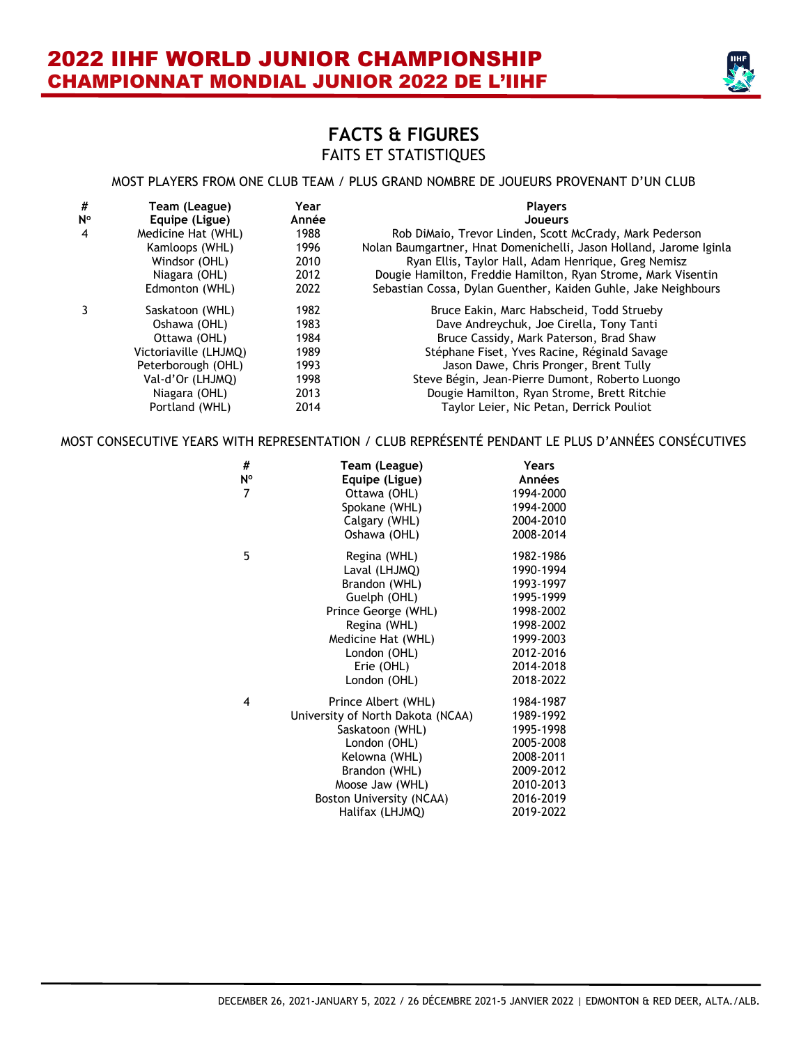

#### MOST PLAYERS FROM ONE CLUB TEAM / PLUS GRAND NOMBRE DE JOUEURS PROVENANT D'UN CLUB

| #           | Team (League)         | Year  | <b>Players</b>                                                     |
|-------------|-----------------------|-------|--------------------------------------------------------------------|
| $N^{\circ}$ | Equipe (Ligue)        | Année | <b>Joueurs</b>                                                     |
| 4           | Medicine Hat (WHL)    | 1988  | Rob DiMaio, Trevor Linden, Scott McCrady, Mark Pederson            |
|             | Kamloops (WHL)        | 1996  | Nolan Baumgartner, Hnat Domenichelli, Jason Holland, Jarome Iginla |
|             | Windsor (OHL)         | 2010  | Ryan Ellis, Taylor Hall, Adam Henrique, Greg Nemisz                |
|             | Niagara (OHL)         | 2012  | Dougie Hamilton, Freddie Hamilton, Ryan Strome, Mark Visentin      |
|             | Edmonton (WHL)        | 2022  | Sebastian Cossa, Dylan Guenther, Kaiden Guhle, Jake Neighbours     |
|             | Saskatoon (WHL)       | 1982  | Bruce Eakin, Marc Habscheid, Todd Strueby                          |
|             | Oshawa (OHL)          | 1983  | Dave Andreychuk, Joe Cirella, Tony Tanti                           |
|             | Ottawa (OHL)          | 1984  | Bruce Cassidy, Mark Paterson, Brad Shaw                            |
|             | Victoriaville (LHJMQ) | 1989  | Stéphane Fiset, Yves Racine, Réginald Savage                       |
|             | Peterborough (OHL)    | 1993  | Jason Dawe, Chris Pronger, Brent Tully                             |
|             | Val-d'Or (LHJMQ)      | 1998  | Steve Bégin, Jean-Pierre Dumont, Roberto Luongo                    |
|             | Niagara (OHL)         | 2013  | Dougie Hamilton, Ryan Strome, Brett Ritchie                        |
|             | Portland (WHL)        | 2014  | Taylor Leier, Nic Petan, Derrick Pouliot                           |

#### MOST CONSECUTIVE YEARS WITH REPRESENTATION / CLUB REPRÉSENTÉ PENDANT LE PLUS D'ANNÉES CONSÉCUTIVES

| Team (League)                     | Years         |
|-----------------------------------|---------------|
| Equipe (Ligue)                    | Années        |
| Ottawa (OHL)                      | 1994-2000     |
| Spokane (WHL)                     | 1994-2000     |
| Calgary (WHL)                     | 2004-2010     |
| Oshawa (OHL)                      | 2008-2014     |
| Regina (WHL)                      | 1982-1986     |
| Laval (LHJMQ)                     | 1990-1994     |
| Brandon (WHL)                     | 1993-1997     |
| Guelph (OHL)                      | 1995-1999     |
| Prince George (WHL)               | 1998-2002     |
| Regina (WHL)                      | 1998-2002     |
| Medicine Hat (WHL)                | 1999-2003     |
| London (OHL)                      | 2012-2016     |
| Erie (OHL)                        | 2014-2018     |
| London (OHL)                      | 2018-2022     |
| Prince Albert (WHL)               | 1984-1987     |
| University of North Dakota (NCAA) | 1989-1992     |
| Saskatoon (WHL)                   | 1995-1998     |
| London (OHL)                      | 2005-2008     |
|                                   | 2008-2011     |
| Brandon (WHL)                     | 2009-2012     |
| Moose Jaw (WHL)                   | 2010-2013     |
| Boston University (NCAA)          | 2016-2019     |
| Halifax (LHJMQ)                   | 2019-2022     |
|                                   | Kelowna (WHL) |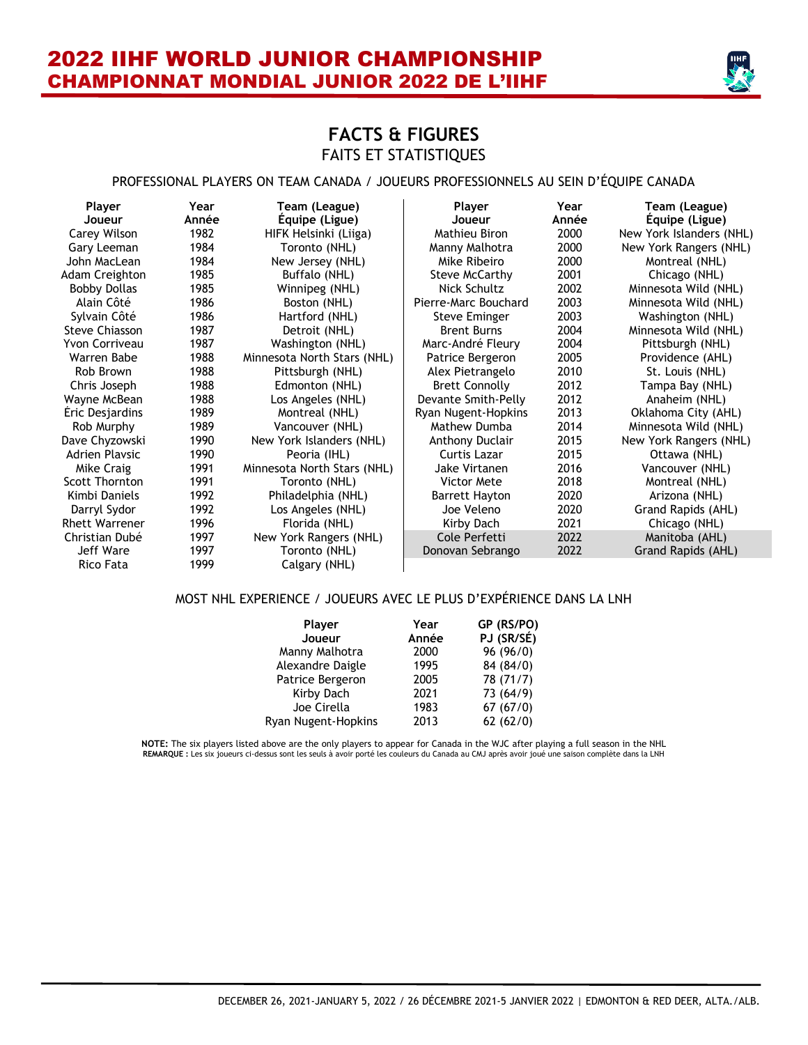

### **FACTS & FIGURES** FAITS ET STATISTIQUES

#### PROFESSIONAL PLAYERS ON TEAM CANADA / JOUEURS PROFESSIONNELS AU SEIN D'ÉQUIPE CANADA

| <b>Player</b>         | Year  | Team (League)               | Player                 | Year  | Team (League)            |
|-----------------------|-------|-----------------------------|------------------------|-------|--------------------------|
| Joueur                | Année | Equipe (Ligue)              | Joueur                 | Année | Equipe (Ligue)           |
| Carey Wilson          | 1982  | HIFK Helsinki (Liiga)       | Mathieu Biron          | 2000  | New York Islanders (NHL) |
| Gary Leeman           | 1984  | Toronto (NHL)               | Manny Malhotra         | 2000  | New York Rangers (NHL)   |
| John MacLean          | 1984  | New Jersey (NHL)            | Mike Ribeiro           | 2000  | Montreal (NHL)           |
| Adam Creighton        | 1985  | Buffalo (NHL)               | Steve McCarthy         | 2001  | Chicago (NHL)            |
| <b>Bobby Dollas</b>   | 1985  | Winnipeg (NHL)              | Nick Schultz           | 2002  | Minnesota Wild (NHL)     |
| Alain Côté            | 1986  | Boston (NHL)                | Pierre-Marc Bouchard   | 2003  | Minnesota Wild (NHL)     |
| Sylvain Côté          | 1986  | Hartford (NHL)              | Steve Eminger          | 2003  | Washington (NHL)         |
| <b>Steve Chiasson</b> | 1987  | Detroit (NHL)               | <b>Brent Burns</b>     | 2004  | Minnesota Wild (NHL)     |
| Yvon Corriveau        | 1987  | Washington (NHL)            | Marc-André Fleury      | 2004  | Pittsburgh (NHL)         |
| Warren Babe           | 1988  | Minnesota North Stars (NHL) | Patrice Bergeron       | 2005  | Providence (AHL)         |
| Rob Brown             | 1988  | Pittsburgh (NHL)            | Alex Pietrangelo       | 2010  | St. Louis (NHL)          |
| Chris Joseph          | 1988  | Edmonton (NHL)              | <b>Brett Connolly</b>  | 2012  | Tampa Bay (NHL)          |
| Wayne McBean          | 1988  | Los Angeles (NHL)           | Devante Smith-Pelly    | 2012  | Anaheim (NHL)            |
| Eric Desjardins       | 1989  | Montreal (NHL)              | Ryan Nugent-Hopkins    | 2013  | Oklahoma City (AHL)      |
| Rob Murphy            | 1989  | Vancouver (NHL)             | Mathew Dumba           | 2014  | Minnesota Wild (NHL)     |
| Dave Chyzowski        | 1990  | New York Islanders (NHL)    | <b>Anthony Duclair</b> | 2015  | New York Rangers (NHL)   |
| <b>Adrien Playsic</b> | 1990  | Peoria (IHL)                | Curtis Lazar           | 2015  | Ottawa (NHL)             |
| Mike Craig            | 1991  | Minnesota North Stars (NHL) | Jake Virtanen          | 2016  | Vancouver (NHL)          |
| Scott Thornton        | 1991  | Toronto (NHL)               | Victor Mete            | 2018  | Montreal (NHL)           |
| Kimbi Daniels         | 1992  | Philadelphia (NHL)          | Barrett Hayton         | 2020  | Arizona (NHL)            |
| Darryl Sydor          | 1992  | Los Angeles (NHL)           | Joe Veleno             | 2020  | Grand Rapids (AHL)       |
| <b>Rhett Warrener</b> | 1996  | Florida (NHL)               | Kirby Dach             | 2021  | Chicago (NHL)            |
| Christian Dubé        | 1997  | New York Rangers (NHL)      | Cole Perfetti          | 2022  | Manitoba (AHL)           |
| Jeff Ware             | 1997  | Toronto (NHL)               | Donovan Sebrango       | 2022  | Grand Rapids (AHL)       |
| Rico Fata             | 1999  | Calgary (NHL)               |                        |       |                          |

#### MOST NHL EXPERIENCE / JOUEURS AVEC LE PLUS D'EXPÉRIENCE DANS LA LNH

| Player<br>Joueur    | Year<br>Année | GP (RS/PO)<br>PJ (SR/SÉ) |
|---------------------|---------------|--------------------------|
| Manny Malhotra      | 2000          | 96 (96/0)                |
| Alexandre Daigle    | 1995          | 84 (84/0)                |
| Patrice Bergeron    | 2005          | 78 (71/7)                |
| Kirby Dach          | 2021          | 73 (64/9)                |
| Joe Cirella         | 1983          | 67(67/0)                 |
| Ryan Nugent-Hopkins | 2013          | 62(62/0)                 |

**NOTE:** The six players listed above are the only players to appear for Canada in the WJC after playing a full season in the NHL **REMARQUE :** Les six joueurs ci-dessus sont les seuls à avoir porté les couleurs du Canada au CMJ après avoir joué une saison complète dans la LNH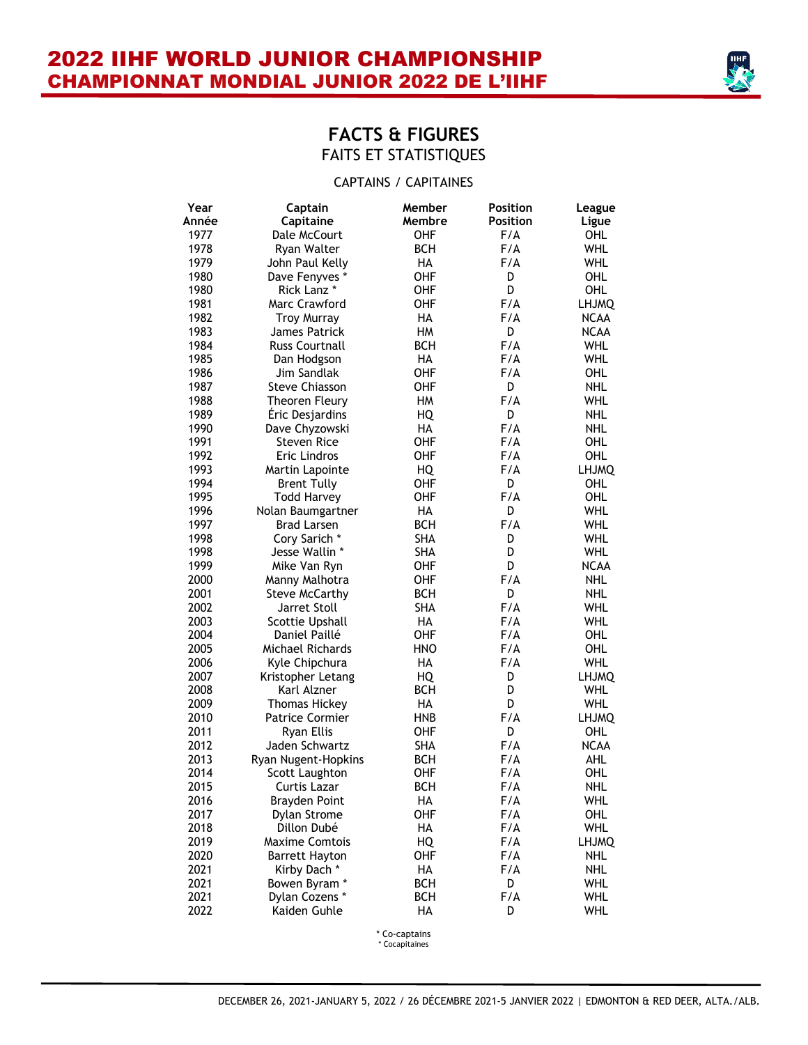

#### CAPTAINS / CAPITAINES

| Year  | Captain                         | Member     | <b>Position</b> | League            |
|-------|---------------------------------|------------|-----------------|-------------------|
| Année | Capitaine                       | Membre     | Position        | Ligue             |
| 1977  | Dale McCourt                    | OHF        | F/A             | OHL               |
| 1978  | Ryan Walter                     | <b>BCH</b> | F/A             | <b>WHL</b>        |
| 1979  | John Paul Kelly                 | <b>HA</b>  | F/A             | <b>WHL</b>        |
| 1980  | Dave Fenyves *                  | OHF        | D               | OHL               |
| 1980  | Rick Lanz *                     | OHF        | D               | <b>OHL</b>        |
| 1981  | Marc Crawford                   | OHF        | F/A             | <b>LHJMQ</b>      |
| 1982  | <b>Troy Murray</b>              | HA         | F/A             | <b>NCAA</b>       |
| 1983  | James Patrick                   | HM         | D               | <b>NCAA</b>       |
| 1984  | <b>Russ Courtnall</b>           | <b>BCH</b> | F/A             | <b>WHL</b>        |
| 1985  | Dan Hodgson                     | HA         | F/A             | <b>WHL</b>        |
| 1986  | Jim Sandlak                     | OHF        | F/A             | OHL               |
| 1987  | Steve Chiasson                  | OHF        | D               | <b>NHL</b>        |
| 1988  | Theoren Fleury                  | HM         | F/A             | <b>WHL</b>        |
| 1989  | Éric Desjardins                 | HQ         | D               | <b>NHL</b>        |
| 1990  | Dave Chyzowski                  | HA         | F/A             | <b>NHL</b>        |
| 1991  | <b>Steven Rice</b>              | OHF        | F/A             | OHL               |
| 1992  | Eric Lindros                    | OHF        | F/A             | <b>OHL</b>        |
| 1993  | Martin Lapointe                 | HQ         | F/A             | <b>LHJMQ</b>      |
| 1994  | <b>Brent Tully</b>              | OHF        | D               | <b>OHL</b>        |
| 1995  | <b>Todd Harvey</b>              | OHF        | F/A             | <b>OHL</b>        |
| 1996  | Nolan Baumgartner               | HA         | D               | WHL               |
| 1997  | <b>Brad Larsen</b>              | <b>BCH</b> | F/A             | WHL               |
| 1998  | Cory Sarich *                   | <b>SHA</b> | D               | WHL               |
| 1998  | Jesse Wallin *                  | <b>SHA</b> | D               | <b>WHL</b>        |
| 1999  | Mike Van Ryn                    | OHF        | D               | <b>NCAA</b>       |
| 2000  | Manny Malhotra                  | OHF        | F/A             | <b>NHL</b>        |
| 2001  | <b>Steve McCarthy</b>           | <b>BCH</b> | D               | <b>NHL</b>        |
| 2002  | Jarret Stoll                    | <b>SHA</b> | F/A             | WHL               |
| 2003  | Scottie Upshall                 | HA         | F/A             | <b>WHL</b>        |
| 2004  | Daniel Paillé                   | OHF        | F/A             | OHL               |
| 2005  | Michael Richards                | HNO        | F/A             | OHL               |
| 2006  | Kyle Chipchura                  | HA         | F/A             | WHL               |
| 2007  | Kristopher Letang               | HQ         | D               | <b>LHJMQ</b>      |
| 2008  | Karl Alzner                     | <b>BCH</b> | D               | <b>WHL</b>        |
| 2009  | <b>Thomas Hickey</b>            | HA         | D               | WHL               |
| 2010  | <b>Patrice Cormier</b>          | <b>HNB</b> | F/A             | <b>LHJMQ</b>      |
| 2011  | <b>Ryan Ellis</b>               | OHF        | D               | <b>OHL</b>        |
| 2012  | Jaden Schwartz                  | <b>SHA</b> | F/A             | <b>NCAA</b>       |
| 2013  | Ryan Nugent-Hopkins             | <b>BCH</b> | F/A             | <b>AHL</b>        |
| 2014  | Scott Laughton                  | OHF        | F/A             | <b>OHL</b>        |
| 2015  | Curtis Lazar                    | BCH        | F/A             | <b>NHL</b>        |
| 2016  | <b>Brayden Point</b>            | HА         | F/A             | WHL               |
| 2017  | Dylan Strome                    | OHF        | F/A             | OHL               |
| 2018  | Dillon Dubé                     | HA         | F/A             | WHL               |
| 2019  | <b>Maxime Comtois</b>           | HQ         | F/A             | <b>LHJMQ</b>      |
| 2020  | Barrett Hayton                  | OHF        | F/A             | NHL               |
| 2021  | Kirby Dach*                     | HА         | F/A             | NHL               |
| 2021  |                                 | <b>BCH</b> | D               |                   |
| 2021  | Bowen Byram *<br>Dylan Cozens * | <b>BCH</b> | F/A             | WHL<br><b>WHL</b> |
| 2022  | Kaiden Guhle                    | HA         | D               | WHL               |
|       |                                 |            |                 |                   |

\* Co-captains

\* Cocapitaines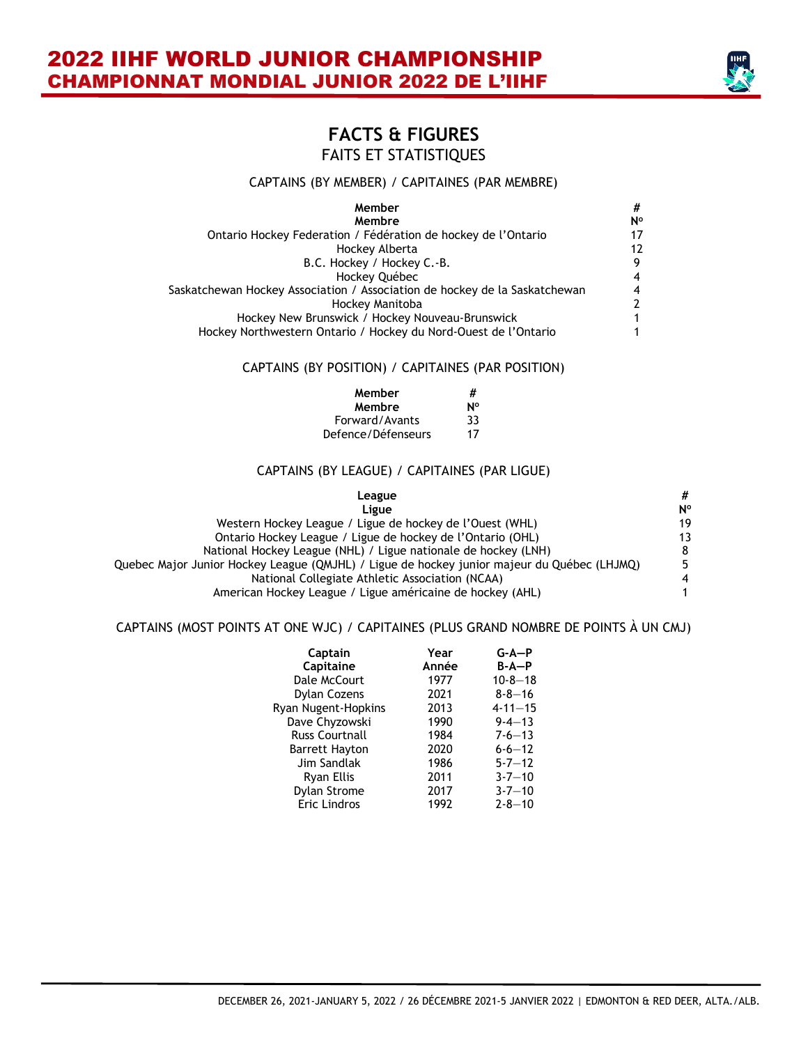

#### CAPTAINS (BY MEMBER) / CAPITAINES (PAR MEMBRE)

| Member                                                                     | #              |
|----------------------------------------------------------------------------|----------------|
| Membre                                                                     | N°             |
| Ontario Hockey Federation / Fédération de hockey de l'Ontario              | 17             |
| Hockey Alberta                                                             | 12             |
| B.C. Hockey / Hockey C.-B.                                                 | 9              |
| Hockey Québec                                                              | 4              |
| Saskatchewan Hockey Association / Association de hockey de la Saskatchewan | 4              |
| Hockey Manitoba                                                            | $\overline{2}$ |
| Hockey New Brunswick / Hockey Nouveau-Brunswick                            | 1              |
| Hockey Northwestern Ontario / Hockey du Nord-Ouest de l'Ontario            |                |

#### CAPTAINS (BY POSITION) / CAPITAINES (PAR POSITION)

| Member             | #  |
|--------------------|----|
| Membre             | N٥ |
| Forward/Avants     | 33 |
| Defence/Défenseurs | 17 |

#### CAPTAINS (BY LEAGUE) / CAPITAINES (PAR LIGUE)

| League                                                                                      | #              |
|---------------------------------------------------------------------------------------------|----------------|
| Ligue                                                                                       | N°             |
| Western Hockey League / Ligue de hockey de l'Ouest (WHL)                                    | 19             |
| Ontario Hockey League / Ligue de hockey de l'Ontario (OHL)                                  | 13             |
| National Hockey League (NHL) / Ligue nationale de hockey (LNH)                              | 8              |
| Quebec Major Junior Hockey League (QMJHL) / Ligue de hockey junior majeur du Québec (LHJMQ) | 5.             |
| National Collegiate Athletic Association (NCAA)                                             | $\overline{4}$ |
| American Hockey League / Ligue américaine de hockey (AHL)                                   | 1              |

#### CAPTAINS (MOST POINTS AT ONE WJC) / CAPITAINES (PLUS GRAND NOMBRE DE POINTS À UN CMJ)

| Captain                    | Year  | $G-A-P$       |
|----------------------------|-------|---------------|
| Capitaine                  | Année | $B - A - P$   |
| Dale McCourt               | 1977  | $10 - 8 - 18$ |
| <b>Dylan Cozens</b>        | 2021  | $8 - 8 - 16$  |
| <b>Ryan Nugent-Hopkins</b> | 2013  | $4 - 11 - 15$ |
| Dave Chyzowski             | 1990  | $9 - 4 - 13$  |
| <b>Russ Courtnall</b>      | 1984  | $7-6-13$      |
| <b>Barrett Hayton</b>      | 2020  | $6 - 6 - 12$  |
| Jim Sandlak                | 1986  | $5 - 7 - 12$  |
| Ryan Ellis                 | 2011  | $3 - 7 - 10$  |
| <b>Dylan Strome</b>        | 2017  | $3 - 7 - 10$  |
| Eric Lindros               | 1992  | $2 - 8 - 10$  |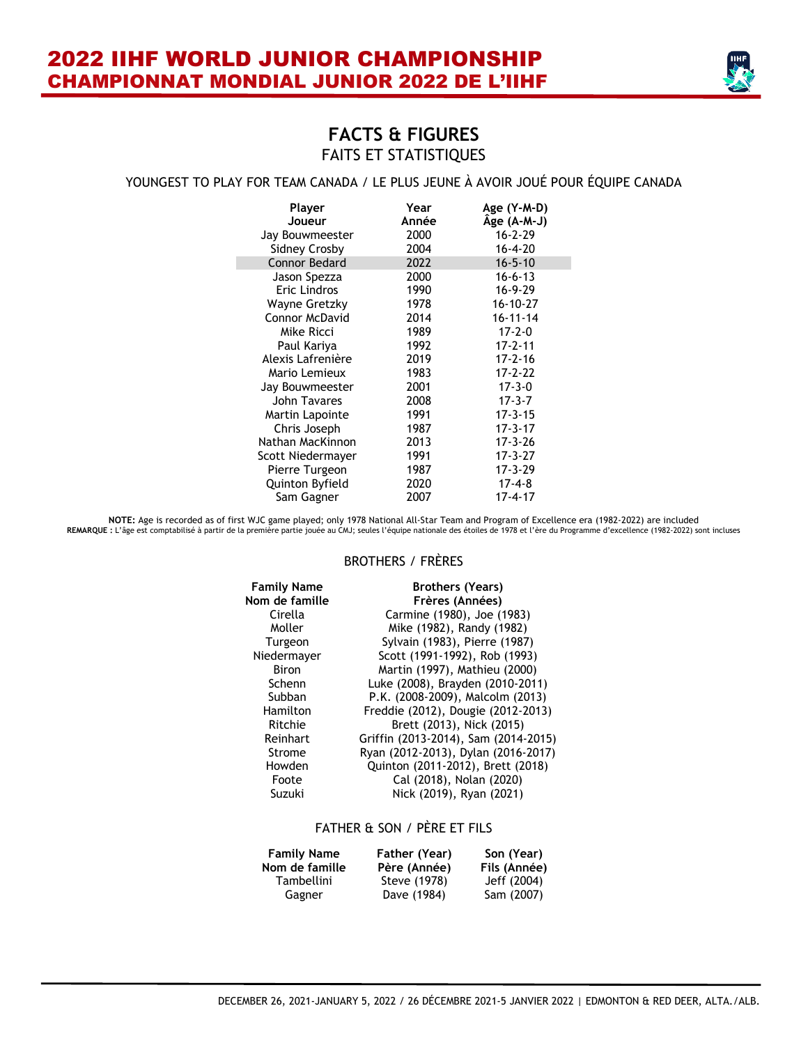

#### YOUNGEST TO PLAY FOR TEAM CANADA / LE PLUS JEUNE À AVOIR JOUÉ POUR ÉQUIPE CANADA

| Player<br>Joueur<br>Jay Bouwmeester | Year<br>Année<br>2000 | Age (Y-M-D)<br>Age (A-M-J)<br>$16 - 2 - 29$ |
|-------------------------------------|-----------------------|---------------------------------------------|
| <b>Sidney Crosby</b>                | 2004                  | $16 - 4 - 20$                               |
| <b>Connor Bedard</b>                | 2022                  | $16 - 5 - 10$                               |
| Jason Spezza                        | 2000                  | $16 - 6 - 13$                               |
| Eric Lindros                        | 1990                  | $16 - 9 - 29$                               |
| Wayne Gretzky                       | 1978                  | $16 - 10 - 27$                              |
| <b>Connor McDavid</b>               | 2014                  | $16 - 11 - 14$                              |
| Mike Ricci                          | 1989                  | $17 - 2 - 0$                                |
| Paul Kariya                         | 1992                  | $17 - 2 - 11$                               |
| Alexis Lafrenière                   | 2019                  | $17 - 2 - 16$                               |
| Mario Lemieux                       | 1983                  | 17-2-22                                     |
| Jay Bouwmeester                     | 2001                  | $17 - 3 - 0$                                |
| John Tavares                        | 2008                  | $17 - 3 - 7$                                |
| Martin Lapointe                     | 1991                  | $17 - 3 - 15$                               |
| Chris Joseph                        | 1987                  | $17 - 3 - 17$                               |
| Nathan MacKinnon                    | 2013                  | $17 - 3 - 26$                               |
| Scott Niedermayer                   | 1991                  | $17 - 3 - 27$                               |
| Pierre Turgeon                      | 1987                  | 17-3-29                                     |
| Quinton Byfield                     | 2020                  | $17 - 4 - 8$                                |
| Sam Gagner                          | 2007                  | $17 - 4 - 17$                               |

NOTE: Age is recorded as of first WJC game played; only 1978 National All-Star Team and Program of Excellence era (1982-2022) are included<br>REMARQUE : L'âge est comptabilisé à partir de la première partie jouée au CMJ; seul

#### BROTHERS / FRÈRES

| <b>Family Name</b> | <b>Brothers (Years)</b>              |
|--------------------|--------------------------------------|
| Nom de famille     | Frères (Années)                      |
| Cirella            | Carmine (1980), Joe (1983)           |
| Moller             | Mike (1982), Randy (1982)            |
| Turgeon            | Sylvain (1983), Pierre (1987)        |
| Niedermayer        | Scott (1991-1992), Rob (1993)        |
| <b>Biron</b>       | Martin (1997), Mathieu (2000)        |
| Schenn             | Luke (2008), Brayden (2010-2011)     |
| Subban             | P.K. (2008-2009), Malcolm (2013)     |
| Hamilton           | Freddie (2012), Dougie (2012-2013)   |
| Ritchie            | Brett (2013), Nick (2015)            |
| Reinhart           | Griffin (2013-2014), Sam (2014-2015) |
| Strome             | Ryan (2012-2013), Dylan (2016-2017)  |
| Howden             | Quinton (2011-2012), Brett (2018)    |
| Foote              | Cal (2018), Nolan (2020)             |
| Suzuki             | Nick (2019), Ryan (2021)             |

#### FATHER & SON / PÈRE ET FILS

| <b>Family Name</b><br>Nom de famille | Father (Year)<br>Père (Année) | Son (Year)<br>Fils (Année) |
|--------------------------------------|-------------------------------|----------------------------|
| <b>Tambellini</b>                    | Steve (1978)                  | Jeff (2004)                |
| Gagner                               | Dave (1984)                   | Sam (2007)                 |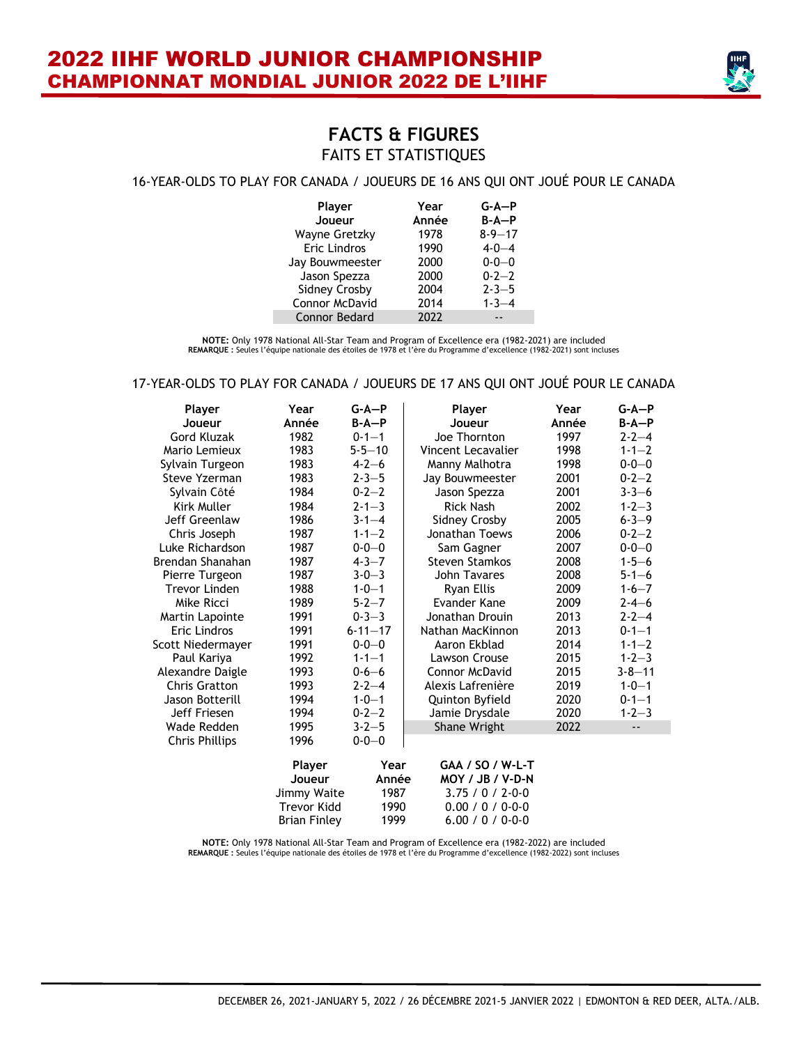

#### 16-YEAR-OLDS TO PLAY FOR CANADA / JOUEURS DE 16 ANS QUI ONT JOUÉ POUR LE CANADA

| Player<br>Joueur      | Year<br>Année | $G-A-P$<br>$B - A - P$ |
|-----------------------|---------------|------------------------|
| <b>Wayne Gretzky</b>  | 1978          | $8 - 9 - 17$           |
| <b>Eric Lindros</b>   | 1990          | $4 - 0 - 4$            |
| Jay Bouwmeester       | 2000          | $0 - 0 - 0$            |
| Jason Spezza          | 2000          | $0 - 2 - 2$            |
| <b>Sidney Crosby</b>  | 2004          | $2 - 3 - 5$            |
| <b>Connor McDavid</b> | 2014          | $1 - 3 - 4$            |
| <b>Connor Bedard</b>  | 2022          |                        |

**NOTE:** Only 1978 National All-Star Team and Program of Excellence era (1982-2021) are included **REMARQUE :** Seules l'équipe nationale des étoiles de 1978 et l'ère du Programme d'excellence (1982-2021) sont incluses

#### 17-YEAR-OLDS TO PLAY FOR CANADA / JOUEURS DE 17 ANS QUI ONT JOUÉ POUR LE CANADA

| Player<br>Joueur      | Year<br>Année       | $G-A-P$<br>$B-A-P$ | Player<br>Joueur      | Year<br>Année | $G-A-P$<br>$B-A-P$ |
|-----------------------|---------------------|--------------------|-----------------------|---------------|--------------------|
| <b>Gord Kluzak</b>    | 1982                | $0 - 1 - 1$        | Joe Thornton          | 1997          | $2 - 2 - 4$        |
| Mario Lemieux         | 1983                | $5 - 5 - 10$       | Vincent Lecavalier    | 1998          | $1 - 1 - 2$        |
| Sylvain Turgeon       | 1983                | $4 - 2 - 6$        | Manny Malhotra        | 1998          | $0 - 0 - 0$        |
| Steve Yzerman         | 1983                | $2 - 3 - 5$        | Jay Bouwmeester       | 2001          | $0 - 2 - 2$        |
| Sylvain Côté          | 1984                | $0 - 2 - 2$        | Jason Spezza          | 2001          | $3 - 3 - 6$        |
| Kirk Muller           | 1984                | $2 - 1 - 3$        | <b>Rick Nash</b>      | 2002          | $1 - 2 - 3$        |
| Jeff Greenlaw         | 1986                | $3 - 1 - 4$        | Sidney Crosby         | 2005          | $6 - 3 - 9$        |
| Chris Joseph          | 1987                | $1 - 1 - 2$        | Jonathan Toews        | 2006          | $0 - 2 - 2$        |
| Luke Richardson       | 1987                | $0 - 0 - 0$        | Sam Gagner            | 2007          | $0 - 0 - 0$        |
| Brendan Shanahan      | 1987                | $4 - 3 - 7$        | <b>Steven Stamkos</b> | 2008          | $1 - 5 - 6$        |
| Pierre Turgeon        | 1987                | $3 - 0 - 3$        | John Tavares          | 2008          | $5 - 1 - 6$        |
| Trevor Linden         | 1988                | $1 - 0 - 1$        | <b>Ryan Ellis</b>     | 2009          | $1 - 6 - 7$        |
| Mike Ricci            | 1989                | $5 - 2 - 7$        | Evander Kane          | 2009          | $2 - 4 - 6$        |
| Martin Lapointe       | 1991                | $0 - 3 - 3$        | Jonathan Drouin       | 2013          | $2 - 2 - 4$        |
| Eric Lindros          | 1991                | $6 - 11 - 17$      | Nathan MacKinnon      | 2013          | $0 - 1 - 1$        |
| Scott Niedermaver     | 1991                | $0 - 0 - 0$        | Aaron Ekblad          | 2014          | $1 - 1 - 2$        |
| Paul Kariya           | 1992                | $1 - 1 - 1$        | Lawson Crouse         | 2015          | $1 - 2 - 3$        |
| Alexandre Daigle      | 1993                | $0 - 6 - 6$        | Connor McDavid        | 2015          | $3 - 8 - 11$       |
| <b>Chris Gratton</b>  | 1993                | $2 - 2 - 4$        | Alexis Lafrenière     | 2019          | $1 - 0 - 1$        |
| Jason Botterill       | 1994                | $1 - 0 - 1$        | Quinton Byfield       | 2020          | $0 - 1 - 1$        |
| Jeff Friesen          | 1994                | $0 - 2 - 2$        | Jamie Drysdale        | 2020          | $1 - 2 - 3$        |
| Wade Redden           | 1995                | $3 - 2 - 5$        | Shane Wright          | 2022          | --                 |
| <b>Chris Phillips</b> | 1996                | $0 - 0 - 0$        |                       |               |                    |
|                       | Player              | Year               | GAA / SO / W-L-T      |               |                    |
|                       | Joueur              | Année              | $MOY / JB / V-D-N$    |               |                    |
|                       | Jimmy Waite         | 1987               | $3.75/0/2 - 0 - 0$    |               |                    |
|                       | Trevor Kidd         | 1990               | 0.00 / 0 / 0.00       |               |                    |
|                       | <b>Brian Finlev</b> | 1999               | 6.00 / 0 / 0.00       |               |                    |

**NOTE:** Only 1978 National All-Star Team and Program of Excellence era (1982-2022) are included **REMARQUE :** Seules l'équipe nationale des étoiles de 1978 et l'ère du Programme d'excellence (1982-2022) sont incluses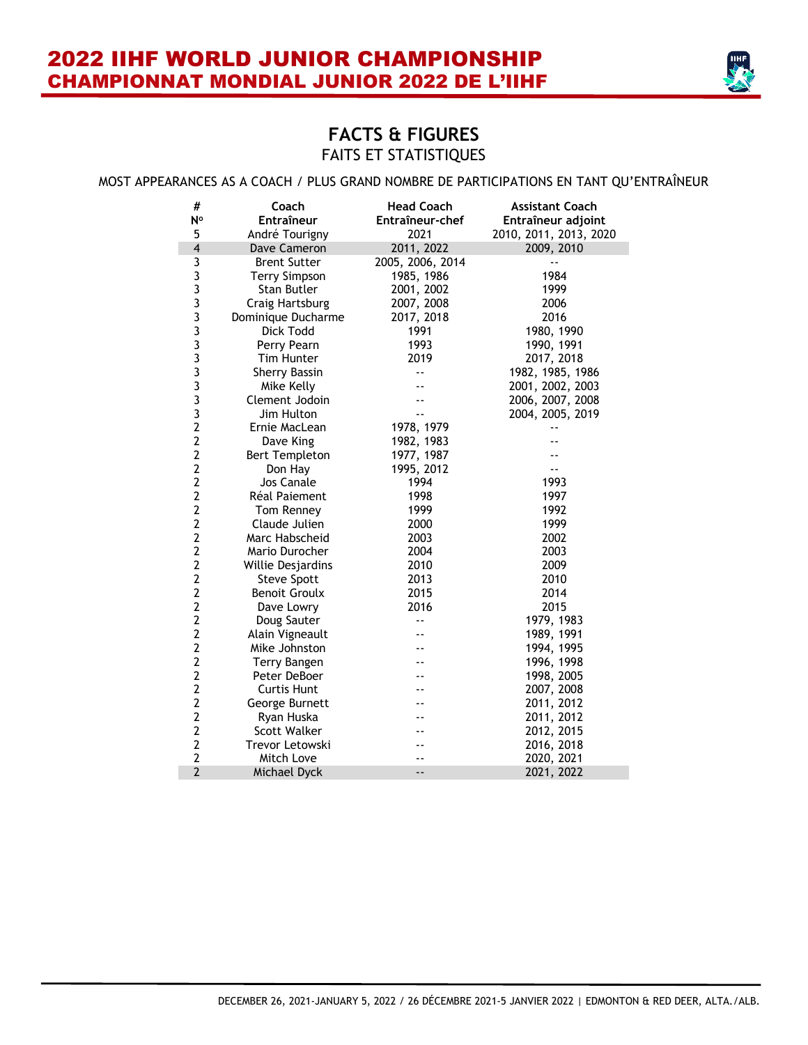

#### MOST APPEARANCES AS A COACH / PLUS GRAND NOMBRE DE PARTICIPATIONS EN TANT QU'ENTRAÎNEUR

| #<br>N°                                    | Coach<br>Entraîneur   | <b>Head Coach</b><br>Entraîneur-chef | <b>Assistant Coach</b><br>Entraîneur adjoint |
|--------------------------------------------|-----------------------|--------------------------------------|----------------------------------------------|
| 5                                          | André Tourigny        | 2021                                 | 2010, 2011, 2013, 2020                       |
| $\overline{\mathbf{4}}$                    | Dave Cameron          | 2011, 2022                           | 2009, 2010                                   |
| 3                                          | <b>Brent Sutter</b>   | 2005, 2006, 2014                     |                                              |
| 3                                          | <b>Terry Simpson</b>  | 1985, 1986                           | 1984                                         |
|                                            | Stan Butler           | 2001, 2002                           | 1999                                         |
|                                            | Craig Hartsburg       | 2007, 2008                           | 2006                                         |
|                                            | Dominique Ducharme    | 2017, 2018                           | 2016                                         |
| 3<br>3<br>3<br>3<br>3                      | Dick Todd             | 1991                                 | 1980, 1990                                   |
|                                            | Perry Pearn           | 1993                                 | 1990, 1991                                   |
|                                            | <b>Tim Hunter</b>     | 2019                                 | 2017, 2018                                   |
| $\begin{array}{c} 3 \\ 3 \\ 3 \end{array}$ | <b>Sherry Bassin</b>  | ۵.                                   | 1982, 1985, 1986                             |
|                                            | Mike Kelly            |                                      | 2001, 2002, 2003                             |
|                                            | Clement Jodoin        |                                      | 2006, 2007, 2008                             |
| 3                                          | Jim Hulton            |                                      | 2004, 2005, 2019                             |
| $\overline{2}$                             | Ernie MacLean         | 1978, 1979                           |                                              |
| $\overline{2}$                             | Dave King             | 1982, 1983                           |                                              |
| $\overline{2}$                             | <b>Bert Templeton</b> | 1977, 1987                           |                                              |
| $\overline{2}$                             | Don Hay               | 1995, 2012                           |                                              |
| $\overline{2}$                             | Jos Canale            | 1994                                 | 1993                                         |
| $\overline{2}$                             | Réal Paiement         | 1998                                 | 1997                                         |
| $\overline{2}$                             | Tom Renney            | 1999                                 | 1992                                         |
| $\overline{2}$                             | Claude Julien         | 2000                                 | 1999                                         |
| $\overline{2}$                             | Marc Habscheid        | 2003                                 | 2002                                         |
| $\overline{2}$                             | Mario Durocher        | 2004                                 | 2003                                         |
| $\overline{2}$                             | Willie Desjardins     | 2010                                 | 2009                                         |
| $\overline{2}$                             | <b>Steve Spott</b>    | 2013                                 | 2010                                         |
| $\overline{2}$                             | <b>Benoit Groulx</b>  | 2015                                 | 2014                                         |
| $\overline{2}$                             | Dave Lowry            | 2016                                 | 2015                                         |
| $\overline{2}$                             | Doug Sauter           | $\overline{\phantom{a}}$             | 1979, 1983                                   |
| $\overline{2}$                             | Alain Vigneault       |                                      | 1989, 1991                                   |
| $\overline{2}$                             | Mike Johnston         |                                      | 1994, 1995                                   |
| $\overline{2}$                             | Terry Bangen          |                                      | 1996, 1998                                   |
| $\overline{2}$                             | Peter DeBoer          |                                      | 1998, 2005                                   |
| $\overline{2}$                             | <b>Curtis Hunt</b>    |                                      | 2007, 2008                                   |
| $\overline{2}$                             | George Burnett        |                                      | 2011, 2012                                   |
| $\overline{2}$                             | Ryan Huska            |                                      | 2011, 2012                                   |
| $\overline{2}$                             | Scott Walker          |                                      | 2012, 2015                                   |
| $\overline{2}$                             | Trevor Letowski       |                                      | 2016, 2018                                   |
| $\overline{2}$                             | Mitch Love            |                                      | 2020, 2021                                   |
| $\overline{2}$                             | Michael Dyck          | --                                   | 2021, 2022                                   |